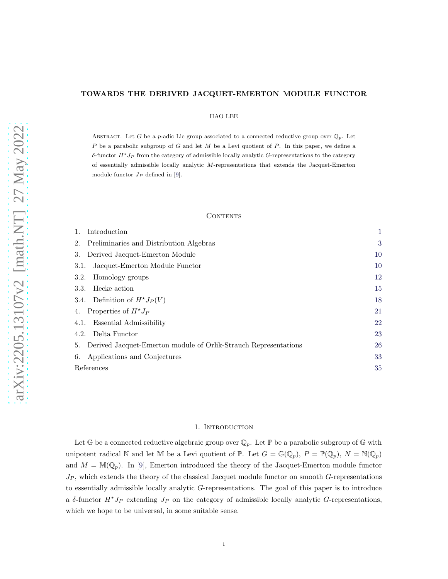# TOWARDS THE DERIVED JACQUET-EMERTON MODULE FUNCTOR

## HAO LEE

ABSTRACT. Let G be a p-adic Lie group associated to a connected reductive group over  $\mathbb{Q}_p$ . Let  $P$  be a parabolic subgroup of  $G$  and let  $M$  be a Levi quotient of  $P$ . In this paper, we define a δ-functor  $H \star J_P$  from the category of admissible locally analytic G-representations to the category of essentially admissible locally analytic M-representations that extends the Jacquet-Emerton module functor  $J_P$  defined in [\[9\]](#page-34-0).

## **CONTENTS**

| Introduction                                                          |    |
|-----------------------------------------------------------------------|----|
| Preliminaries and Distribution Algebras<br>2.                         | 3  |
| Derived Jacquet-Emerton Module<br>3.                                  | 10 |
| Jacquet-Emerton Module Functor<br>3.1.                                | 10 |
| Homology groups<br>3.2.                                               | 12 |
| Hecke action<br>3.3.                                                  | 15 |
| 3.4. Definition of $H^*J_P(V)$                                        | 18 |
| Properties of $H^*J_P$<br>4.                                          | 21 |
| Essential Admissibility<br>4.1.                                       | 22 |
| Delta Functor<br>4.2.                                                 | 23 |
| Derived Jacquet-Emerton module of Orlik-Strauch Representations<br>5. | 26 |
| Applications and Conjectures<br>6.                                    | 33 |
| References                                                            | 35 |

## 1. INTRODUCTION

<span id="page-0-0"></span>Let G be a connected reductive algebraic group over  $\mathbb{Q}_p$ . Let P be a parabolic subgroup of G with unipotent radical N and let M be a Levi quotient of P. Let  $G = \mathbb{G}(\mathbb{Q}_p)$ ,  $P = \mathbb{P}(\mathbb{Q}_p)$ ,  $N = \mathbb{N}(\mathbb{Q}_p)$ and  $M = M(\mathbb{Q}_p)$ . In [\[9\]](#page-34-0), Emerton introduced the theory of the Jacquet-Emerton module functor  $J_P$ , which extends the theory of the classical Jacquet module functor on smooth  $G$ -representations to essentially admissible locally analytic G-representations. The goal of this paper is to introduce a δ-functor  $H^*J_P$  extending  $J_P$  on the category of admissible locally analytic G-representations, which we hope to be universal, in some suitable sense.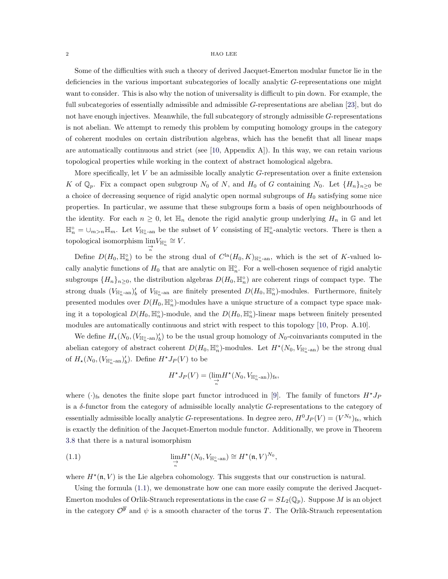Some of the difficulties with such a theory of derived Jacquet-Emerton modular functor lie in the deficiencies in the various important subcategories of locally analytic G-representations one might want to consider. This is also why the notion of universality is difficult to pin down. For example, the full subcategories of essentially admissible and admissible G-representations are abelian [\[23\]](#page-35-0), but do not have enough injectives. Meanwhile, the full subcategory of strongly admissible G-representations is not abelian. We attempt to remedy this problem by computing homology groups in the category of coherent modules on certain distribution algebras, which has the benefit that all linear maps are automatically continuous and strict (see [\[10,](#page-34-2) Appendix A]). In this way, we can retain various topological properties while working in the context of abstract homological algebra.

More specifically, let  $V$  be an admissible locally analytic  $G$ -representation over a finite extension K of  $\mathbb{Q}_p$ . Fix a compact open subgroup  $N_0$  of N, and  $H_0$  of G containing  $N_0$ . Let  $\{H_n\}_{n\geq 0}$  be a choice of decreasing sequence of rigid analytic open normal subgroups of  $H_0$  satisfying some nice properties. In particular, we assume that these subgroups form a basis of open neighbourhoods of the identity. For each  $n \geq 0$ , let  $\mathbb{H}_n$  denote the rigid analytic group underlying  $H_n$  in G and let  $\mathbb{H}_n^{\circ} = \bigcup_{m>n} \mathbb{H}_m$ . Let  $V_{\mathbb{H}_n^{\circ}$ -an be the subset of V consisting of  $\mathbb{H}_n^{\circ}$ -analytic vectors. There is then a topological isomorphism  $\lim_{\substack{\to \ \pi \ n}} V_{\mathbb{H}_n^{\circ}} \cong V.$ 

Define  $D(H_0, \mathbb{H}_n^{\circ})$  to be the strong dual of  $C^{\text{la}}(H_0, K)_{\mathbb{H}_n^{\circ}$ -an, which is the set of K-valued locally analytic functions of  $H_0$  that are analytic on  $\mathbb{H}_n^{\circ}$ . For a well-chosen sequence of rigid analytic subgroups  $\{H_n\}_{n\geq 0}$ , the distribution algebras  $D(H_0, \mathbb{H}_n^{\circ})$  are coherent rings of compact type. The strong duals  $(V_{\mathbb{H}_{n}^{\circ} \text{-an}})'_b$  of  $V_{\mathbb{H}_{n}^{\circ} \text{-an}}$  are finitely presented  $D(H_0, \mathbb{H}_{n}^{\circ})$ -modules. Furthermore, finitely presented modules over  $D(H_0, \mathbb{H}_n^{\circ})$ -modules have a unique structure of a compact type space making it a topological  $D(H_0, \mathbb{H}_n^{\circ})$ -module, and the  $D(H_0, \mathbb{H}_n^{\circ})$ -linear maps between finitely presented modules are automatically continuous and strict with respect to this topology [\[10,](#page-34-2) Prop. A.10].

We define  $H_*(N_0, (V_{\mathbb{H}_n^{\circ} \text{-an}})_b')$  to be the usual group homology of  $N_0$ -coinvariants computed in the abelian category of abstract coherent  $D(H_0, \mathbb{H}_n^{\circ})$ -modules. Let  $H^*(N_0, V_{\mathbb{H}_n^{\circ}})$  be the strong dual of  $H_*(N_0, (V_{\mathbb{H}_n^{\circ} \text{-an}})'_b)$ . Define  $H^*J_P(V)$  to be

<span id="page-1-0"></span>
$$
H^{\star}J_P(V)=(\lim_{\substack{\to\\n}}H^{\star}(N_0,V_{\mathbb{H}_n^{\circ}\text{-an}}))_{\text{fs}},
$$

where  $(\cdot)_{fs}$  denotes the finite slope part functor introduced in [\[9\]](#page-34-0). The family of functors  $H^{\star}J_P$ is a δ-functor from the category of admissible locally analytic G-representations to the category of essentially admissible locally analytic G-representations. In degree zero,  $H^0J_P(V) = (V^{N_0})_{fs}$ , which is exactly the definition of the Jacquet-Emerton module functor. Additionally, we prove in Theorem [3.8](#page-13-0) that there is a natural isomorphism

(1.1) 
$$
\lim_{\substack{\to \\ n}} H^*(N_0, V_{\mathbb{H}_n^{\circ}\text{-an}}) \cong H^*(\mathfrak{n}, V)^{N_0},
$$

where  $H^{\star}(\mathfrak{n}, V)$  is the Lie algebra cohomology. This suggests that our construction is natural.

Using the formula [\(1.1\)](#page-1-0), we demonstrate how one can more easily compute the derived Jacquet-Emerton modules of Orlik-Strauch representations in the case  $G = SL_2(\mathbb{Q}_p)$ . Suppose M is an object in the category  $\mathcal{O}^{\overline{p}}$  and  $\psi$  is a smooth character of the torus T. The Orlik-Strauch representation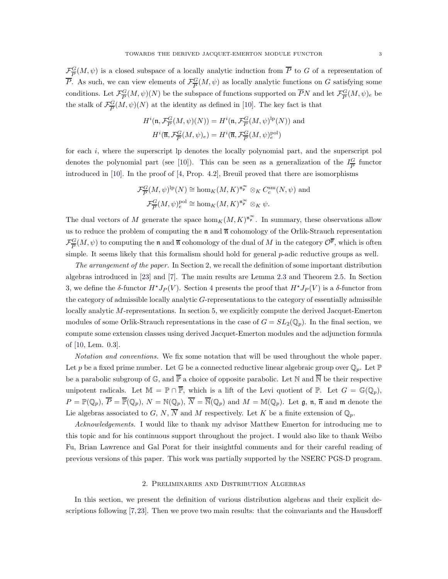$\mathcal{F}_{\overline{P}}^G$  $\frac{G}{P}(M, \psi)$  is a closed subspace of a locally analytic induction from P to G of a representation of  $\overline{P}$ . As such, we can view elements of  $\mathcal{F}_{\overline{P}}^G$  $\frac{G}{P}(M, \psi)$  as locally analytic functions on G satisfying some conditions. Let  $\mathcal{F}^G_{\overline{P}}$  $\frac{G}{P}(M,\psi)(N)$  be the subspace of functions supported on  $\overline{P}N$  and let  $\mathcal{F}^G_{\overline{P}}$  $\frac{G}{P}(M,\psi)_e$  be the stalk of  $\mathcal{F}_{\overline{P}}^G$  $\frac{G}{P}(M,\psi)(N)$  at the identity as defined in [\[10\]](#page-34-2). The key fact is that

$$
H^{i}(\mathfrak{n}, \mathcal{F}_{\overline{P}}^{\underline{G}}(M, \psi)(N)) = H^{i}(\mathfrak{n}, \mathcal{F}_{\overline{P}}^{\underline{G}}(M, \psi)^{lp}(N)) \text{ and}
$$

$$
H^{i}(\overline{\mathfrak{n}}, \mathcal{F}_{\overline{P}}^{\underline{G}}(M, \psi)_{e}) = H^{i}(\overline{\mathfrak{n}}, \mathcal{F}_{\overline{P}}^{\underline{G}}(M, \psi)_{e}^{\text{pol}})
$$

for each i, where the superscript lp denotes the locally polynomial part, and the superscript pol denotes the polynomial part (see [\[10\]](#page-34-2)). This can be seen as a generalization of the  $I_{\overline{P}}^G$  $\frac{G}{P}$  functor introduced in [\[10\]](#page-34-2). In the proof of [\[4,](#page-34-3) Prop. 4.2], Breuil proved that there are isomorphisms

$$
\mathcal{F}_{\overline{P}}^G(M,\psi)^{\mathrm{lp}}(N) \cong \hom_K(M,K)^{\mathfrak{n}_\mathfrak{p}^\infty} \otimes_K C_c^{\mathrm{sm}}(N,\psi) \text{ and}
$$
  

$$
\mathcal{F}_{\overline{P}}^G(M,\psi)_e^{\mathrm{pol}} \cong \hom_K(M,K)^{\mathfrak{n}_\mathfrak{p}^\infty} \otimes_K \psi.
$$

The dual vectors of M generate the space  $\hom_K(M, K)^{\mathfrak{n}_{\mathfrak{p}}^{\infty}}$ . In summary, these observations allow us to reduce the problem of computing the  $\mathfrak n$  and  $\overline{\mathfrak n}$  cohomology of the Orlik-Strauch representation  $\mathcal{F}^G_{\overline{D}}$  $\frac{G}{P}(M,\psi)$  to computing the **n** and  $\overline{\mathfrak{n}}$  cohomology of the dual of M in the category  $\mathcal{O}^{\overline{\mathfrak{p}}},$  which is often simple. It seems likely that this formalism should hold for general  $p$ -adic reductive groups as well.

The arrangement of the paper. In Section 2, we recall the definition of some important distribution algebras introduced in [\[23\]](#page-35-0) and [\[7\]](#page-34-4). The main results are Lemma [2.3](#page-6-0) and Theorem [2.5.](#page-7-0) In Section 3, we define the  $\delta$ -functor  $H^*J_P(V)$ . Section 4 presents the proof that  $H^*J_P(V)$  is a  $\delta$ -functor from the category of admissible locally analytic G-representations to the category of essentially admissible locally analytic M-representations. In section 5, we explicitly compute the derived Jacquet-Emerton modules of some Orlik-Strauch representations in the case of  $G = SL_2(\mathbb{Q}_p)$ . In the final section, we compute some extension classes using derived Jacquet-Emerton modules and the adjunction formula of [\[10,](#page-34-2) Lem. 0.3].

Notation and conventions. We fix some notation that will be used throughout the whole paper. Let p be a fixed prime number. Let  $\mathbb G$  be a connected reductive linear algebraic group over  $\mathbb Q_p$ . Let  $\mathbb P$ be a parabolic subgroup of  $\mathbb{G}$ , and  $\overline{\mathbb{P}}$  a choice of opposite parabolic. Let N and  $\overline{\mathbb{N}}$  be their respective unipotent radicals. Let  $\mathbb{M} = \mathbb{P} \cap \overline{\mathbb{P}}$ , which is a lift of the Levi quotient of  $\mathbb{P}$ . Let  $G = \mathbb{G}(\mathbb{Q}_p)$ ,  $P = \mathbb{P}(\mathbb{Q}_p), \overline{P} = \overline{\mathbb{P}}(\mathbb{Q}_p), N = \mathbb{N}(\mathbb{Q}_p), \overline{N} = \overline{\mathbb{N}}(\mathbb{Q}_p)$  and  $M = \mathbb{M}(\mathbb{Q}_p)$ . Let  $\mathfrak{g}, \mathfrak{n}, \overline{\mathfrak{n}}$  and  $\mathfrak{m}$  denote the Lie algebras associated to G, N,  $\overline{N}$  and M respectively. Let K be a finite extension of  $\mathbb{Q}_p$ .

Acknowledgements. I would like to thank my advisor Matthew Emerton for introducing me to this topic and for his continuous support throughout the project. I would also like to thank Weibo Fu, Brian Lawrence and Gal Porat for their insightful comments and for their careful reading of previous versions of this paper. This work was partially supported by the NSERC PGS-D program.

## 2. Preliminaries and Distribution Algebras

<span id="page-2-0"></span>In this section, we present the definition of various distribution algebras and their explicit descriptions following [\[7,](#page-34-4)[23\]](#page-35-0). Then we prove two main results: that the coinvariants and the Hausdorff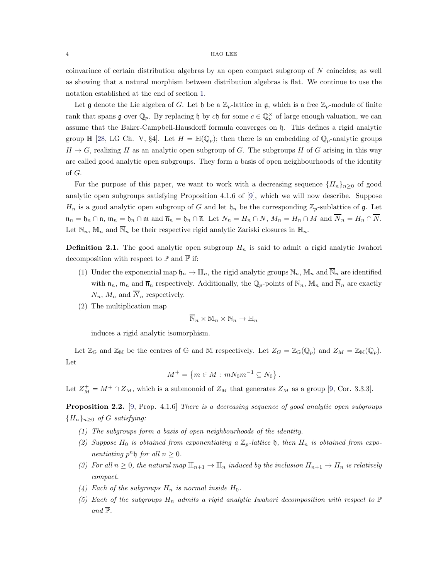coinvarince of certain distribution algebras by an open compact subgroup of N coincides; as well as showing that a natural morphism between distribution algebras is flat. We continue to use the notation established at the end of section [1.](#page-0-0)

Let **g** denote the Lie algebra of G. Let  $\mathfrak{h}$  be a  $\mathbb{Z}_p$ -lattice in **g**, which is a free  $\mathbb{Z}_p$ -module of finite rank that spans  $\mathfrak g$  over  $\mathbb Q_p$ . By replacing  $\mathfrak h$  by ch for some  $c \in \mathbb Q_p^{\times}$  of large enough valuation, we can assume that the Baker-Campbell-Hausdorff formula converges on h. This defines a rigid analytic group  $\mathbb{H}$  [\[28,](#page-35-1) LG Ch. V, §4]. Let  $H = \mathbb{H}(\mathbb{Q}_p)$ ; then there is an embedding of  $\mathbb{Q}_p$ -analytic groups  $H \to G$ , realizing H as an analytic open subgroup of G. The subgroups H of G arising in this way are called good analytic open subgroups. They form a basis of open neighbourhoods of the identity of G.

For the purpose of this paper, we want to work with a decreasing sequence  $\{H_n\}_{n>0}$  of good analytic open subgroups satisfying Proposition 4.1.6 of [\[9\]](#page-34-0), which we will now describe. Suppose  $H_n$  is a good analytic open subgroup of G and let  $\mathfrak{h}_n$  be the corresponding  $\mathbb{Z}_p$ -sublattice of g. Let  $\mathfrak{n}_n = \mathfrak{h}_n \cap \mathfrak{n}, \, \mathfrak{m}_n = \mathfrak{h}_n \cap \mathfrak{m}$  and  $\overline{\mathfrak{n}}_n = \mathfrak{h}_n \cap \overline{\mathfrak{n}}$ . Let  $N_n = H_n \cap N$ ,  $M_n = H_n \cap M$  and  $\overline{N}_n = H_n \cap \overline{N}$ . Let  $\mathbb{N}_n$ ,  $\mathbb{M}_n$  and  $\overline{\mathbb{N}}_n$  be their respective rigid analytic Zariski closures in  $\mathbb{H}_n$ .

**Definition 2.1.** The good analytic open subgroup  $H_n$  is said to admit a rigid analytic Iwahori decomposition with respect to  $\mathbb P$  and  $\overline{\mathbb P}$  if:

- (1) Under the exponential map  $\mathfrak{h}_n \to \mathbb{H}_n$ , the rigid analytic groups  $\mathbb{N}_n$ ,  $\mathbb{M}_n$  and  $\overline{\mathbb{N}}_n$  are identified with  $\mathfrak{n}_n$ ,  $\mathfrak{m}_n$  and  $\overline{\mathfrak{n}}_n$  respectively. Additionally, the  $\mathbb{Q}_p$ -points of  $\mathbb{N}_n$ ,  $\mathbb{M}_n$  and  $\overline{\mathbb{N}}_n$  are exactly  $N_n$ ,  $M_n$  and  $\overline{N}_n$  respectively.
- (2) The multiplication map

$$
\overline{\mathbb{N}}_n\times \mathbb{M}_n\times \mathbb{N}_n\to \mathbb{H}_n
$$

induces a rigid analytic isomorphism.

Let  $\mathbb{Z}_{\mathbb{G}}$  and  $\mathbb{Z}_{\mathbb{M}}$  be the centres of G and M respectively. Let  $Z_G = \mathbb{Z}_{\mathbb{G}}(\mathbb{Q}_p)$  and  $Z_M = \mathbb{Z}_{\mathbb{M}}(\mathbb{Q}_p)$ . Let

$$
M^+ = \{ m \in M : mN_0m^{-1} \subseteq N_0 \} .
$$

Let  $Z_M^+ = M^+ \cap Z_M$ , which is a submonoid of  $Z_M$  that generates  $Z_M$  as a group [\[9,](#page-34-0) Cor. 3.3.3].

<span id="page-3-0"></span>**Proposition 2.2.** [\[9,](#page-34-0) Prop. 4.1.6] There is a decreasing sequence of good analytic open subgroups  ${H_n}_{n\geq 0}$  of G satisfying:

- (1) The subgroups form a basis of open neighbourhoods of the identity.
- (2) Suppose  $H_0$  is obtained from exponentiating a  $\mathbb{Z}_p$ -lattice  $\mathfrak{h}$ , then  $H_n$  is obtained from exponentiating  $p^n \mathfrak{h}$  for all  $n \geq 0$ .
- (3) For all  $n \geq 0$ , the natural map  $\mathbb{H}_{n+1} \to \mathbb{H}_n$  induced by the inclusion  $H_{n+1} \to H_n$  is relatively compact.
- (4) Each of the subgroups  $H_n$  is normal inside  $H_0$ .
- (5) Each of the subgroups  $H_n$  admits a rigid analytic Iwahori decomposition with respect to  $\mathbb P$ and  $\overline{\mathbb{P}}$ .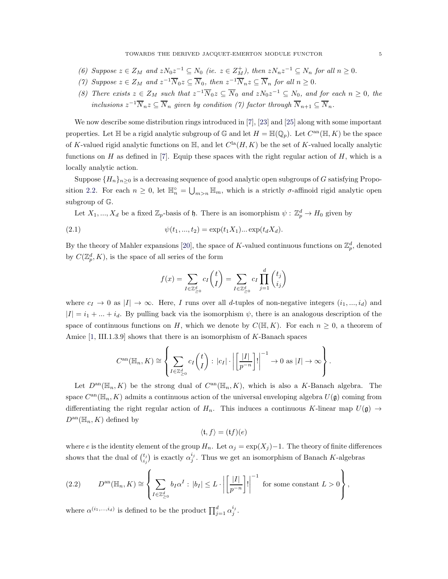- (6) Suppose  $z \in Z_M$  and  $zN_0z^{-1} \subseteq N_0$  (ie.  $z \in Z_M^+$ ), then  $zN_nz^{-1} \subseteq N_n$  for all  $n \geq 0$ .
- (7) Suppose  $z \in Z_M$  and  $z^{-1}\overline{N}_0 z \subseteq \overline{N}_0$ , then  $z^{-1}\overline{N}_n z \subseteq \overline{N}_n$  for all  $n \geq 0$ .
- (8) There exists  $z \in Z_M$  such that  $z^{-1}\overline{N}_0z \subseteq \overline{N}_0$  and  $zN_0z^{-1} \subseteq N_0$ , and for each  $n \geq 0$ , the inclusions  $z^{-1}\overline{N}_nz\subseteq \overline{N}_n$  given by condition (7) factor through  $\overline{N}_{n+1}\subseteq \overline{N}_n$ .

We now describe some distribution rings introduced in [\[7\]](#page-34-4), [\[23\]](#page-35-0) and [\[25\]](#page-35-2) along with some important properties. Let  $\mathbb H$  be a rigid analytic subgroup of  $\mathbb G$  and let  $H = \mathbb H(\mathbb Q_p)$ . Let  $C^{\rm an}(\mathbb H,K)$  be the space of K-valued rigid analytic functions on  $\mathbb{H}$ , and let  $C^{\text{la}}(H, K)$  be the set of K-valued locally analytic functions on  $H$  as defined in [\[7\]](#page-34-4). Equip these spaces with the right regular action of  $H$ , which is a locally analytic action.

Suppose  $\{H_n\}_{n>0}$  is a decreasing sequence of good analytic open subgroups of G satisfying Propo-sition [2.2.](#page-3-0) For each  $n \geq 0$ , let  $\mathbb{H}_n^{\circ} = \bigcup_{m>n} \mathbb{H}_m$ , which is a strictly  $\sigma$ -affinoid rigid analytic open subgroup of G.

Let  $X_1, ..., X_d$  be a fixed  $\mathbb{Z}_p$ -basis of  $\mathfrak{h}$ . There is an isomorphism  $\psi : \mathbb{Z}_p^d \to H_0$  given by

(2.1) 
$$
\psi(t_1, ..., t_2) = \exp(t_1 X_1) ... \exp(t_d X_d).
$$

By the theory of Mahler expansions [\[20\]](#page-34-5), the space of K-valued continuous functions on  $\mathbb{Z}_p^d$ , denoted by  $C(\mathbb{Z}_p^d, K)$ , is the space of all series of the form

<span id="page-4-0"></span>
$$
f(x) = \sum_{I \in \mathbb{Z}_{\geq 0}^d} c_I \binom{t}{I} = \sum_{I \in \mathbb{Z}_{\geq 0}^d} c_I \prod_{j=1}^d \binom{t_j}{i_j}
$$

where  $c_I \to 0$  as  $|I| \to \infty$ . Here, I runs over all d-tuples of non-negative integers  $(i_1, ..., i_d)$  and  $|I| = i_1 + ... + i_d$ . By pulling back via the isomorphism  $\psi$ , there is an analogous description of the space of continuous functions on H, which we denote by  $C(\mathbb{H}, K)$ . For each  $n \geq 0$ , a theorem of Amice [\[1,](#page-34-6) III.1.3.9] shows that there is an isomorphism of K-Banach spaces

$$
C^{\mathrm{an}}(\mathbb{H}_n, K) \cong \left\{ \sum_{I \in \mathbb{Z}_{\geq 0}^d} c_I \binom{t}{I} : |c_I| \cdot \left| \left[ \frac{|I|}{p^{-n}} \right]! \right|^{-1} \to 0 \text{ as } |I| \to \infty \right\}.
$$

Let  $D^{an}(\mathbb{H}_n, K)$  be the strong dual of  $C^{an}(\mathbb{H}_n, K)$ , which is also a K-Banach algebra. The space  $C^{an}(\mathbb{H}_n, K)$  admits a continuous action of the universal enveloping algebra  $U(\mathfrak{g})$  coming from differentiating the right regular action of  $H_n$ . This induces a continuous K-linear map  $U(\mathfrak{g}) \to$  $D^{\text{an}}(\mathbb{H}_n, K)$  defined by

$$
\langle \mathfrak{t}, f \rangle = (\mathfrak{t}f)(e)
$$

where e is the identity element of the group  $H_n$ . Let  $\alpha_j = \exp(X_j) - 1$ . The theory of finite differences shows that the dual of  $\binom{t_j}{i_j}$  is exactly  $\alpha_j^{i_j}$ . Thus we get an isomorphism of Banach K-algebras

<span id="page-4-1"></span>(2.2) 
$$
D^{\rm an}(\mathbb{H}_n, K) \cong \left\{ \sum_{I \in \mathbb{Z}_{\geq 0}^d} b_I \alpha^I : |b_I| \leq L \cdot \left| \left[ \frac{|I|}{p^{-n}} \right] \right| \right\}^{-1} \text{ for some constant } L > 0 \right\},
$$

where  $\alpha^{(i_1,...,i_d)}$  is defined to be the product  $\prod_{j=1}^d \alpha_j^{i_j}$ .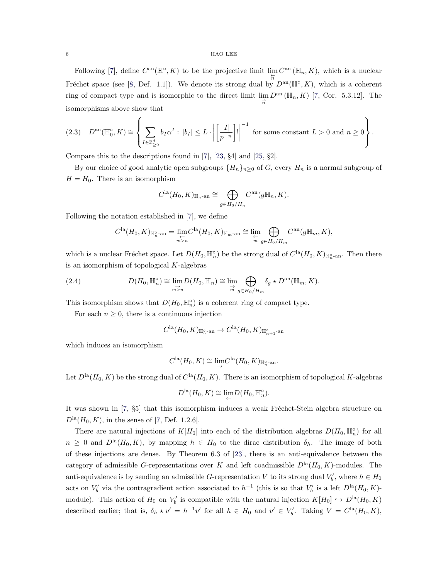Following [\[7\]](#page-34-4), define  $C^{\text{an}}(\mathbb{H}^{\circ}, K)$  to be the projective limit  $\lim_{\substack{\leftarrow \\n}} C^{\text{an}}(\mathbb{H}_n, K)$ , which is a nuclear Fréchet space (see [\[8,](#page-34-7) Def. 1.1]). We denote its strong dual by  $D^{\text{an}}(\mathbb{H}^\circ, K)$ , which is a coherent ring of compact type and is isomorphic to the direct limit  $\lim_{\substack{\rightarrow \\ n}} D^{\text{an}}(\mathbb{H}_n, K)$  [\[7,](#page-34-4) Cor. 5.3.12]. The isomorphisms above show that

<span id="page-5-0"></span>
$$
(2.3) \quad D^{\text{an}}(\mathbb{H}_0^\circ, K) \cong \left\{ \sum_{I \in \mathbb{Z}_{\geq 0}^d} b_I \alpha^I : |b_I| \leq L \cdot \left| \left[ \frac{|I|}{p^{-n}} \right]! \right|^{-1} \text{ for some constant } L > 0 \text{ and } n \geq 0 \right\}.
$$

Compare this to the descriptions found in [\[7\]](#page-34-4), [\[23,](#page-35-0) §4] and [\[25,](#page-35-2) §2].

By our choice of good analytic open subgroups  $\{H_n\}_{n\geq 0}$  of G, every  $H_n$  is a normal subgroup of  $H = H_0$ . There is an isomorphism

$$
C^{\text{la}}(H_0, K)_{\mathbb{H}_n \text{-an}} \cong \bigoplus_{g \in H_0/H_n} C^{\text{an}}(g\mathbb{H}_n, K).
$$

Following the notation established in [\[7\]](#page-34-4), we define

<span id="page-5-1"></span>
$$
C^{\text{la}}(H_0, K)_{\mathbb{H}_n^{\circ}\text{-an}} = \lim_{\substack{\leftarrow \\ m > n}} C^{\text{la}}(H_0, K)_{\mathbb{H}_m\text{-an}} \cong \lim_{\substack{\leftarrow \\ m}} \bigoplus_{g \in H_0/H_m} C^{\text{an}}(g\mathbb{H}_m, K),
$$

which is a nuclear Fréchet space. Let  $D(H_0, \mathbb{H}_n^{\circ})$  be the strong dual of  $C^{\text{la}}(H_0, K)_{\mathbb{H}_n^{\circ}$ -an. Then there is an isomorphism of topological  $K$ -algebras

(2.4) 
$$
D(H_0, \mathbb{H}_n^{\circ}) \cong \lim_{\substack{\to \\ m \geq n}} D(H_0, \mathbb{H}_n) \cong \lim_{\substack{\to \\ m}} \bigoplus_{g \in H_0/H_m} \delta_g * D^{\text{an}}(\mathbb{H}_m, K).
$$

This isomorphism shows that  $D(H_0, \mathbb{H}_n^{\circ})$  is a coherent ring of compact type.

For each  $n \geq 0$ , there is a continuous injection

$$
C^{\rm la}(H_0,K)_{\mathbb{H}_n^\circ\text{-an}} \to C^{\rm la}(H_0,K)_{\mathbb{H}_{n+1}^\circ\text{-an}}
$$

which induces an isomorphism

$$
C^{\text{la}}(H_0, K) \cong \lim_{\rightarrow} C^{\text{la}}(H_0, K)_{\mathbb{H}_n^{\circ}\text{-an}}.
$$

Let  $D^{\text{la}}(H_0, K)$  be the strong dual of  $C^{\text{la}}(H_0, K)$ . There is an isomorphism of topological K-algebras

$$
D^{\text{la}}(H_0, K) \cong \lim_{\leftarrow} D(H_0, \mathbb{H}_n^{\circ}).
$$

It was shown in [\[7,](#page-34-4)  $\S5$ ] that this isomorphism induces a weak Fréchet-Stein algebra structure on  $D<sup>la</sup>(H<sub>0</sub>, K)$ , in the sense of [\[7,](#page-34-4) Def. 1.2.6].

There are natural injections of  $K[H_0]$  into each of the distribution algebras  $D(H_0, \mathbb{H}_n^{\circ})$  for all  $n \geq 0$  and  $D^{\text{la}}(H_0, K)$ , by mapping  $h \in H_0$  to the dirac distribution  $\delta_h$ . The image of both of these injections are dense. By Theorem 6.3 of [\[23\]](#page-35-0), there is an anti-equivalence between the category of admissible G-representations over K and left coadmissible  $D<sup>la</sup>(H<sub>0</sub>, K)$ -modules. The anti-equivalence is by sending an admissible G-representation V to its strong dual  $V'_{b}$ , where  $h \in H_0$ acts on  $V'_{b}$  via the contragradient action associated to  $h^{-1}$  (this is so that  $V'_{b}$  is a left  $D^{\text{la}}(H_{0}, K)$ module). This action of  $H_0$  on  $V'_b$  is compatible with the natural injection  $K[H_0] \hookrightarrow D^{\text{la}}(H_0, K)$ described earlier; that is,  $\delta_h \star v' = h^{-1}v'$  for all  $h \in H_0$  and  $v' \in V'_b$ . Taking  $V = C^{\text{la}}(H_0, K)$ ,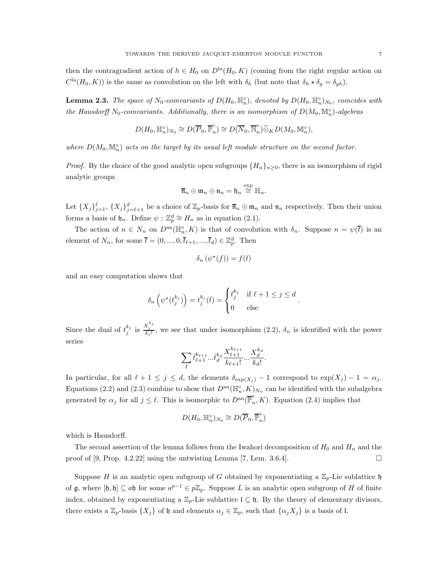then the contragradient action of  $h \in H_0$  on  $D<sup>la</sup>(H_0, K)$  (coming from the right regular action on  $C^{1a}(H_0, K)$  is the same as convolution on the left with  $\delta_h$  (but note that  $\delta_h \star \delta_g = \delta_{gh}$ ).

<span id="page-6-0"></span>**Lemma 2.3.** The space of  $N_0$ -coinvariants of  $D(H_0, \mathbb{H}_n^{\circ})$ , denoted by  $D(H_0, \mathbb{H}_n^{\circ})_{N_0}$ , coincides with the Hausdorff N<sub>0</sub>-coinvariants. Additionally, there is an isomorphism of  $D(M_0, \mathbb{M}_n^{\circ})$ -algebras

$$
D(H_0, \mathbb{H}_n^{\circ})_{N_0} \cong D(\overline{P}_0, \overline{\mathbb{P}}_n^{\circ}) \cong D(\overline{N}_0, \overline{\mathbb{N}}_n^{\circ}) \widehat{\otimes}_K D(M_0, \mathbb{M}_n^{\circ}),
$$

where  $D(M_0, \mathbb{M}_n^{\circ})$  acts on the target by its usual left module structure on the second factor.

*Proof.* By the choice of the good analytic open subgroups  $\{H_n\}_{n\geq 0}$ , there is an isomorphism of rigid analytic groups

$$
\overline{\mathfrak{n}}_n\oplus\mathfrak{m}_n\oplus\mathfrak{n}_n=\mathfrak{h}_n\stackrel{\exp}{\cong}\mathbb{H}_n.
$$

Let  $\{X_j\}_{j=1}^{\ell}$ ,  $\{X_j\}_{j=\ell+1}^d$  be a choice of  $\mathbb{Z}_p$ -basis for  $\overline{\mathfrak{n}}_n \oplus \mathfrak{m}_n$  and  $\mathfrak{n}_n$  respectively. Then their union forms a basis of  $\mathfrak{h}_n$ . Define  $\psi: \mathbb{Z}_p^d \cong H_n$  as in equation [\(2.1\)](#page-4-0).

The action of  $n \in N_n$  on  $D^{\text{an}}(\mathbb{H}_n^{\circ}, K)$  is that of convolution with  $\delta_n$ . Suppose  $n = \psi(\bar{t})$  is an element of  $N_n$ , for some  $\overline{t} = (0, ..., 0, \overline{t}_{\ell+1}, ..., \overline{t}_d) \in \mathbb{Z}_p^d$ . Then

$$
\delta_n(\psi^\star(f)) = f(\bar{t})
$$

and an easy computation shows that

$$
\delta_n\left(\psi^\star(t_j^{k_j})\right) = t_j^{k_j}(\bar{t}) = \begin{cases} \bar{t}_j^{k_j} & \text{if } \ell + 1 \le j \le d \\ 0 & \text{else} \end{cases}
$$

.

Since the dual of  $t_j^{k_j}$  is  $\frac{X_j^{k_j}}{k_j!}$ , we see that under isomorphism [\(2.2\)](#page-4-1),  $\delta_n$  is identified with the power series

$$
\sum_{I} \bar{t}^{k_{\ell+1}}_{\ell+1} ... \bar{t}^{k_d}_{d} \frac{X^{k_{\ell+1}}_{\ell+1}}{k_{\ell+1}!} ... \frac{X^{k_d}_{d}}{k_d!}.
$$

In particular, for all  $\ell + 1 \leq j \leq d$ , the elements  $\delta_{\exp(X_i)} - 1$  correspond to  $\exp(X_j) - 1 = \alpha_j$ . Equations [\(2.2\)](#page-4-1) and [\(2.3\)](#page-5-0) combine to show that  $D^{an}(\mathbb{H}_n^{\circ}, K)_{N_n}$  can be identified with the subalgebra generated by  $\alpha_j$  for all  $j \leq \ell$ . This is isomorphic to  $D^{\text{an}}(\overline{\mathbb{P}}_n^{\circ}, K)$ . Equation [\(2.4\)](#page-5-1) implies that

$$
D(H_0, \mathbb{H}_n^{\circ})_{N_0} \cong D(\overline{P}_0, \overline{\mathbb{P}}_n^{\circ})
$$

which is Hausdorff.

The second assertion of the lemma follows from the Iwahori decomposition of  $H_0$  and  $H_n$  and the proof of [\[9,](#page-34-0) Prop. 4.2.22] using the untwisting Lemma [\[7,](#page-34-4) Lem. 3.6.4].  $\Box$ 

Suppose H is an analytic open subgroup of G obtained by exponentiating a  $\mathbb{Z}_p$ -Lie sublattice h of  $\mathfrak g$ , where  $[\mathfrak h, \mathfrak h] \subseteq a\mathfrak h$  for some  $a^{p-1} \in p\mathbb Z_p$ . Suppose L is an analytic open subgroup of H of finite index, obtained by exponentiating a  $\mathbb{Z}_p$ -Lie sublattice  $\mathfrak{l} \subseteq \mathfrak{h}$ . By the theory of elementary divisors, there exists a  $\mathbb{Z}_p$ -basis  $\{X_j\}$  of h and elements  $\alpha_j \in \mathbb{Z}_p$ , such that  $\{\alpha_j X_j\}$  is a basis of l.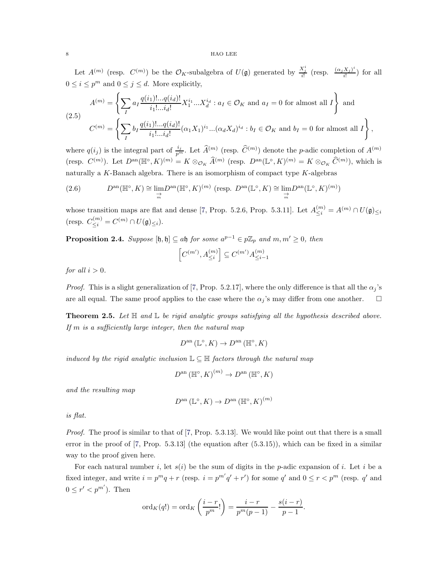Let  $A^{(m)}$  (resp.  $C^{(m)}$ ) be the  $\mathcal{O}_K$ -subalgebra of  $U(\mathfrak{g})$  generated by  $\frac{X_j^i}{i!}$  (resp.  $\frac{(\alpha_j X_j)^i}{i!}$  $\frac{\Delta_j f}{i!}$  for all  $0 \leq i \leq p^m$  and  $0 \leq j \leq d$ . More explicitly,

<span id="page-7-1"></span>
$$
A^{(m)} = \left\{ \sum_{I} a_{I} \frac{q(i_{1})!...q(i_{d})!}{i_{1}!...i_{d}!} X_{1}^{i_{1}}...X_{d}^{i_{d}} : a_{I} \in \mathcal{O}_{K} \text{ and } a_{I} = 0 \text{ for almost all } I \right\} \text{ and}
$$
  

$$
C^{(m)} = \left\{ \sum_{I} b_{I} \frac{q(i_{1})!...q(i_{d})!}{i_{1}!...i_{d}!} (\alpha_{1}X_{1})^{i_{1}}...(\alpha_{d}X_{d})^{i_{d}} : b_{I} \in \mathcal{O}_{K} \text{ and } b_{I} = 0 \text{ for almost all } I \right\},
$$

where  $q(i_j)$  is the integral part of  $\frac{i_j}{p^m}$ . Let  $\widehat{A}^{(m)}$  (resp.  $\widehat{C}^{(m)}$ ) denote the *p*-adic completion of  $A^{(m)}$ (resp.  $C^{(m)}$ ). Let  $D^{\text{an}}(\mathbb{H}^{\circ}, K)^{(m)} = K \otimes_{\mathcal{O}_K} \widehat{A}^{(m)}$  (resp.  $D^{\text{an}}(\mathbb{L}^{\circ}, K)^{(m)} = K \otimes_{\mathcal{O}_K} \widehat{C}^{(m)}$ ), which is naturally a  $K$ -Banach algebra. There is an isomorphism of compact type  $K$ -algebras

<span id="page-7-3"></span>(2.6) 
$$
D^{\text{an}}(\mathbb{H}^{\circ}, K) \cong \lim_{\substack{\to \\ m}} D^{\text{an}}(\mathbb{H}^{\circ}, K)^{(m)} \text{ (resp. } D^{\text{an}}(\mathbb{L}^{\circ}, K) \cong \lim_{\substack{\to \\ m}} D^{\text{an}}(\mathbb{L}^{\circ}, K)^{(m)} \text{)}
$$

whose transition maps are flat and dense [\[7,](#page-34-4) Prop. 5.2.6, Prop. 5.3.11]. Let  $A_{\leq i}^{(m)} = A^{(m)} \cap U(\mathfrak{g})_{\leq i}$ (resp.  $C_{\leq i}^{(m)} = C^{(m)} \cap U(\mathfrak{g})_{\leq i}).$ 

<span id="page-7-2"></span>**Proposition 2.4.** Suppose  $[\mathfrak{h}, \mathfrak{h}] \subseteq \mathfrak{a} \mathfrak{h}$  for some  $\mathfrak{a}^{p-1} \in p\mathbb{Z}_p$  and  $m, m' \geq 0$ , then

$$
\left[C^{(m')},A^{(m)}_{\leq i}\right]\subseteq C^{(m')}A^{(m)}_{\leq i-1}
$$

for all  $i > 0$ .

*Proof.* This is a slight generalization of [\[7,](#page-34-4) Prop. 5.2.17], where the only difference is that all the  $\alpha_j$ 's are all equal. The same proof applies to the case where the  $\alpha_j$ 's may differ from one another.  $\Box$ 

<span id="page-7-0"></span>**Theorem 2.5.** Let  $\mathbb{H}$  and  $\mathbb{L}$  be rigid analytic groups satisfying all the hypothesis described above. If  $m$  is a sufficiently large integer, then the natural map

$$
D^{\rm an}(\mathbb{L}^\circ, K) \to D^{\rm an}(\mathbb{H}^\circ, K)
$$

induced by the rigid analytic inclusion  $\mathbb{L} \subseteq \mathbb{H}$  factors through the natural map

$$
D^{\mathrm{an}}\left(\mathbb{H}^{\circ},K\right)^{(m)} \to D^{\mathrm{an}}\left(\mathbb{H}^{\circ},K\right)
$$

and the resulting map

$$
D^{\mathrm{an}}\left(\mathbb{L}^{\circ}, K\right) \to D^{\mathrm{an}}\left(\mathbb{H}^{\circ}, K\right)^{(m)}
$$

is flat.

Proof. The proof is similar to that of [\[7,](#page-34-4) Prop. 5.3.13]. We would like point out that there is a small error in the proof of [\[7,](#page-34-4) Prop. 5.3.13] (the equation after (5.3.15)), which can be fixed in a similar way to the proof given here.

For each natural number i, let  $s(i)$  be the sum of digits in the p-adic expansion of i. Let i be a fixed integer, and write  $i = p^m q + r$  (resp.  $i = p^{m'} q' + r'$ ) for some q' and  $0 \le r < p^m$  (resp. q' and  $0 \leq r' < p^{m'}$ ). Then

$$
\mathrm{ord}_K(q!) = \mathrm{ord}_K\left(\frac{i-r}{p^m}!\right) = \frac{i-r}{p^m(p-1)} - \frac{s(i-r)}{p-1}.
$$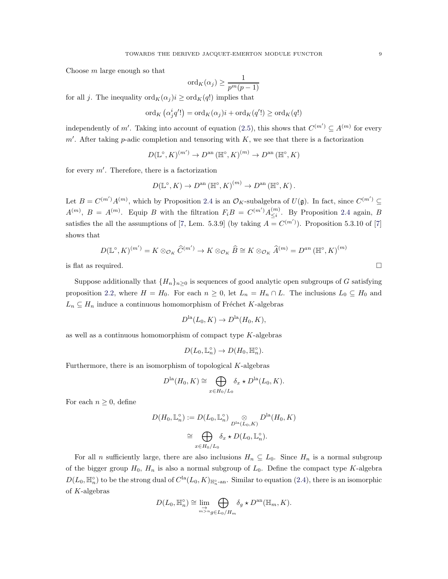Choose  $m$  large enough so that

$$
\mathrm{ord}_K(\alpha_j) \ge \frac{1}{p^m(p-1)}
$$

for all j. The inequality  $\text{ord}_K(\alpha_j)i \geq \text{ord}_K(q!)$  implies that

$$
\mathrm{ord}_K\left(\alpha_j^iq'!\right)=\mathrm{ord}_K(\alpha_j)i+\mathrm{ord}_K(q'!)\geq \mathrm{ord}_K(q!)
$$

independently of m'. Taking into account of equation [\(2.5\)](#page-7-1), this shows that  $C^{(m')} \subseteq A^{(m)}$  for every  $m'$ . After taking p-adic completion and tensoring with  $K$ , we see that there is a factorization

$$
D(\mathbb{L}^{\circ}, K)^{(m')} \to D^{\text{an}}(\mathbb{H}^{\circ}, K)^{(m)} \to D^{\text{an}}(\mathbb{H}^{\circ}, K)
$$

for every m′ . Therefore, there is a factorization

$$
D(\mathbb{L}^{\circ}, K) \to D^{\text{an}}(\mathbb{H}^{\circ}, K)^{(m)} \to D^{\text{an}}(\mathbb{H}^{\circ}, K).
$$

Let  $B = C^{(m')}A^{(m)}$ , which by Proposition [2.4](#page-7-2) is an  $\mathcal{O}_K$ -subalgebra of  $U(\mathfrak{g})$ . In fact, since  $C^{(m')} \subseteq$  $A^{(m)}$ ,  $B = A^{(m)}$ . Equip B with the filtration  $F_i B = C^{(m')} A^{(m)}_{\leq i}$  $\zeta_i^{(m)}$ . By Proposition [2.4](#page-7-2) again, B satisfies the all the assumptions of [\[7,](#page-34-4) Lem. 5.3.9] (by taking  $A = C^{(m')}$ ). Proposition 5.3.10 of [\[7\]](#page-34-4) shows that

$$
D(\mathbb{L}^{\circ}, K)^{(m')} = K \otimes_{\mathcal{O}_K} \widehat{C}^{(m')} \to K \otimes_{\mathcal{O}_K} \widehat{B} \cong K \otimes_{\mathcal{O}_K} \widehat{A}^{(m)} = D^{an} (\mathbb{H}^{\circ}, K)^{(m)}
$$

is flat as required.  $\square$ 

Suppose additionally that  $\{H_n\}_{n>0}$  is sequences of good analytic open subgroups of G satisfying proposition [2.2,](#page-3-0) where  $H = H_0$ . For each  $n \geq 0$ , let  $L_n = H_n \cap L$ . The inclusions  $L_0 \subseteq H_0$  and  $L_n \subseteq H_n$  induce a continuous homomorphism of Fréchet K-algebras

$$
D^{\text{la}}(L_0, K) \to D^{\text{la}}(H_0, K),
$$

as well as a continuous homomorphism of compact type  $K$ -algebras

$$
D(L_0, \mathbb{L}_n^{\circ}) \to D(H_0, \mathbb{H}_n^{\circ}).
$$

Furthermore, there is an isomorphism of topological  $K$ -algebras

$$
D^{\text{la}}(H_0, K) \cong \bigoplus_{x \in H_0/L_0} \delta_x \star D^{\text{la}}(L_0, K).
$$

For each  $n \geq 0$ , define

$$
D(H_0, \mathbb{L}_n^{\circ}) := D(L_0, \mathbb{L}_n^{\circ}) \underset{D^{\text{la}}(L_0, K)}{\otimes} D^{\text{la}}(H_0, K)
$$
  
\n
$$
\cong \bigoplus_{x \in H_0/L_0} \delta_x \star D(L_0, \mathbb{L}_n^{\circ}).
$$

For all n sufficiently large, there are also inclusions  $H_n \subseteq L_0$ . Since  $H_n$  is a normal subgroup of the bigger group  $H_0$ ,  $H_n$  is also a normal subgroup of  $L_0$ . Define the compact type K-algebra  $D(L_0, \mathbb{H}_n^{\circ})$  to be the strong dual of  $C^{\text{la}}(L_0, K)_{\mathbb{H}_n^{\circ}$ -an. Similar to equation [\(2.4\)](#page-5-1), there is an isomorphic of K-algebras

$$
D(L_0, \mathbb{H}_n^{\circ}) \cong \lim_{\substack{\to \\ m > n}} \bigoplus_{g \in L_0/H_m} \delta_g \star D^{\text{an}}(\mathbb{H}_m, K).
$$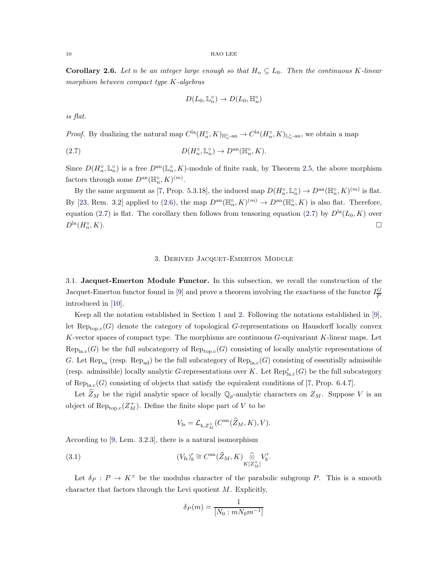<span id="page-9-3"></span>**Corollary 2.6.** Let n be an integer large enough so that  $H_n \subseteq L_0$ . Then the continuous K-linear morphism between compact type K-algebras

<span id="page-9-2"></span>
$$
D(L_0, \mathbb{L}_n^{\circ}) \to D(L_0, \mathbb{H}_n^{\circ})
$$

is flat.

*Proof.* By dualizing the natural map  $C^{la}(H_n^{\circ}, K)_{\mathbb{H}_n^{\circ}\text{-an}} \to C^{la}(H_n^{\circ}, K)_{\mathbb{L}_n^{\circ}\text{-an}}$ , we obtain a map

(2.7) 
$$
D(H_n^{\circ}, \mathbb{L}_n^{\circ}) \to D^{\text{an}}(\mathbb{H}_n^{\circ}, K).
$$

Since  $D(H_n^{\circ}, \mathbb{L}_n^{\circ})$  is a free  $D^{\text{an}}(\mathbb{L}_n^{\circ}, K)$ -module of finite rank, by Theorem [2.5,](#page-7-0) the above morphism factors through some  $D^{\text{an}}(\mathbb{H}_n^{\circ}, K)^{(m)}$ .

By the same argument as [\[7,](#page-34-4) Prop. 5.3.18], the induced map  $D(H_n^{\circ}, \mathbb{L}_n^{\circ}) \to D^{\text{an}}(\mathbb{H}_n^{\circ}, K)^{(m)}$  is flat. By [\[23,](#page-35-0) Rem. 3.2] applied to [\(2.6\)](#page-7-3), the map  $D^{an}(\mathbb{H}_n^{\circ}, K)^{(m)} \to D^{an}(\mathbb{H}_n^{\circ}, K)$  is also flat. Therefore, equation (2.[7\)](#page-9-2) is flat. The corollary then follows from tensoring equation [\(2](#page-9-2).7) by  $D<sup>la</sup>(L_0, K)$  over  $D^{\text{la}}(H_n^{\circ},K).$  $\Gamma_n^{\circ}, K$ ).

## 3. Derived Jacquet-Emerton Module

<span id="page-9-1"></span><span id="page-9-0"></span>3.1. Jacquet-Emerton Module Functor. In this subsection, we recall the construction of the Jacquet-Emerton functor found in [\[9\]](#page-34-0) and prove a theorem involving the exactness of the functor  $I_{\overline{P}}^G$ P introduced in [\[10\]](#page-34-2).

Keep all the notation established in Section [1](#page-0-0) and [2.](#page-2-0) Following the notations established in [\[9\]](#page-34-0), let  $\text{Rep}_{\text{top.c}}(G)$  denote the category of topological G-representations on Hausdorff locally convex K-vector spaces of compact type. The morphisms are continuous G-equivariant K-linear maps. Let  $Rep<sub>la.c</sub>(G)$  be the full subcategorry of  $Rep<sub>top.c</sub>(G)$  consisting of locally analytic representations of G. Let  $\text{Rep}_{\text{es}}$  (resp.  $\text{Rep}_{\text{ad}}$ ) be the full subcategory of  $\text{Rep}_{\text{lac}}(G)$  consisting of essentially admissible (resp. admissible) locally analytic G-representations over K. Let  $\text{Rep}^z_{\text{lac}}(G)$  be the full subcategory of Rep<sub>la.c</sub>(G) consisting of objects that satisfy the equivalent conditions of [\[7,](#page-34-4) Prop. 6.4.7].

Let  $Z_M$  be the rigid analytic space of locally  $\mathbb{Q}_p$ -analytic characters on  $Z_M$ . Suppose V is an object of  $\text{Rep}_{\text{top.c}}(Z_M^+)$ . Define the finite slope part of V to be

<span id="page-9-4"></span>
$$
V_{\text{fs}} = \mathcal{L}_{b,Z_M^+}(C^{\text{an}}(\widehat{Z}_M, K), V).
$$

According to [\[9,](#page-34-0) Lem. 3.2.3], there is a natural isomorphism

(3.1) 
$$
(V_{\text{fs}})'_b \cong C^{\text{an}}(\widehat{Z}_M, K) \underset{K[Z_M^+]}{\widehat{\otimes}} V'_b
$$

Let  $\delta_P$ :  $P \to K^\times$  be the modulus character of the parabolic subgroup P. This is a smooth character that factors through the Levi quotient  $M$ . Explicitly,

.

$$
\delta_P(m)=\frac{1}{[N_0:mN_0m^{-1}]}
$$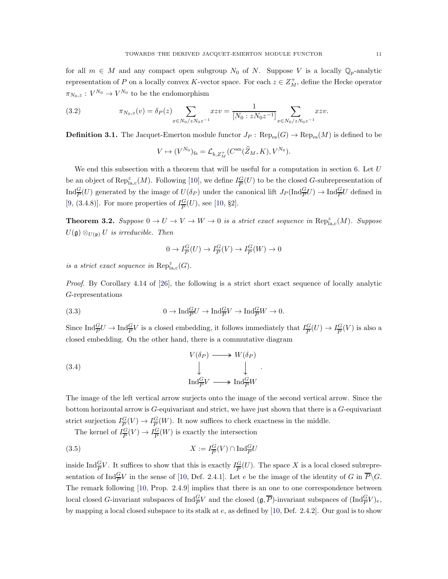for all  $m \in M$  and any compact open subgroup  $N_0$  of N. Suppose V is a locally  $\mathbb{Q}_p$ -analytic representation of P on a locally convex K-vector space. For each  $z \in Z_M^+$ , define the Hecke operator  $\pi_{N_0,z}: V^{N_0} \to V^{N_0}$  to be the endomorphism

<span id="page-10-1"></span>(3.2) 
$$
\pi_{N_0,z}(v) = \delta_P(z) \sum_{x \in N_0/zN_0z^{-1}} xzv = \frac{1}{[N_0:zN_0z^{-1}]} \sum_{x \in N_0/zN_0z^{-1}} xzv.
$$

**Definition 3.1.** The Jacquet-Emerton module functor  $J_P$ :  $\text{Rep}_{\text{es}}(G) \to \text{Rep}_{\text{es}}(M)$  is defined to be

$$
V \mapsto (V^{N_0})_{\text{fs}} = \mathcal{L}_{b, Z_M^+}(C^{\text{an}}(\widehat{Z}_M, K), V^{N_0}).
$$

We end this subsection with a theorem that will be useful for a computation in section [6.](#page-32-0) Let  $U$ be an object of  $\operatorname{Rep}^z_{\text{la,c}}(M)$ . Following [\[10\]](#page-34-2), we define  $I_{\overline{P}}^G$  $\frac{G}{P}(U)$  to be the closed G-subrepresentation of  $\text{Ind}_{\overline{P}}^{\overline{G}}(U)$  generated by the image of  $U(\delta_P)$  under the canonical lift  $J_P(\text{Ind}_{\overline{P}}^{\overline{G}}U) \to \text{Ind}_{\overline{P}}^{\overline{G}}U$  defined in [\[9,](#page-34-0) (3.4.8)]. For more properties of  $I_{\overline{P}}^G$  $\frac{G}{P}(U)$ , see [\[10,](#page-34-2) §2].

<span id="page-10-2"></span>**Theorem 3.2.** Suppose  $0 \to U \to V \to W \to 0$  is a strict exact sequence in  $\text{Rep}^z_{\text{la},\text{c}}(M)$ . Suppose  $U(\mathfrak{g}) \otimes_{U(\mathfrak{p})} U$  is irreducible. Then

<span id="page-10-0"></span>
$$
0 \to I_{\overline{P}}^G(U) \to I_{\overline{P}}^G(V) \to I_{\overline{P}}^G(W) \to 0
$$

is a strict exact sequence in  $\text{Rep}^z_{\text{la},\text{c}}(G)$ .

Proof. By Corollary 4.14 of [\[26\]](#page-35-3), the following is a strict short exact sequence of locally analytic G-representations

(3.3) 
$$
0 \to \text{Ind}_{\overline{P}}^{\underline{G}}U \to \text{Ind}_{\overline{P}}^{\underline{G}}V \to \text{Ind}_{\overline{P}}^{\underline{G}}W \to 0.
$$

Since  $\text{Ind}_{\overline{P}}^{\overline{G}}U \to \text{Ind}_{\overline{P}}^{\overline{G}}V$  is a closed embedding, it follows immediately that  $I_{\overline{P}}^{\overline{G}}$  $\frac{G}{P}(U) \to I_{\overline{P}}^G$  $\frac{G}{P}(V)$  is also a closed embedding. On the other hand, there is a commutative diagram

(3.4) 
$$
V(\delta_P) \longrightarrow W(\delta_P)
$$

$$
\downarrow \qquad \qquad \downarrow \qquad \qquad .
$$

$$
\operatorname{Ind}_{\overline{P}}^{\underline{G}}V \longrightarrow \operatorname{Ind}_{\overline{P}}^{\underline{G}}W
$$

The image of the left vertical arrow surjects onto the image of the second vertical arrow. Since the bottom horizontal arrow is G-equivariant and strict, we have just shown that there is a G-equivariant strict surjection  $I_{\overline{P}}^G$  $\frac{G}{P}(V) \to I_{\overline{P}}^G$  $\frac{G}{P}(W)$ . It now suffices to check exactness in the middle.

The kernel of  $I_{\overline{R}}^G$  $\frac{G}{P}(V) \to I_{\overline{P}}^G$  $\frac{G}{P}(W)$  is exactly the intersection

(3.5) 
$$
X := I_{\overline{P}}^G(V) \cap \text{Ind}_{\overline{P}}^G U
$$

inside Ind $\frac{G}{P}V$ . It suffices to show that this is exactly  $I_{\overline{P}}^G$  $\frac{G}{P}(U)$ . The space X is a local closed subrepresentation of  $\text{Ind}_{\overline{P}}^{\overline{G}}V$  in the sense of [\[10,](#page-34-2) Def. 2.4.1]. Let e be the image of the identity of G in  $\overline{P}\backslash G$ . The remark following [\[10,](#page-34-2) Prop. 2.4.9] implies that there is an one to one correspondence between local closed G-invariant subspaces of  $\text{Ind}_{\overline{P}}^{\overline{G}}V$  and the closed  $(\mathfrak{g},\overline{P})$ -invariant subspaces of  $(\text{Ind}_{\overline{P}}^{\overline{G}}V)_{e}$ , by mapping a local closed subspace to its stalk at e, as defined by [\[10,](#page-34-2) Def. 2.4.2]. Our goal is to show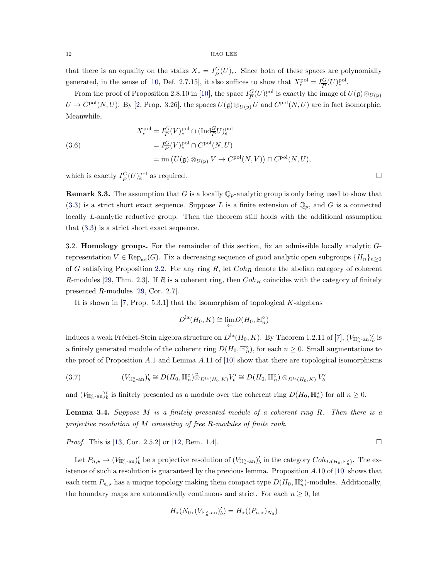that there is an equality on the stalks  $X_e = I_{\overline{P}}^G$  $\frac{G}{P}(U)_e$ . Since both of these spaces are polynomially generated, in the sense of [\[10,](#page-34-2) Def. 2.7.15], it also suffices to show that  $X_e^{\text{pol}} = I_{\overline{P}}^G$  $\frac{G}{P}(U)_{e}^{\text{pol}}.$ 

From the proof of Proposition 2.8.10 in [\[10\]](#page-34-2), the space  $I_{\overline{P}}^G$  $\frac{G}{P}(U)_{e}^{\text{pol}}$  is exactly the image of  $U(\mathfrak{g}) \otimes_{U(\mathfrak{p})}$  $U \to C^{\text{pol}}(N, U)$ . By [\[2,](#page-34-8) Prop. 3.26], the spaces  $U(\mathfrak{g}) \otimes_{U(\mathfrak{p})} U$  and  $C^{\text{pol}}(N, U)$  are in fact isomorphic. Meanwhile,

(3.6)  
\n
$$
X_e^{\text{pol}} = I_{\overline{P}}^G(V)_e^{\text{pol}} \cap (\text{Ind}_{\overline{P}}^G U)_e^{\text{pol}}
$$
\n
$$
= I_{\overline{P}}^G(V)_e^{\text{pol}} \cap C^{\text{pol}}(N, U)
$$
\n
$$
= \text{im} (U(\mathfrak{g}) \otimes_{U(\mathfrak{p})} V \to C^{\text{pol}}(N, V)) \cap C^{\text{pol}}(N, U),
$$

which is exactly  $I_{\overline{P}}^G$  $\frac{G}{P}(U)e^{\text{ol}}$  as required.

**Remark 3.3.** The assumption that G is a locally  $\mathbb{Q}_p$ -analytic group is only being used to show that  $(3.3)$  is a strict short exact sequence. Suppose L is a finite extension of  $\mathbb{Q}_p$ , and G is a connected locally L-analytic reductive group. Then the theorem still holds with the additional assumption that [\(3.3\)](#page-10-0) is a strict short exact sequence.

<span id="page-11-0"></span>3.2. Homology groups. For the remainder of this section, fix an admissible locally analytic Grepresentation  $V \in \text{Rep}_{ad}(G)$ . Fix a decreasing sequence of good analytic open subgroups  $\{H_n\}_{n>0}$ of G satisfying Proposition [2.2.](#page-3-0) For any ring R, let  $Coh_R$  denote the abelian category of coherent R-modules [\[29,](#page-35-4) Thm. 2.3]. If R is a coherent ring, then  $Coh_R$  coincides with the category of finitely presented R-modules [\[29,](#page-35-4) Cor. 2.7].

It is shown in [\[7,](#page-34-4) Prop.  $5.3.1$ ] that the isomorphism of topological K-algebras

$$
D^{\text{la}}(H_0, K) \cong \lim_{\leftarrow} D(H_0, \mathbb{H}_n^{\circ})
$$

induces a weak Fréchet-Stein algebra structure on  $D^{\text{la}}(H_0, K)$ . By Theorem 1.2.11 of [\[7\]](#page-34-4),  $(V_{\mathbb{H}^\circ_n\text{-an}})'_b$  is a finitely generated module of the coherent ring  $D(H_0, \mathbb{H}_n^{\circ})$ , for each  $n \geq 0$ . Small augmentations to the proof of Proposition A.1 and Lemma A.11 of [\[10\]](#page-34-2) show that there are topological isomorphisms

<span id="page-11-1"></span>
$$
(3.7) \qquad (V_{\mathbb{H}_n^{\circ}\text{-an}})'_b \cong D(H_0, \mathbb{H}_n^{\circ}) \widehat{\otimes}_{D^{\text{la}}(H_0, K)} V'_b \cong D(H_0, \mathbb{H}_n^{\circ}) \otimes_{D^{\text{la}}(H_0, K)} V'_b
$$

and  $(V_{\mathbb{H}_n^{\circ}\text{-an}})'_b$  is finitely presented as a module over the coherent ring  $D(H_0, \mathbb{H}_n^{\circ})$  for all  $n \geq 0$ .

**Lemma 3.4.** Suppose M is a finitely presented module of a coherent ring R. Then there is a projective resolution of M consisting of free R-modules of finite rank.

*Proof.* This is [\[13,](#page-34-9) Cor. 2.5.2] or [\[12,](#page-34-10) Rem. 1.4].

Let  $P_{n,\star} \to (V_{\mathbb{H}_{n}^{\circ} \text{-an}})'_b$  be a projective resolution of  $(V_{\mathbb{H}_{n}^{\circ} \text{-an}})'_b$  in the category  $Coh_{D(H_0, \mathbb{H}_{n}^{\circ})}$ . The existence of such a resolution is guaranteed by the previous lemma. Proposition A.10 of [\[10\]](#page-34-2) shows that each term  $P_{n,\star}$  has a unique topology making them compact type  $D(H_0, \mathbb{H}_n^{\circ})$ -modules. Additionally, the boundary maps are automatically continuous and strict. For each  $n \geq 0$ , let

$$
H_{\star}(N_0,(V_{\mathbb{H}_n^\circ\text{-an}})'_b)=H_{\star}((P_{n,\star})_{N_0})
$$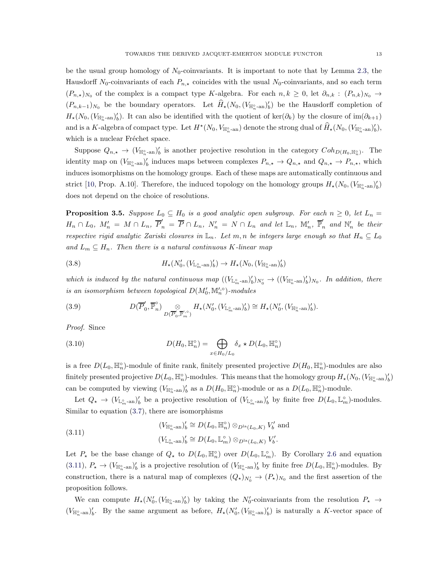be the usual group homology of  $N_0$ -coinvariants. It is important to note that by Lemma [2.3,](#page-6-0) the Hausdorff N<sub>0</sub>-coinvariants of each  $P_{n,\star}$  coincides with the usual N<sub>0</sub>-coinvariants, and so each term  $(P_{n,\star})_{N_0}$  of the complex is a compact type K-algebra. For each  $n, k \geq 0$ , let  $\partial_{n,k} : (P_{n,k})_{N_0} \to$  $(P_{n,k-1})_{N_0}$  be the boundary operators. Let  $\widehat{H}_\star(N_0,(V_{\mathbb{H}_n^{\circ} \text{-an}})'_b)$  be the Hausdorff completion of  $H_*(N_0, (V_{\mathbb{H}_n^{\circ}-an})'_b)$ . It can also be identified with the quotient of ker $(\partial_k)$  by the closure of  $\text{im}(\partial_{k+1})$ and is a K-algebra of compact type. Let  $H^*(N_0, V_{\mathbb{H}_n^{\circ}\text{-an}})$  denote the strong dual of  $\widehat{H}_*(N_0, (V_{\mathbb{H}_n^{\circ}\text{-an}})'_b)$ , which is a nuclear Fréchet space.

Suppose  $Q_{n,\star} \to (V_{\mathbb{H}_n^{\circ} \text{-an}})'_b$  is another projective resolution in the category  $Coh_{D(H_0, \mathbb{H}_n^{\circ})}$ . The identity map on  $(V_{\mathbb{H}_{n}^{\circ}}\text{-an})'_{b}$  induces maps between complexes  $P_{n,\star} \to Q_{n,\star}$  and  $Q_{n,\star} \to P_{n,\star}$ , which induces isomorphisms on the homology groups. Each of these maps are automatically continuous and strict [\[10,](#page-34-2) Prop. A.10]. Therefore, the induced topology on the homology groups  $H_{\star}(N_0,(V_{\mathbb{H}_n^{\circ} \text{-an}})'_b)$ does not depend on the choice of resolutions.

<span id="page-12-2"></span>**Proposition 3.5.** Suppose  $L_0 \subseteq H_0$  is a good analytic open subgroup. For each  $n \geq 0$ , let  $L_n =$  $H_n \cap L_0$ ,  $M'_n = M \cap L_n$ ,  $\overline{P}'_n = \overline{P} \cap L_n$ ,  $N'_n = N \cap L_n$  and let  $\mathbb{L}_n$ ,  $\mathbb{M}'_n$ ,  $\overline{\mathbb{P}}'_n$  and  $\mathbb{N}'_n$  be their respective rigid analytic Zariski closures in  $\mathbb{L}_n$ . Let m, n be integers large enough so that  $H_n \subseteq L_0$ and  $L_m \subseteq H_n$ . Then there is a natural continuous K-linear map

<span id="page-12-3"></span>(3.8) 
$$
H_{\star}(N'_{0},(V_{\mathbb{L}_{m}^{\circ}\text{-an}})'_{b}) \to H_{\star}(N_{0},(V_{\mathbb{H}_{n}^{\circ}\text{-an}})'_{b})
$$

which is induced by the natural continuous map  $((V_{\mathbb{L}_m^{\circ}}_{m}-\mathrm{an})_b')_{N_0'} \to ((V_{\mathbb{H}_n^{\circ}}_{m}-\mathrm{an})_b')_{N_0}$ . In addition, there is an isomorphism between topological  $D(M'_0, M'^{\circ}_n)$ -modules

<span id="page-12-1"></span>(3.9) 
$$
D(\overline{P}'_0, \overline{\mathbb{P}}_n^{\circ}) \underset{D(\overline{P}'_0, \overline{\mathbb{P}}'_m)}{\otimes} H_{\star}(N'_0, (V_{\mathbb{L}_m^{\circ}\text{-an}})'_b) \cong H_{\star}(N'_0, (V_{\mathbb{H}_n^{\circ}\text{-an}})'_b).
$$

Proof. Since

(3.10) 
$$
D(H_0, \mathbb{H}_n^{\circ}) = \bigoplus_{x \in H_0/L_0} \delta_x * D(L_0, \mathbb{H}_n^{\circ})
$$

is a free  $D(L_0, \mathbb{H}_n^{\circ})$ -module of finite rank, finitely presented projective  $D(H_0, \mathbb{H}_n^{\circ})$ -modules are also finitely presented projective  $D(L_0, \mathbb{H}_n^{\circ})$ -modules. This means that the homology group  $H_{\star}(N_0, (V_{\mathbb{H}_n^{\circ} \text{-an}})'_b)$ can be computed by viewing  $(V_{\mathbb{H}_n^{\circ}\text{-an}})'_b$  as a  $D(H_0, \mathbb{H}_n^{\circ})$ -module or as a  $D(L_0, \mathbb{H}_n^{\circ})$ -module.

Let  $Q_{\star} \to (V_{\mathbb{L}_{m}^{\circ}-\text{an}})'_b$  be a projective resolution of  $(V_{\mathbb{L}_{m}^{\circ}-\text{an}})'_b$  by finite free  $D(L_0, \mathbb{L}_m^{\circ})$ -modules. Similar to equation [\(3.7\)](#page-11-1), there are isomorphisms

<span id="page-12-0"></span>(3.11) 
$$
(V_{\mathbb{H}_n^{\circ}\text{-an}})'_b \cong D(L_0, \mathbb{H}_n^{\circ}) \otimes_{D^{\text{la}}(L_0, K)} V'_b \text{ and}
$$

$$
(V_{\mathbb{L}_m^{\circ}\text{-an}})'_b \cong D(L_0, \mathbb{L}_m^{\circ}) \otimes_{D^{\text{la}}(L_0, K)} V'_b.
$$

Let  $P_{\star}$  be the base change of  $Q_{\star}$  to  $D(L_0, \mathbb{H}_n^{\circ})$  over  $D(L_0, \mathbb{L}_m^{\circ})$ . By Corollary [2.6](#page-9-3) and equation  $(3.11), P_{\star} \to (V_{\mathbb{H}_{n}^{\circ} \text{-an}})'_{b}$  $(3.11), P_{\star} \to (V_{\mathbb{H}_{n}^{\circ} \text{-an}})'_{b}$  is a projective resolution of  $(V_{\mathbb{H}_{n}^{\circ} \text{-an}})'_{b}$  by finite free  $D(L_0, \mathbb{H}_{n}^{\circ})$ -modules. By construction, there is a natural map of complexes  $(Q_\star)_{N'_0} \to (P_\star)_{N_0}$  and the first assertion of the proposition follows.

We can compute  $H_*(N'_0, (V_{\mathbb{H}_n^{\circ}}\text{-an})'_b)$  by taking the  $N'_0$ -coinvariants from the resolution  $P_* \to$  $(V_{\mathbb{H}_{n}^{\circ} \text{-an}})'_b$ . By the same argument as before,  $H_{\star}(N'_{0},(V_{\mathbb{H}_{n}^{\circ} \text{-an}})'_b)$  is naturally a K-vector space of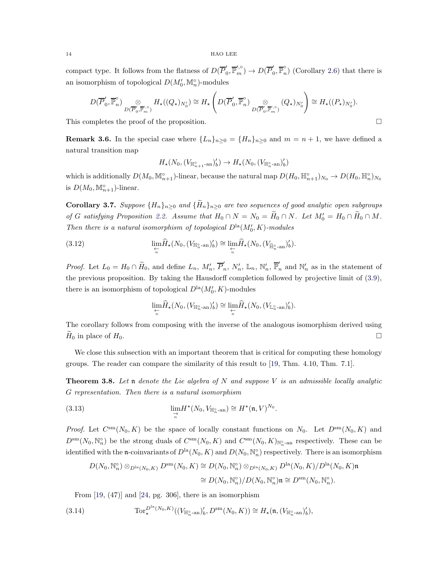compact type. It follows from the flatness of  $D(\overline{P}_{0}^{\prime})$  $D(\overline{P}'_{m}) \to D(\overline{P}'_{0})$  $\binom{0}{0}, \overline{\mathbb{P}}_n^{\circ}$  (Corollary [2.6\)](#page-9-3) that there is an isomorphism of topological  $D(M'_0, \mathbb{M}_n^{\circ})$ -modules

$$
D(\overline{P}'_0, \overline{\mathbb{P}}_n) \underset{D(\overline{P}'_0, \overline{\mathbb{P}}_m'^{\circ})}{\otimes} H_{\star}((Q_{\star})_{N'_0}) \cong H_{\star} \left( D(\overline{P}'_0, \overline{\mathbb{P}}_n^{\circ}) \underset{D(\overline{P}'_0, \overline{\mathbb{P}}_m'^{\circ})}{\otimes} (Q_{\star})_{N'_0} \right) \cong H_{\star}((P_{\star})_{N'_0}).
$$

This completes the proof of the proposition.  $\Box$ 

**Remark 3.6.** In the special case where  $\{L_n\}_{n\geq 0} = \{H_n\}_{n\geq 0}$  and  $m = n + 1$ , we have defined a natural transition map

$$
H_{\star}(N_0,(V_{\mathbb{H}^\circ_{n+1}\text{-an}})'_b)\to H_{\star}(N_0,(V_{\mathbb{H}^\circ_{n}\text{-an}})'_b)
$$

which is additionally  $D(M_0, \mathbb{M}_{n+1}^\circ)$ -linear, because the natural map  $D(H_0, \mathbb{H}_{n+1}^\circ)_{N_0} \to D(H_0, \mathbb{H}_{n}^\circ)_{N_0}$ is  $D(M_0, M_{n+1}^{\circ})$ -linear.

<span id="page-13-1"></span>**Corollary 3.7.** Suppose  ${H_n}_{n>0}$  and  ${\tilde{H}_n}_{n>0}$  are two sequences of good analytic open subgroups of G satisfying Proposition [2.2.](#page-3-0) Assume that  $H_0 \cap N = N_0 = \tilde{H}_0 \cap N$ . Let  $M'_0 = H_0 \cap \tilde{H}_0 \cap M$ . Then there is a natural isomorphism of topological  $D<sup>la</sup>(M'_{0}, K)$ -modules

(3.12) 
$$
\lim_{\substack{\leftarrow \\ n}} \widehat{H}_{\star}(N_0, (V_{\mathbb{H}_n^{\circ} \text{-an}})'_b) \cong \lim_{\substack{\leftarrow \\ n}} \widehat{H}_{\star}(N_0, (V_{\widetilde{\mathbb{H}}_n^{\circ} \text{-an}})'_b).
$$

*Proof.* Let  $L_0 = H_0 \cap \widetilde{H}_0$ , and define  $L_n$ ,  $M'_n$ ,  $\overline{P}'_n$  $_{n}^{\prime},\text{ }N_{n}^{\prime},\text{ }\mathbb{L}_{n},\text{ }\mathbb{N}_{n}^{\prime},\text{ }\overline{\mathbb{P}}_{n}^{\prime}$  $n'$  and  $\mathbb{N}'_n$  as in the statement of the previous proposition. By taking the Hausdorff completion followed by projective limit of [\(3.9\)](#page-12-1), there is an isomorphism of topological  $D<sup>la</sup>(M'_{0}, K)$ -modules

$$
\underset{\underset{n}{\leftarrow}}{\lim}\widehat{H}_{\star}(N_{0},(V_{\mathbb{H}_{n}^{\circ}\text{-an}})'_{b})\cong\underset{\underset{n}{\leftarrow}}{\lim}\widehat{H}_{\star}(N_{0},(V_{\mathbb{L}_{n}^{\circ}\text{-an}})'_{b}).
$$

The corollary follows from composing with the inverse of the analogous isomorphism derived using  $H_0$  in place of  $H_0$ .

We close this subsection with an important theorem that is critical for computing these homology groups. The reader can compare the similarity of this result to [\[19,](#page-34-11) Thm. 4.10, Thm. 7.1].

<span id="page-13-0"></span>**Theorem 3.8.** Let n denote the Lie algebra of N and suppose V is an admissible locally analytic G representation. Then there is a natural isomorphism

(3.13) 
$$
\lim_{\substack{\to \\ n}} H^{\star}(N_0, V_{\mathbb{H}_n^{\circ}\text{-an}}) \cong H^{\star}(\mathfrak{n}, V)^{N_0}.
$$

*Proof.* Let  $C^{sm}(N_0, K)$  be the space of locally constant functions on  $N_0$ . Let  $D^{sm}(N_0, K)$  and  $D^{\rm sm}(N_0, \mathbb{N}_n^{\circ})$  be the strong duals of  $C^{\rm sm}(N_0, K)$  and  $C^{\rm sm}(N_0, K)_{\mathbb{N}_n^{\circ}$ -an respectively. These can be identified with the **n**-coinvariants of  $D^{\text{la}}(N_0, K)$  and  $D(N_0, \mathbb{N}_n^{\circ})$  respectively. There is an isomorphism

$$
D(N_0, \mathbb{N}_n^{\circ}) \otimes_{D^{\text{la}}(N_0, K)} D^{\text{sm}}(N_0, K) \cong D(N_0, \mathbb{N}_n^{\circ}) \otimes_{D^{\text{la}}(N_0, K)} D^{\text{la}}(N_0, K) / D^{\text{la}}(N_0, K) \mathfrak{n}
$$
  

$$
\cong D(N_0, \mathbb{N}_n^{\circ}) / D(N_0, \mathbb{N}_n^{\circ}) \mathfrak{n} \cong D^{\text{sm}}(N_0, \mathbb{N}_n^{\circ}).
$$

From  $[19, (47)]$  and  $[24, pg. 306]$ , there is an isomorphism

(3.14) 
$$
\operatorname{Tor}^{\mathcal{D}^{\mathrm{la}}(N_0,K)}_{\star}((V_{\mathbb{H}_n^{\circ}\text{-an}})'_b, D^{\mathrm{sm}}(N_0,K)) \cong H_{\star}(\mathfrak{n},(V_{\mathbb{H}_n^{\circ}\text{-an}})'_b),
$$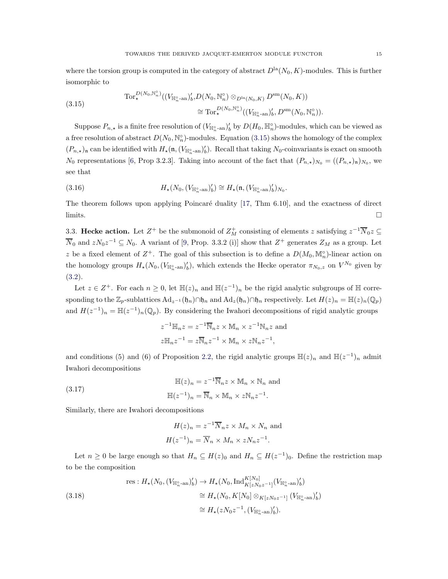where the torsion group is computed in the category of abstract  $D<sup>la</sup>(N_0, K)$ -modules. This is further isomorphic to

<span id="page-14-1"></span>
$$
(3.15) \quad \mathrm{Tor}_{\star}^{D(N_0,\mathbb{N}_n^{\circ})}((V_{\mathbb{H}_n^{\circ}\text{-an}})'_b, D(N_0,\mathbb{N}_n^{\circ})\otimes_{D^{\text{la}}(N_0,K)} D^{\text{sm}}(N_0,K)) \\
\cong \mathrm{Tor}_{\star}^{D(N_0,\mathbb{N}_n^{\circ})}((V_{\mathbb{H}_n^{\circ}\text{-an}})'_b, D^{\text{sm}}(N_0,\mathbb{N}_n^{\circ})).
$$

Suppose  $P_{n,\star}$  is a finite free resolution of  $(V_{\mathbb{H}_n^{\circ}$ -an)'<sub>b</sub> by  $D(H_0, \mathbb{H}_n^{\circ})$ -modules, which can be viewed as a free resolution of abstract  $D(N_0, \mathbb{N}_n^{\circ})$ -modules. Equation [\(3.15\)](#page-14-1) shows the homology of the complex  $(P_{n,\star})$ <sub>n</sub> can be identified with  $H_\star(\mathfrak{n},(V_{\mathbb{H}_n^{\circ}\text{-an}})'_b)$ . Recall that taking  $N_0$ -coinvariants is exact on smooth  $N_0$  representations [\[6,](#page-34-12) Prop 3.2.3]. Taking into account of the fact that  $(P_{n,\star})_{N_0} = ((P_{n,\star})_{\mathfrak{n}})_{N_0}$ , we see that

(3.16) 
$$
H_{\star}(N_0,(V_{\mathbb{H}_n^{\circ}\text{-an}})'_b) \cong H_{\star}(\mathfrak{n},(V_{\mathbb{H}_n^{\circ}\text{-an}})'_b)_{N_0}.
$$

<span id="page-14-0"></span>The theorem follows upon applying Poincaré duality  $[17, Thm 6.10]$ , and the exactness of direct  $\Box$ 

3.3. Hecke action. Let  $Z^+$  be the submonoid of  $Z_M^+$  consisting of elements z satisfying  $z^{-1}\overline{N}_0z \subseteq$  $\overline{N}_0$  and  $zN_0z^{-1} \subseteq N_0$ . A variant of [\[9,](#page-34-0) Prop. 3.3.2 (i)] show that  $Z^+$  generates  $Z_M$  as a group. Let z be a fixed element of  $Z^+$ . The goal of this subsection is to define a  $D(M_0, \mathbb{M}_n^{\circ})$ -linear action on the homology groups  $H_*(N_0, (V_{\mathbb{H}_n^{\circ} \text{-an}})'_b)$ , which extends the Hecke operator  $\pi_{N_0,z}$  on  $V^{N_0}$  given by [\(3.2\)](#page-10-1).

Let  $z \in \mathbb{Z}^+$ . For each  $n \geq 0$ , let  $\mathbb{H}(z)_n$  and  $\mathbb{H}(z^{-1})_n$  be the rigid analytic subgroups of  $\mathbb{H}$  corresponding to the  $\mathbb{Z}_p$ -sublattices  $\mathrm{Ad}_{z^{-1}}(\mathfrak{h}_n) \cap \mathfrak{h}_n$  and  $\mathrm{Ad}_z(\mathfrak{h}_n) \cap \mathfrak{h}_n$  respectively. Let  $H(z)_n = \mathbb{H}(z)_n(\mathbb{Q}_p)$ and  $H(z^{-1})_n = \mathbb{H}(z^{-1})_n(\mathbb{Q}_p)$ . By considering the Iwahori decompositions of rigid analytic groups

$$
z^{-1} \mathbb{H}_n z = z^{-1} \overline{\mathbb{N}}_n z \times \mathbb{M}_n \times z^{-1} \mathbb{N}_n z
$$
 and  

$$
z \mathbb{H}_n z^{-1} = z \overline{\mathbb{N}}_n z^{-1} \times \mathbb{M}_n \times z \mathbb{N}_n z^{-1},
$$

and conditions (5) and (6) of Proposition [2.2,](#page-3-0) the rigid analytic groups  $\mathbb{H}(z)_n$  and  $\mathbb{H}(z^{-1})_n$  admit Iwahori decompositions

<span id="page-14-3"></span>(3.17) 
$$
\mathbb{H}(z)_n = z^{-1} \overline{\mathbb{N}}_n z \times \mathbb{M}_n \times \mathbb{N}_n \text{ and}
$$

$$
\mathbb{H}(z^{-1})_n = \overline{\mathbb{N}}_n \times \mathbb{M}_n \times z \mathbb{N}_n z^{-1}.
$$

Similarly, there are Iwahori decompositions

$$
H(z)_n = z^{-1} \overline{N}_n z \times M_n \times N_n
$$
 and  

$$
H(z^{-1})_n = \overline{N}_n \times M_n \times z N_n z^{-1}.
$$

Let  $n \geq 0$  be large enough so that  $H_n \subseteq H(z)_0$  and  $H_n \subseteq H(z^{-1})_0$ . Define the restriction map to be the composition

<span id="page-14-2"></span>(3.18)  
\n
$$
\text{res}: H_{\star}(N_0, (V_{\mathbb{H}_n^{\circ} \text{-an}})'_b) \to H_{\star}(N_0, \text{Ind}_{K[zN_0z^{-1}]}^{K[N_0]}(V_{\mathbb{H}_n^{\circ} \text{-an}})'_b)
$$
\n
$$
\cong H_{\star}(N_0, K[N_0] \otimes_{K[zN_0z^{-1}]} (V_{\mathbb{H}_n^{\circ} \text{-an}})'_b)
$$
\n
$$
\cong H_{\star}(zN_0z^{-1}, (V_{\mathbb{H}_n^{\circ} \text{-an}})'_b).
$$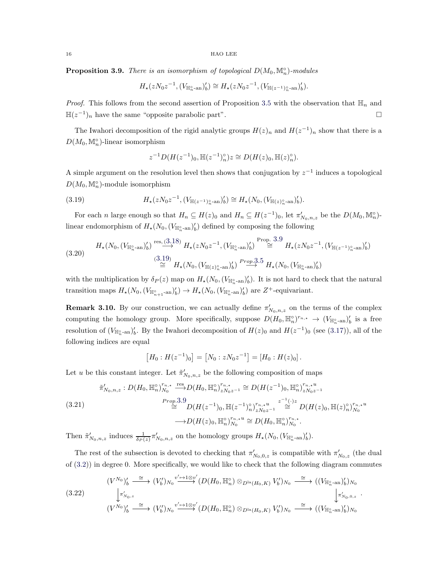<span id="page-15-0"></span>**Proposition 3.9.** There is an isomorphism of topological  $D(M_0, M_n^{\circ})$ -modules

$$
H_{\star}(zN_{0}z^{-1},(V_{\mathbb{H}_{n}^{\circ}\text{-an}})'_{b}) \cong H_{\star}(zN_{0}z^{-1},(V_{\mathbb{H}(z^{-1})_{n}^{\circ}\text{-an}})'_{b}).
$$

*Proof.* This follows from the second assertion of Proposition [3.5](#page-12-2) with the observation that  $\mathbb{H}_n$  and  $\mathbb{H}(z^{-1})_n$  have the same "opposite parabolic part".

The Iwahori decomposition of the rigid analytic groups  $H(z)<sub>n</sub>$  and  $H(z<sup>-1</sup>)<sub>n</sub>$  show that there is a  $D(M_0, \mathbb{M}_n^{\circ})$ -linear isomorphism

<span id="page-15-1"></span>
$$
z^{-1}D(H(z^{-1})_0, \mathbb{H}(z^{-1})_n^{\circ})z \cong D(H(z)_0, \mathbb{H}(z)_n^{\circ}).
$$

A simple argument on the resolution level then shows that conjugation by  $z^{-1}$  induces a topological  $D(M_0, \mathbb{M}_n^{\circ})$ -module isomorphism

(3.19) 
$$
H_{\star}(zN_0z^{-1},(V_{\mathbb{H}(z^{-1})_n^{\circ}\text{-an}})'_b) \cong H_{\star}(N_0,(V_{\mathbb{H}(z)_n^{\circ}\text{-an}})'_b).
$$

For each n large enough so that  $H_n \subseteq H(z)_0$  and  $H_n \subseteq H(z^{-1})_0$ , let  $\pi'_{N_0,n,z}$  be the  $D(M_0, \mathbb{M}_n^{\circ})$ linear endomorphism of  $H_*(N_0, (V_{\mathbb{H}_n^{\circ} \text{-an}})'_b)$  defined by composing the following

$$
(3.20) \tH_{\star}(N_0, (V_{\mathbb{H}_n^{\circ}\text{-an}})'_b) \stackrel{\text{res, } (3.18)}{\to} H_{\star}(zN_0z^{-1}, (V_{\mathbb{H}_n^{\circ}\text{-an}})'_b) \stackrel{\text{Prop. } 3.9}{\cong} H_{\star}(zN_0z^{-1}, (V_{\mathbb{H}(z^{-1})_n^{\circ}\text{-an}})'_b) \stackrel{(3.19)}{\cong} H_{\star}(N_0, (V_{\mathbb{H}(z)_{n^{\circ}\text{-an}})'_b) \stackrel{Prop. } 3.5}{} H_{\star}(N_0, (V_{\mathbb{H}_n^{\circ}\text{-an}})'_b)
$$

with the multiplication by  $\delta_P(z)$  map on  $H_*(N_0,(V_{\mathbb{H}_n^{\circ} \text{-an}})'_b)$ . It is not hard to check that the natural transition maps  $H_*(N_0, (V_{\mathbb{H}_{n+1}^{\circ} - \text{an}})'_b) \to H_*(N_0, (V_{\mathbb{H}_{n}^{\circ} - \text{an}})'_b)$  are  $Z^+$ -equivariant.

<span id="page-15-2"></span>**Remark 3.10.** By our construction, we can actually define  $\pi'_{N_0,n,z}$  on the terms of the complex computing the homology group. More specifically, suppose  $D(H_0, \mathbb{H}_n^{\circ})^{r_{n,*}} \to (V_{\mathbb{H}_n^{\circ} \text{-an}})'_b$  is a free resolution of  $(V_{\mathbb{H}_n^{\circ}$ -an)'<sub>b</sub>. By the Iwahori decomposition of  $H(z)$ <sup>0</sup> and  $H(z^{-1})$ <sup>0</sup> (see [\(3.17\)](#page-14-3)), all of the following indices are equal

$$
[H_0: H(z^{-1})_0] = [N_0: zN_0z^{-1}] = [H_0: H(z)_0].
$$

Let u be this constant integer. Let  $\tilde{\pi}'_{N_0,n,z}$  be the following composition of maps

$$
\tilde{\pi}'_{N_0,n,z}: D(H_0, \mathbb{H}_n^{\circ})_{N_0}^{r_{n,*}} \xrightarrow{\text{res}} D(H_0, \mathbb{H}_n^{\circ})_{zN_0z^{-1}}^{r_{n,*}} \cong D(H(z^{-1})_0, \mathbb{H}_n^{\circ})_{zN_0z^{-1}}^{r_{n,*}u}
$$
\n
$$
(3.21)
$$
\n
$$
\overset{Prop.3.9}{\cong} D(H(z^{-1})_0, \mathbb{H}(z^{-1})_n^{\circ})_{zN_0z^{-1}}^{r_{n,*}u} \xrightarrow{z^{-1}(\cdot)z} D(H(z)_0, \mathbb{H}(z)_n^{\circ})_{N_0}^{r_{n,*}u}
$$
\n
$$
\longrightarrow D(H(z)_0, \mathbb{H}_n^{\circ})_{N_0}^{r_{n,*}u} \cong D(H_0, \mathbb{H}_n^{\circ})_{N_0}^{r_{n,*}}.
$$

Then  $\tilde{\pi}'_{N_0,n,z}$  induces  $\frac{1}{\delta_P(z)}\pi'_{N_0,n,z}$  on the homology groups  $H_*(N_0,(V_{\mathbb{H}_n^{\circ}{}_{\mathbf{a}}\text{an}})'_b)$ .

The rest of the subsection is devoted to checking that  $\pi'_{N_0,0,z}$  is compatible with  $\pi'_{N_0,z}$  (the dual of [\(3.2\)](#page-10-1)) in degree 0. More specifically, we would like to check that the following diagram commutes

$$
(3.22) \qquad (V^{N_0})'_b \xrightarrow{\cong} (V'_b)_{N_0} \xrightarrow{v' \mapsto 1 \otimes v'} (D(H_0, \mathbb{H}_n^{\circ}) \otimes_{D^{\text{la}}(H_0, K)} V'_b)_{N_0} \xrightarrow{\cong} ((V_{\mathbb{H}_n^{\circ} - \text{an}})'_b)_{N_0}
$$
\n
$$
(3.22) \qquad \downarrow \pi'_{N_0, \circ} \xrightarrow{\cong} (V'_b)_{N_0} \xrightarrow{v' \mapsto 1 \otimes v'} (D(H_0, \mathbb{H}_n^{\circ}) \otimes_{D^{\text{la}}(H_0, K)} V'_b)_{N_0} \xrightarrow{\cong} ((V_{\mathbb{H}_n^{\circ} - \text{an}})'_b)_{N_0}
$$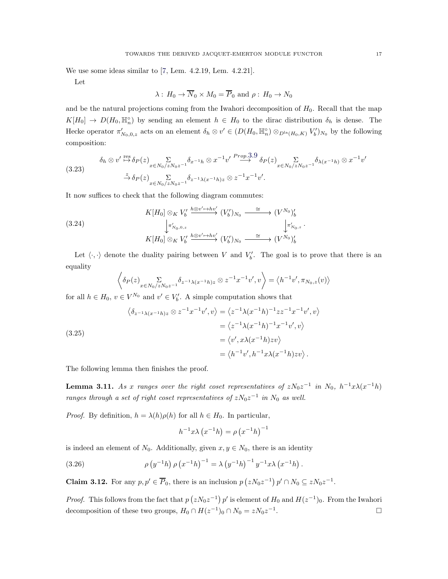We use some ideas similar to [\[7,](#page-34-4) Lem. 4.2.19, Lem. 4.2.21].

Let

$$
\lambda: H_0 \to \overline{N}_0 \times M_0 = \overline{P}_0
$$
 and  $\rho: H_0 \to N_0$ 

and be the natural projections coming from the Iwahori decomposition of  $H_0$ . Recall that the map  $K[H_0] \to D(H_0, \mathbb{H}_n^{\circ})$  by sending an element  $h \in H_0$  to the dirac distribution  $\delta_h$  is dense. The Hecke operator  $\pi'_{N_0,0,z}$  acts on an element  $\delta_h \otimes v' \in (D(H_0, \mathbb{H}_n^{\circ}) \otimes_{D^{\text{la}}(H_0, K)} V'_b)_{N_0}$  by the following composition:

$$
(3.23) \qquad \delta_h \otimes v' \stackrel{\text{res}}{\mapsto} \delta_P(z) \sum_{x \in N_0/zN_0z^{-1}} \delta_{x^{-1}h} \otimes x^{-1}v' \stackrel{Prop.3.9}{\longrightarrow} \delta_P(z) \sum_{x \in N_0/zN_0z^{-1}} \delta_{\lambda(x^{-1}h)} \otimes x^{-1}v'
$$
\n
$$
\stackrel{z}{\to} \delta_P(z) \sum_{x \in N_0/zN_0z^{-1}} \delta_{z^{-1}\lambda(x^{-1}h)z} \otimes z^{-1}x^{-1}v'.
$$

It now suffices to check that the following diagram commutes:

(3.24)  
\n
$$
K[H_0] \otimes_K V'_b \xrightarrow{h \otimes v' \mapsto hv'} (V'_b)_{N_0} \xrightarrow{\cong} (V^{N_0})'_b
$$
\n
$$
\downarrow \pi'_{N_0,0,z}
$$
\n
$$
K[H_0] \otimes_K V'_b \xrightarrow{h \otimes v' \mapsto hv'} (V'_b)_{N_0} \xrightarrow{\cong} (V^{N_0})'_b
$$

Let  $\langle \cdot, \cdot \rangle$  denote the duality pairing between V and  $V'_{b}$ . The goal is to prove that there is an equality

.

$$
\left\langle \delta_P(z) \sum_{x \in N_0/zN_0z^{-1}} \delta_{z^{-1}\lambda(x^{-1}h)z} \otimes z^{-1}x^{-1}v',v \right\rangle = \left\langle h^{-1}v',\pi_{N_0,z}(v) \right\rangle
$$

for all  $h \in H_0$ ,  $v \in V^{N_0}$  and  $v' \in V'_b$ . A simple computation shows that

(3.25)  
\n
$$
\langle \delta_{z^{-1}\lambda(x^{-1}h)z} \otimes z^{-1}x^{-1}v', v \rangle = \langle z^{-1}\lambda(x^{-1}h)^{-1}zz^{-1}x^{-1}v', v \rangle
$$
\n
$$
= \langle z^{-1}\lambda(x^{-1}h)^{-1}x^{-1}v', v \rangle
$$
\n
$$
= \langle v', x\lambda(x^{-1}h)zv \rangle
$$
\n
$$
= \langle h^{-1}v', h^{-1}x\lambda(x^{-1}h)zv \rangle.
$$

The following lemma then finishes the proof.

**Lemma 3.11.** As x ranges over the right coset representatives of  $zN_0z^{-1}$  in  $N_0$ ,  $h^{-1}x\lambda(x^{-1}h)$ ranges through a set of right coset representatives of  $zN_0z^{-1}$  in  $N_0$  as well.

*Proof.* By definition,  $h = \lambda(h)\rho(h)$  for all  $h \in H_0$ . In particular,

<span id="page-16-0"></span>
$$
h^{-1}x\lambda (x^{-1}h) = \rho (x^{-1}h)^{-1}
$$

is indeed an element of  $N_0$ . Additionally, given  $x, y \in N_0$ , there is an identity

(3.26) 
$$
\rho (y^{-1}h) \rho (x^{-1}h)^{-1} = \lambda (y^{-1}h)^{-1} y^{-1} x \lambda (x^{-1}h).
$$

**Claim 3.12.** For any  $p, p' \in \overline{P}_0$ , there is an inclusion  $p(zN_0z^{-1})p' \cap N_0 \subseteq zN_0z^{-1}$ .

*Proof.* This follows from the fact that  $p(zN_0z^{-1})p'$  is element of  $H_0$  and  $H(z^{-1})_0$ . From the Iwahori decomposition of these two groups,  $H_0 \cap H(z^{-1})_0 \cap N_0 = zN_0z^{-1}$ . В последните последните и производите на селото на селото на селото на селото на селото на селото на селото<br>В селото на селото на селото на селото на селото на селото на селото на селото на селото на селото на селото н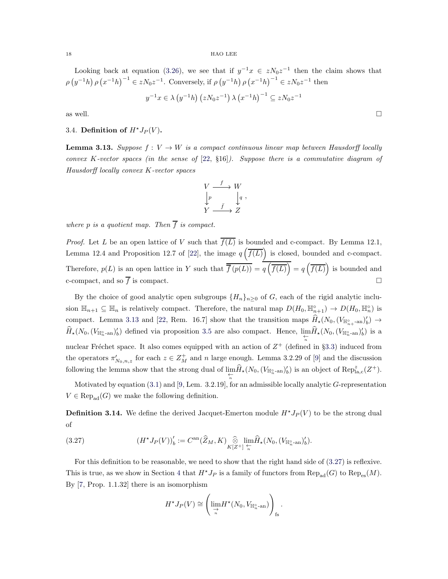Looking back at equation [\(3.26\)](#page-16-0), we see that if  $y^{-1}x \in zN_0z^{-1}$  then the claim shows that  $\rho(y^{-1}h)\rho(x^{-1}h)^{-1} \in zN_0z^{-1}$ . Conversely, if  $\rho(y^{-1}h)\rho(x^{-1}h)^{-1} \in zN_0z^{-1}$  then

$$
y^{-1}x \in \lambda (y^{-1}h) (zN_0z^{-1}) \lambda (x^{-1}h)^{-1} \subseteq zN_0z^{-1}
$$

<span id="page-17-0"></span>as well.

## 3.4. Definition of  $H^*J_P(V)$ .

<span id="page-17-1"></span>**Lemma 3.13.** Suppose  $f: V \to W$  is a compact continuous linear map between Hausdorff locally convex K-vector spaces (in the sense of  $[22, 816]$  $[22, 816]$ ). Suppose there is a commutative diagram of Hausdorff locally convex K-vector spaces

$$
\begin{array}{ccc}\nV & \xrightarrow{f} & W \\
\downarrow{p} & & \downarrow{q} \\
Y & \xrightarrow{f} & Z\n\end{array},
$$

where p is a quotient map. Then  $\overline{f}$  is compact.

*Proof.* Let L be an open lattice of V such that  $\overline{f(L)}$  is bounded and c-compact. By Lemma 12.1, Lemma 12.4 and Proposition 12.7 of [\[22\]](#page-34-14), the image  $q\left(\overline{f(L)}\right)$  is closed, bounded and c-compact. Therefore,  $p(L)$  is an open lattice in Y such that  $\overline{f(p(L))} = q(\overline{f(L)}) = q(\overline{f(L)})$  is bounded and c-compact, and so  $\overline{f}$  is compact.

By the choice of good analytic open subgroups  $\{H_n\}_{n\geq 0}$  of G, each of the rigid analytic inclusion  $\mathbb{H}_{n+1} \subseteq \mathbb{H}_n$  is relatively compact. Therefore, the natural map  $D(H_0, \mathbb{H}_{n+1}^{\circ}) \to D(H_0, \mathbb{H}_n^{\circ})$  is compact. Lemma [3.13](#page-17-1) and [\[22,](#page-34-14) Rem. 16.7] show that the transition maps  $\widehat{H}_{\star}(N_0,(V_{\mathbb{H}_{n_{+}}^{\circ}an})_b^{\prime}) \to$  $\hat{H}_\star(N_0,(V_{\mathbb{H}^\circ_n\text{-an}})'_b)$  defined via proposition [3.5](#page-12-2) are also compact. Hence,  $\lim_{\substack{\leftarrow \\ n}} \hat{H}_\star(N_0,(V_{\mathbb{H}^\circ_n\text{-an}})'_b)$  is a nuclear Fréchet space. It also comes equipped with an action of  $Z^+$  (defined in §[3.3\)](#page-14-0) induced from the operators  $\pi'_{N_0,n,z}$  for each  $z \in Z_M^+$  and n large enough. Lemma 3.2.29 of [\[9\]](#page-34-0) and the discussion following the lemma show that the strong dual of  $\lim_{\leftarrow \atop n} \hat{H}_\star(N_0,(V_{\mathbb{H}_n^{\circ} \text{-an}})'_b)$  is an object of  $\text{Rep}^z_{\text{la},c}(Z^+).$ 

Motivated by equation  $(3.1)$  and  $[9,$  Lem.  $3.2.19]$ , for an admissible locally analytic  $G$ -representation  $V \in \text{Rep}_{\text{ad}}(G)$  we make the following definition.

**Definition 3.14.** We define the derived Jacquet-Emerton module  $H^*J_P(V)$  to be the strong dual of

(3.27) 
$$
(H^{\star}J_P(V))'_b := C^{\mathrm{an}}(\widehat{Z}_M, K) \underset{K[Z^+]}{\widehat{\otimes}} \lim_{\substack{\leftarrow \\ n}} \widehat{H}_{\star}(N_0, (V_{\mathbb{H}_n^{\circ}\text{-an}})'_b).
$$

For this definition to be reasonable, we need to show that the right hand side of [\(3.27\)](#page-17-2) is reflexive. This is true, as we show in Section [4](#page-20-0) that  $H^{\star}J_P$  is a family of functors from  $\text{Rep}_{\text{ad}}(G)$  to  $\text{Rep}_{\text{es}}(M)$ . By [\[7,](#page-34-4) Prop. 1.1.32] there is an isomorphism

<span id="page-17-2"></span>
$$
H^{\star}J_P(V) \cong \left(\lim_{\substack{\to \\ n}} H^{\star}(N_0, V_{\mathbb{H}_n^{\circ}\text{-an}})\right)_{\text{fs}}.
$$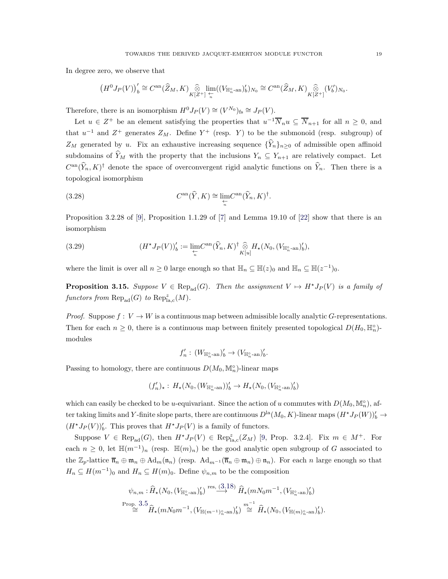In degree zero, we observe that

$$
\left(H^0 J_P(V)\right)'_b \cong C^{\mathrm{an}}(\widehat{Z}_M, K) \underset{K[\mathbb{Z}^+]}{\widehat{\otimes}} \lim_{\substack{\leftarrow \\ n}} ((V_{\mathbb{H}^{\circ}_{n}\text{-an}})'_b)_{N_0} \cong C^{\mathrm{an}}(\widehat{Z}_M, K) \underset{K[\mathbb{Z}^+]}{\widehat{\otimes}} (V'_b)_{N_0}.
$$

Therefore, there is an isomorphism  $H^0J_P(V) \cong (V^{N_0})_{\text{fs}} \cong J_P(V)$ .

Let  $u \in Z^+$  be an element satisfying the properties that  $u^{-1}\overline{N}_n u \subseteq \overline{N}_{n+1}$  for all  $n \geq 0$ , and that  $u^{-1}$  and  $Z^+$  generates  $Z_M$ . Define  $Y^+$  (resp. Y) to be the submonoid (resp. subgroup) of  $Z_M$  generated by u. Fix an exhaustive increasing sequence  $\{\hat{Y}_n\}_{n\geq 0}$  of admissible open affinoid subdomains of  $\widehat{Y}_M$  with the property that the inclusions  $Y_n \subseteq Y_{n+1}$  are relatively compact. Let  $C^{an}(\hat{Y}_n, K)^\dagger$  denote the space of overconvergent rigid analytic functions on  $\hat{Y}_n$ . Then there is a topological isomorphism

(3.28) 
$$
C^{\rm an}(\widehat{Y},K) \cong \lim_{\substack{\leftarrow \\ n}} C^{\rm an}(\widehat{Y}_n,K)^{\dagger}.
$$

Proposition 3.2.28 of [\[9\]](#page-34-0), Proposition 1.1.29 of [\[7\]](#page-34-4) and Lemma 19.10 of [\[22\]](#page-34-14) show that there is an isomorphism

<span id="page-18-0"></span>(3.29) 
$$
(H^{\star}J_P(V))'_b := \lim_{\substack{\leftarrow \\ n}} C^{\mathrm{an}}(\widehat{Y}_n, K)^{\dagger} \underset{K[u]}{\widehat{\otimes}} H_{\star}(N_0, (V_{\mathbb{H}_n^{\circ}\text{-an}})'_b),
$$

where the limit is over all  $n \geq 0$  large enough so that  $\mathbb{H}_n \subseteq \mathbb{H}(z)_0$  and  $\mathbb{H}_n \subseteq \mathbb{H}(z^{-1})_0$ .

**Proposition 3.15.** Suppose  $V \in \text{Rep}_{ad}(G)$ . Then the assignment  $V \mapsto H^*J_P(V)$  is a family of functors from  $\text{Rep}_{\text{ad}}(G)$  to  $\text{Rep}_{\text{la},c}^z(M)$ .

*Proof.* Suppose  $f: V \to W$  is a continuous map between admissible locally analytic G-representations. Then for each  $n \geq 0$ , there is a continuous map between finitely presented topological  $D(H_0, \mathbb{H}_n^{\circ})$ modules

$$
f_n':\,(W_{\mathbb{H}_n^{\circ}\text{-an}})'_b\to (V_{\mathbb{H}_n^{\circ}\text{-an}})'_b.
$$

Passing to homology, there are continuous  $D(M_0, \mathbb{M}_n^{\circ})$ -linear maps

$$
(f_n')_\star:\,H_\star(N_0,(W_{\mathbb{H}_n^\circ\text{-an}}))'_b\to H_\star(N_0,(V_{\mathbb{H}_n^\circ\text{-an}})'_b)
$$

which can easily be checked to be u-equivariant. Since the action of u commutes with  $D(M_0, \mathbb{M}_n^{\circ})$ , after taking limits and Y-finite slope parts, there are continuous  $D^{\text{la}}(M_0, K)$ -linear maps  $(H^{\star}J_P(W))'_{b} \to$  $(H^{\star}J_P(V))'_{b}$ . This proves that  $H^{\star}J_P(V)$  is a family of functors.

Suppose  $V \in \text{Rep}_{ad}(G)$ , then  $H^*J_P(V) \in \text{Rep}_{\text{la},c}^z(Z_M)$  [\[9,](#page-34-0) Prop. 3.2.4]. Fix  $m \in M^+$ . For each  $n \geq 0$ , let  $\mathbb{H}(m^{-1})_n$  (resp.  $\mathbb{H}(m)_n$ ) be the good analytic open subgroup of G associated to the  $\mathbb{Z}_p$ -lattice  $\overline{\mathfrak{n}}_n \oplus \mathfrak{m}_n \oplus \text{Ad}_m(\mathfrak{n}_n)$  (resp.  $\text{Ad}_{m^{-1}}(\overline{\mathfrak{n}}_n \oplus \mathfrak{m}_n) \oplus \mathfrak{n}_n$ ). For each n large enough so that  $H_n \subseteq H(m^{-1})_0$  and  $H_n \subseteq H(m)_0$ . Define  $\psi_{n,m}$  to be the composition

$$
\psi_{n,m}: \widehat{H}_\star(N_0, (V_{\mathbb{H}_n^{\circ}\text{-an}})'_b) \stackrel{\text{res}, (3.18)}{\longrightarrow} \widehat{H}_\star(mN_0m^{-1}, (V_{\mathbb{H}_n^{\circ}\text{-an}})'_b)
$$
  
\n
$$
\stackrel{\text{Prop. }3.5}{\cong} \widehat{H}_\star(mN_0m^{-1}, (V_{\mathbb{H}(m^{-1})_{n}^{\circ}\text{-an}})'_b) \stackrel{m^{-1}}{\cong} \widehat{H}_\star(N_0, (V_{\mathbb{H}(m)_{n}^{\circ}\text{-an}})'_b).
$$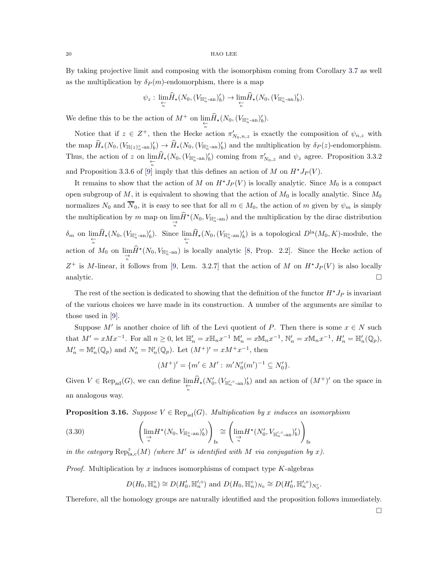By taking projective limit and composing with the isomorphism coming from Corollary [3.7](#page-13-1) as well as the multiplication by  $\delta_P(m)$ -endomorphism, there is a map

$$
\psi_z: \lim_{\substack{\longleftarrow \\n}} \widehat{H}_\star(N_0, (V_{\mathbb{H}_n^{\circ} \text{-an}})'_b) \to \lim_{\substack{\longleftarrow \\n}} \widehat{H}_\star(N_0, (V_{\mathbb{H}_n^{\circ} \text{-an}})'_b).
$$

We define this to be the action of  $M^+$  on  $\lim_{\substack{\leftarrow \\n}} \tilde{H}_\star(N_0,(V_{\mathbb{H}_n^{\circ} \text{-an}})'_b).$ 

Notice that if  $z \in Z^+$ , then the Hecke action  $\pi'_{N_0,n,z}$  is exactly the composition of  $\psi_{n,z}$  with the map  $\hat{H}_{\star}(N_0,(V_{\mathbb{H}(z)_{n}^{\circ}-\text{an}})'_b) \to \hat{H}_{\star}(N_0,(V_{\mathbb{H}^{\circ}_{n}-\text{an}})'_b)$  and the multiplication by  $\delta_P(z)$ -endomorphism. Thus, the action of z on  $\lim_{\substack{\leftarrow \\n}} \hat{H}_\star(N_0, (V_{\mathbb{H}_n^{\circ} \text{-an}})'_b)$  coming from  $\pi'_{N_0,z}$  and  $\psi_z$  agree. Proposition 3.3.2 and Proposition 3.3.6 of [\[9\]](#page-34-0) imply that this defines an action of M on  $H^{\star}J_P(V)$ .

It remains to show that the action of M on  $H^*J_P(V)$  is locally analytic. Since  $M_0$  is a compact open subgroup of M, it is equivalent to showing that the action of  $M_0$  is locally analytic. Since  $M_0$ normalizes  $N_0$  and  $\overline{N}_0$ , it is easy to see that for all  $m \in M_0$ , the action of m given by  $\psi_m$  is simply the multiplication by m map on  $\lim_{\to \atop n} \hat{H}^{\star}(N_0, V_{\mathbb{H}_{n}^{\circ} - \text{an}})$  and the multiplication by the dirac distribution  $\delta_m$  on  $\lim_{\substack{\leftarrow \\n}} \hat{H}_*(N_0, (V_{\mathbb{H}_n^{\circ} - \text{an}})_b')$ . Since  $\lim_{\substack{\leftarrow \\n}} \hat{H}_*(N_0, (V_{\mathbb{H}_n^{\circ} - \text{an}})_b')$  is a topological  $D^{\text{la}}(M_0, K)$ -module, the action of  $M_0$  on  $\lim_{\substack{\to \ \pi}} \hat{H}^*(N_0, V_{\mathbb{H}_n^{\circ}$ -an) is locally analytic [\[8,](#page-34-7) Prop. 2.2]. Since the Hecke action of  $Z^+$  is M-linear, it follows from [\[9,](#page-34-0) Lem. 3.2.7] that the action of M on  $H^*J_P(V)$  is also locally analytic.  $\Box$ 

The rest of the section is dedicated to showing that the definition of the functor  $H^{\star}J_P$  is invariant of the various choices we have made in its construction. A number of the arguments are similar to those used in [\[9\]](#page-34-0).

Suppose M' is another choice of lift of the Levi quotient of P. Then there is some  $x \in N$  such that  $M' = xMx^{-1}$ . For all  $n \ge 0$ , let  $\mathbb{H}'_n = x\mathbb{H}_n x^{-1} \mathbb{M}'_n = x\mathbb{M}_n x^{-1}$ ,  $\mathbb{N}'_n = x\mathbb{M}_n x^{-1}$ ,  $H'_n = \mathbb{H}'_n(\mathbb{Q}_p)$ ,  $M'_n = \mathbb{M}'_n(\mathbb{Q}_p)$  and  $N'_n = \mathbb{N}'_n(\mathbb{Q}_p)$ . Let  $(M^+)' = xM^+x^{-1}$ , then

$$
(M^+)' = \{ m' \in M' : m'N'_0(m')^{-1} \subseteq N'_0 \}.
$$

Given  $V \in \text{Rep}_{ad}(G)$ , we can define  $\lim_{\substack{\leftarrow \\n}} \hat{H}_*(N'_0, (V_{\mathbb{H}'_n \circ_{\text{-an}}})'_b)$  and an action of  $(M^+)'$  on the space in an analogous way.

**Proposition 3.16.** Suppose  $V \in \text{Rep}_{ad}(G)$ . Multiplication by x induces an isomorphism

(3.30) 
$$
\left(\lim_{\substack{\to \\ n}} H^{\star}(N_0, V_{\mathbb{H}_n^{\circ} \text{-an}})'_b)\right)_{\text{fs}} \cong \left(\lim_{\substack{\to \\ n}} H^{\star}(N'_0, V_{\mathbb{H}_n'^{\circ} \text{-an}})'_b)\right)_{\text{fs}}
$$

in the category  $\text{Rep}^{z}_{\text{la},c}(M)$  (where M' is identified with M via conjugation by x).

*Proof.* Multiplication by x induces isomorphisms of compact type  $K$ -algebras

$$
D(H_0, \mathbb{H}_n^{\circ}) \cong D(H'_0, \mathbb{H}_n^{\prime, \circ})
$$
 and  $D(H_0, \mathbb{H}_n^{\circ})_{N_0} \cong D(H'_0, \mathbb{H}_n^{\prime, \circ})_{N_0^{\prime}}$ .

Therefore, all the homology groups are naturally identified and the proposition follows immediately.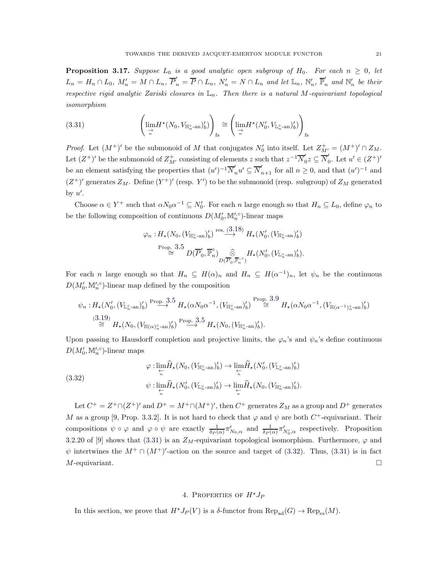**Proposition 3.17.** Suppose  $L_0$  is a good analytic open subgroup of  $H_0$ . For each  $n \geq 0$ , let  $L_n = H_n \cap L_0$ ,  $M'_n = M \cap L_n$ ,  $\overline{P}'_n = \overline{P} \cap L_n$ ,  $N'_n = N \cap L_n$  and let  $\mathbb{L}_n$ ,  $\mathbb{N}'_n$ ,  $\overline{\mathbb{P}}'_n$  and  $\mathbb{N}'_n$  be their respective rigid analytic Zariski closures in  $\mathbb{L}_n$ . Then there is a natural M-equivariant topological isomorphism

<span id="page-20-1"></span>(3.31) 
$$
\left(\lim_{\substack{\to \\ n}} H^{\star}(N_0, V_{\mathbb{H}_n^{\circ}\text{-an}})'_b)\right)_{\text{fs}} \cong \left(\lim_{\substack{\to \\ n}} H^{\star}(N'_0, V_{\mathbb{L}_n^{\circ}\text{-an}})'_b)\right)_{\text{fs}}
$$

*Proof.* Let  $(M^+)'$  be the submonoid of M that conjugates  $N'_0$  into itself. Let  $Z^+_{M'} = (M^+)' \cap Z_M$ . Let  $(Z^+)'$  be the submonoid of  $Z^+_{M'}$  consisting of elements z such that  $z^{-1}\overline{N}'_0$  $y'_0z\subseteq \overline{N}'_0$  $v_0'$ . Let  $u' \in (Z^+)'$ be an element satisfying the properties that  $(u')^{-1} \overline{N}'_n u' \subseteq \overline{N}'_{n+1}$  for all  $n \geq 0$ , and that  $(u')^{-1}$  and  $(Z^+)'$  generates  $Z_M$ . Define  $(Y^+)'$  (resp. Y') to be the submonoid (resp. subgroup) of  $Z_M$  generated by  $u'$ .

Choose  $\alpha \in Y^+$  such that  $\alpha N_0 \alpha^{-1} \subseteq N'_0$ . For each n large enough so that  $H_n \subseteq L_0$ , define  $\varphi_n$  to be the following composition of continuous  $D(M'_0, M''_n)$ -linear maps

$$
\varphi_n: H_{\star}(N_0, (V_{\mathbb{H}_n^{\circ} \text{-an}})'_b) \stackrel{\text{res.} (3,18)}{\longrightarrow} H_{\star}(N'_0, (V_{\mathbb{H}_n^{\circ} \text{-an}})'_b)
$$
  

$$
\stackrel{\text{Prop. } 3.5}{\cong} D(\overline{P}'_0, \overline{\mathbb{P}}_n^{\circ}) \underset{D(\overline{P}'_0, \overline{\mathbb{P}}'_n, \circ)}{\widehat{\otimes}} H_{\star}(N'_0, (V_{\mathbb{L}_n^{\circ} \text{-an}})'_b).
$$

For each n large enough so that  $H_n \subseteq H(\alpha)_n$  and  $H_n \subseteq H(\alpha^{-1})_n$ , let  $\psi_n$  be the continuous  $D(M'_0, M'^{\circ}_n)$ -linear map defined by the composition

$$
\psi_n: H_{\star}(N'_0, (V_{\mathbb{L}_n^{\circ}\text{-an}})'_b) \stackrel{\text{Prop. 3.5}}{\longrightarrow} H_{\star}(\alpha N_0 \alpha^{-1}, (V_{\mathbb{H}_n^{\circ}\text{-an}})'_b) \stackrel{\text{Prop. 3.9}}{\cong} H_{\star}(\alpha N_0 \alpha^{-1}, (V_{\mathbb{H}(\alpha^{-1})_n^{\circ}\text{-an}})'_b)
$$
  

$$
\stackrel{(3.19)}{\cong} H_{\star}(N_0, (V_{\mathbb{H}(\alpha)_n^{\circ}\text{-an}})'_b) \stackrel{\text{Prop. 3.5}}{\cong} H_{\star}(N_0, (V_{\mathbb{H}_n^{\circ}\text{-an}})'_b).
$$

Upon passing to Hausdorff completion and projective limits, the  $\varphi_n$ 's and  $\psi_n$ 's define continuous  $D(M'_0, M'^{\circ}_n)$ -linear maps

<span id="page-20-2"></span>(3.32) 
$$
\varphi: \lim_{\substack{\leftarrow \\ n}} \hat{H}_{\star}(N_0, (V_{\mathbb{H}_n^{\circ}} \cdot \mathbf{a}_n)_b') \to \lim_{\substack{\leftarrow \\ n}} \hat{H}_{\star}(N_0', (V_{\mathbb{L}_n^{\circ}} \cdot \mathbf{a}_n)_b') \psi: \lim_{\substack{\leftarrow \\ n}} \hat{H}_{\star}(N_0', (V_{\mathbb{L}_n^{\circ}} \cdot \mathbf{a}_n)_b') \to \lim_{\substack{\leftarrow \\ n}} \hat{H}_{\star}(N_0, (V_{\mathbb{H}_n^{\circ}} \cdot \mathbf{a}_n)_b').
$$

Let  $C^+ = Z^+ \cap (Z^+)'$  and  $D^+ = M^+ \cap (M^+)'$ , then  $C^+$  generates  $Z_M$  as a group and  $D^+$  generates M as a group [\[9,](#page-34-0) Prop. 3.3.2]. It is not hard to check that  $\varphi$  and  $\psi$  are both  $C^+$ -equivariant. Their compositions  $\psi \circ \varphi$  and  $\varphi \circ \psi$  are exactly  $\frac{1}{\delta P(\alpha)} \pi'_{N_0, \alpha}$  and  $\frac{1}{\delta P(\alpha)} \pi'_{N'_0, \alpha}$  respectively. Proposition 3.2.20 of [\[9\]](#page-34-0) shows that [\(3.31\)](#page-20-1) is an  $Z_M$ -equivariant topological isomorphism. Furthermore,  $\varphi$  and  $\psi$  intertwines the  $M^+ \cap (M^+)'$ -action on the source and target of [\(3.32\)](#page-20-2). Thus, [\(3.31\)](#page-20-1) is in fact  $M$ -equivariant.

# 4. PROPERTIES OF  $H^*J_P$

<span id="page-20-0"></span>In this section, we prove that  $H^*J_P(V)$  is a  $\delta$ -functor from  $\text{Rep}_{ad}(G) \to \text{Rep}_{es}(M)$ .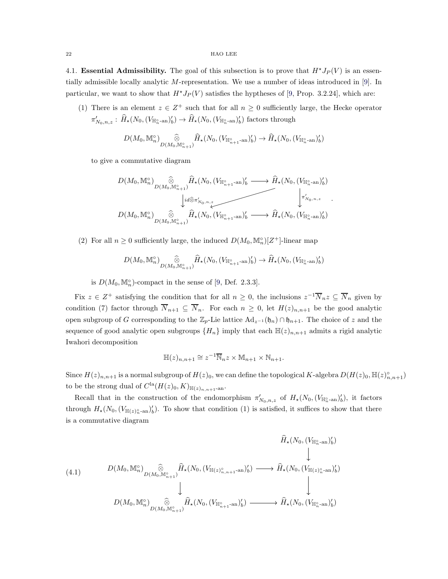<span id="page-21-0"></span>4.1. Essential Admissibility. The goal of this subsection is to prove that  $H^*J_P(V)$  is an essentially admissible locally analytic M-representation. We use a number of ideas introduced in [\[9\]](#page-34-0). In particular, we want to show that  $H^*J_P(V)$  satisfies the hyptheses of [\[9,](#page-34-0) Prop. 3.2.24], which are:

(1) There is an element  $z \in \mathbb{Z}^+$  such that for all  $n \geq 0$  sufficiently large, the Hecke operator  $\pi'_{N_0,n,z}:\,\widehat{H}_\star(N_0,(V_{\mathbb{H}_n^\circ\text{-an}})'_b)\to\widehat{H}_\star(N_0,(V_{\mathbb{H}_n^\circ\text{-an}})'_b)$  factors through

$$
D(M_0, \mathbb{M}_n^{\circ})\bigotimes_{D(M_0, \mathbb{M}_{n+1}^{\circ})}\widehat{H}_{\star}(N_0, (V_{\mathbb{H}_{n+1}^{\circ} - \text{an}})'_b)\to \widehat{H}_{\star}(N_0, (V_{\mathbb{H}_{n}^{\circ} - \text{an}})'_b)
$$

to give a commutative diagram

$$
D(M_0, \mathbb{M}_n^{\circ})\bigotimes_{D(M_0, \mathbb{M}_{n+1}^{\circ})} \hat{H}_{\star}(N_0, (V_{\mathbb{H}_{n+1}^{\circ}-\text{an}})'_b \longrightarrow \hat{H}_{\star}(N_0, (V_{\mathbb{H}_{n}^{\circ}-\text{an}})'_b)
$$
  
\n
$$
\downarrow id \hat{\otimes} \pi'_{N_0, n, \underline{z}} \longrightarrow \hat{H}_{\star}(N_0, (V_{\mathbb{H}_{n}^{\circ}-\text{an}})'_b \longrightarrow \hat{H}_{\star}(N_0, (V_{\mathbb{H}_{n}^{\circ}-\text{an}})'_b)
$$
  
\n
$$
D(M_0, \mathbb{M}_n^{\circ})\bigotimes_{D(M_0, \mathbb{M}_{n+1}^{\circ})} \hat{H}_{\star}(N_0, (V_{\mathbb{H}_{n+1}^{\circ}-\text{an}})'_b \longrightarrow \hat{H}_{\star}(N_0, (V_{\mathbb{H}_{n}^{\circ}-\text{an}})'_b)
$$

(2) For all  $n \geq 0$  sufficiently large, the induced  $D(M_0, \mathbb{M}_n^{\circ})[Z^+]$ -linear map

$$
D(M_0, \mathbb{M}_n^{\circ})\bigotimes_{D(M_0, \mathbb{M}_{n+1}^{\circ})}\widehat{H}_{\star}(N_0, (V_{\mathbb{H}_{n+1}^{\circ}-\mathrm{an}})'_b)\rightarrow \widehat{H}_{\star}(N_0, (V_{\mathbb{H}_{n}^{\circ}-\mathrm{an}})'_b)
$$

is  $D(M_0, \mathbb{M}_n^{\circ})$ -compact in the sense of [\[9,](#page-34-0) Def. 2.3.3].

Fix  $z \in Z^+$  satisfying the condition that for all  $n \geq 0$ , the inclusions  $z^{-1} \overline{N}_n z \subseteq \overline{N}_n$  given by condition (7) factor through  $\overline{N}_{n+1} \subseteq \overline{N}_n$ . For each  $n \geq 0$ , let  $H(z)_{n,n+1}$  be the good analytic open subgroup of G corresponding to the  $\mathbb{Z}_p$ -Lie lattice  $\text{Ad}_{z^{-1}}(\mathfrak{h}_n) \cap \mathfrak{h}_{n+1}$ . The choice of z and the sequence of good analytic open subgroups  $\{H_n\}$  imply that each  $\mathbb{H}(z)_{n,n+1}$  admits a rigid analytic Iwahori decomposition

$$
\mathbb{H}(z)_{n,n+1} \cong z^{-1} \overline{\mathbb{N}}_n z \times \mathbb{M}_{n+1} \times \mathbb{N}_{n+1}.
$$

Since  $H(z)_{n,n+1}$  is a normal subgroup of  $H(z)_{0}$ , we can define the topological K-algebra  $D(H(z)_{0}, \mathbb{H}(z)_{n,n+1}^{\circ})$ to be the strong dual of  $C^{\text{la}}(H(z)_0, K)_{\mathbb{H}(z)_{n,n+1}$ -an.

Recall that in the construction of the endomorphism  $\pi'_{N_0,n,z}$  of  $H_*(N_0,(V_{\mathbb{H}_n^{\circ}{}_{\text{-an}}})'_b)$ , it factors through  $H_*(N_0, (V_{\mathbb{H}(z))^{\circ}_{n}})$ . To show that condition (1) is satisfied, it suffices to show that there is a commutative diagram

<span id="page-21-1"></span>
$$
(4.1) \qquad \begin{array}{c} \widehat{H}_{\star}(N_{0},(V_{\mathbb{H}_{n}^{\circ}\text{-an}})'_{b})\\ \downarrow\\ D(M_{0},\mathbb{M}_{n}^{\circ})\bigotimes_{D(M_{0},\mathbb{M}_{n+1}^{\circ})}\widehat{H}_{\star}(N_{0},(V_{\mathbb{H}(z)_{n,n+1}^{\circ}\text{-an}})'_{b})\longrightarrow \widehat{H}_{\star}(N_{0},(V_{\mathbb{H}(z)_{n}^{\circ}\text{-an}})'_{b})\\ \downarrow\\ D(M_{0},\mathbb{M}_{n}^{\circ})\bigotimes_{D(M_{0},\mathbb{M}_{n+1}^{\circ})}\widehat{H}_{\star}(N_{0},(V_{\mathbb{H}_{n+1}^{\circ}\text{-an}})'_{b})\longrightarrow \widehat{H}_{\star}(N_{0},(V_{\mathbb{H}_{n}^{\circ}\text{-an}})'_{b}) \end{array}
$$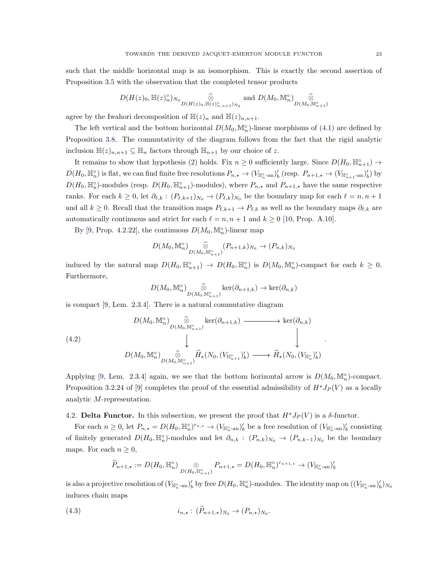such that the middle horizontal map is an isomorphism. This is exactly the second assertion of Proposition [3.5](#page-12-2) with the observation that the completed tensor products

$$
D(H(z)_0, \mathbb{H}(z)_n^{\circ})_{N_0} \underset{D(H(z)_0, \mathbb{H}(z)_{n,n+1}^{\circ})_{N_0}}{\widehat{\otimes}} \text{ and } D(M_0, \mathbb{M}_n^{\circ})_{D(M_0, \mathbb{M}_{n+1}^{\circ})}
$$

agree by the Iwahori decomposition of  $\mathbb{H}(z)_n$  and  $\mathbb{H}(z)_{n,n+1}$ .

The left vertical and the bottom horizontal  $D(M_0, \mathbb{M}_n^{\circ})$ -linear morphisms of  $(4.1)$  are defined by Proposition [3.8.](#page-12-3) The commutativity of the diagram follows from the fact that the rigid analytic inclusion  $\mathbb{H}(z)_{n,n+1} \subseteq \mathbb{H}_n$  factors through  $\mathbb{H}_{n+1}$  by our choice of z.

It remains to show that hypothesis (2) holds. Fix  $n \geq 0$  sufficiently large. Since  $D(H_0, \mathbb{H}_{n+1}^{\circ}) \to$  $D(H_0, \mathbb{H}_n^{\circ})$  is flat, we can find finite free resolutions  $P_{n,\star} \to (V_{\mathbb{H}_u^{\circ} - \text{an}})'_b$  (resp.  $P_{n+1,\star} \to (V_{\mathbb{H}_{n+1}^{\circ} - \text{an}})'_b$ ) by  $D(H_0, \mathbb{H}_{u}^{\circ})$ -modules (resp.  $D(H_0, \mathbb{H}_{n+1}^{\circ})$ -modules), where  $P_{n,\star}$  and  $P_{n+1,\star}$  have the same respective ranks. For each  $k \geq 0$ , let  $\partial_{\ell,k} : (P_{\ell,k+1})_{N_0} \to (P_{\ell,k})_{N_0}$  be the boundary map for each  $\ell = n, n+1$ and all  $k \geq 0$ . Recall that the transition maps  $P_{\ell,k+1} \to P_{\ell,k}$  as well as the boundary maps  $\partial_{\ell,k}$  are automatically continuous and strict for each  $\ell = n, n + 1$  and  $k \ge 0$  [\[10,](#page-34-2) Prop. A.10].

By [\[9,](#page-34-0) Prop. 4.2.22], the continuous  $D(M_0, \mathbb{M}_n^{\circ})$ -linear map

$$
D(M_0, \mathbb{M}_n^{\circ})\bigotimes_{D(M_0, \mathbb{M}_{n+1}^{\circ})} (P_{n+1,k})_{N_0} \to (P_{n,k})_{N_0}
$$

induced by the natural map  $D(H_0, \mathbb{H}_{n+1}^{\circ}) \to D(H_0, \mathbb{H}_n^{\circ})$  is  $D(M_0, \mathbb{M}_n^{\circ})$ -compact for each  $k \geq 0$ . Furthermore,

$$
D(M_0, \mathbb{M}_n^{\circ})\underset{D(M_0, \mathbb{M}_{n+1}^{\circ})}{\widehat{\otimes}}\ker(\partial_{n+1,k}) \to \ker(\partial_{n,k})
$$

is compact [\[9,](#page-34-0) Lem. 2.3.4]. There is a natural commutative diagram

$$
(4.2)
$$
\n
$$
D(M_0, \mathbb{M}_n^{\circ})\bigotimes_{D(M_0, \mathbb{M}_{n+1}^{\circ})} \ker(\partial_{n+1,k}) \longrightarrow \ker(\partial_{n,k})
$$
\n
$$
\downarrow \qquad \qquad \downarrow
$$
\n
$$
D(M_0, \mathbb{M}_n^{\circ})\bigotimes_{D(M_0, \mathbb{M}_{n+1}^{\circ})} \widehat{H}_{\star}(N_0, (V_{\mathbb{H}_{n+1}^{\circ}})'_b) \longrightarrow \widehat{H}_{\star}(N_0, (V_{\mathbb{H}_n^{\circ}})'_b)
$$

Applying [\[9,](#page-34-0) Lem. 2.3.4] again, we see that the bottom horizontal arrow is  $D(M_0, \mathbb{M}_n^{\circ})$ -compact. Proposition 3.2.24 of [\[9\]](#page-34-0) completes the proof of the essential admissibility of  $H^*J_P(V)$  as a locally analytic M-representation.

# <span id="page-22-0"></span>4.2. Delta Functor. In this subsection, we present the proof that  $H^*J_P(V)$  is a  $\delta$ -functor.

For each  $n \geq 0$ , let  $P_{n,\star} = D(H_0, \mathbb{H}_n^{\circ})^{r_{n,\star}} \to (V_{\mathbb{H}_n^{\circ}\text{-an}})'_b$  be a free resolution of  $(V_{\mathbb{H}_n^{\circ}\text{-an}})'_b$  consisting of finitely generated  $D(H_0, \mathbb{H}_n^{\circ})$ -modules and let  $\partial_{n,k}$ :  $(P_{n,k})_{N_0}$   $\rightarrow$   $(P_{n,k-1})_{N_0}$  be the boundary maps. For each  $n \geq 0$ ,

<span id="page-22-1"></span>
$$
\widetilde{P}_{n+1,\star} := D(H_0, \mathbb{H}_n^{\circ}) \underset{D(H_0, \mathbb{H}_{n+1}^{\circ})}{\otimes} P_{n+1,\star} = D(H_0, \mathbb{H}_n^{\circ})^{r_{n+1,\star}} \to (V_{\mathbb{H}_n^{\circ} \text{-an}})'_b
$$

is also a projective resolution of  $(V_{\mathbb{H}_n^{\circ} \text{-an}})'_b$  by free  $D(H_0, \mathbb{H}_n^{\circ})$ -modules. The identity map on  $((V_{\mathbb{H}_n^{\circ} \text{-an}})'_b)_{N_0}$ induces chain maps

(4.3) 
$$
i_{n,*}: (P_{n+1,*})_{N_0} \to (P_{n,*})_{N_0}.
$$

.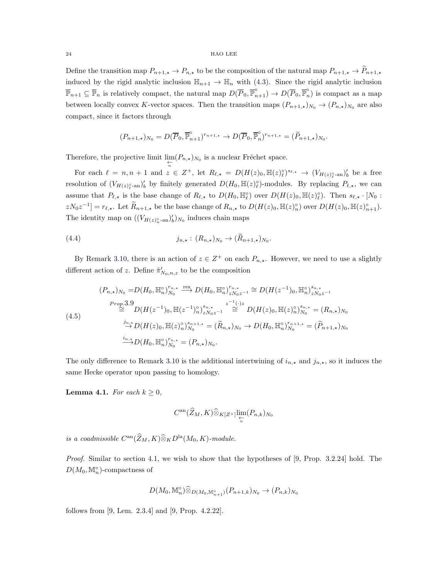Define the transition map  $P_{n+1,\star} \to P_{n,\star}$  to be the composition of the natural map  $P_{n+1,\star} \to P_{n+1,\star}$ induced by the rigid analytic inclusion  $\mathbb{H}_{n+1} \to \mathbb{H}_n$  with [\(4.3\)](#page-22-1). Since the rigid analytic inclusion  $\overline{\mathbb{P}}_{n+1} \subseteq \overline{\mathbb{P}}_n$  is relatively compact, the natural map  $D(\overline{P}_0, \overline{\mathbb{P}}_{n+1}^{\circ}) \to D(\overline{P}_0, \overline{\mathbb{P}}_n^{\circ})$  $\binom{6}{n}$  is compact as a map between locally convex K-vector spaces. Then the transition maps  $(P_{n+1,\star})_{N_0} \to (P_{n,\star})_{N_0}$  are also compact, since it factors through

$$
(P_{n+1,\star})_{N_0} = D(\overline{P}_0, \overline{\mathbb{P}}_{n+1}^{\circ})^{r_{n+1,\star}} \to D(\overline{P}_0, \overline{\mathbb{P}}_n^{\circ})^{r_{n+1,\star}} = (\widetilde{P}_{n+1,\star})_{N_0}.
$$

Therefore, the projective limit  $\lim_{\substack{\leftarrow \\n}} (P_{n,\star})_{N_0}$  is a nuclear Fréchet space.

For each  $\ell = n, n+1$  and  $z \in Z^+$ , let  $R_{\ell, \star} = D(H(z)_0, \mathbb{H}(z)_\ell^{\circ})^{s_{\ell, \star}} \to (V_{H(z)_{\ell}^{\circ} - \text{an}})'_b$  be a free resolution of  $(V_{H(z)_{\ell}^{\circ}-\text{an}})'_b$  by finitely generated  $D(H_0, \mathbb{H}(z)_{\ell}^{\circ})$ -modules. By replacing  $P_{\ell,\star}$ , we can assume that  $P_{\ell,\star}$  is the base change of  $R_{\ell,\star}$  to  $D(H_0, \mathbb{H}_{\ell}^{\circ})$  over  $D(H(z)_0, \mathbb{H}(z)_{\ell}^{\circ})$ . Then  $s_{\ell,\star} \cdot [N_0:$  $zN_0z^{-1}]=r_{\ell,\star}$ . Let  $\widetilde{R}_{n+1,\star}$  be the base change of  $R_{n,\star}$  to  $D(H(z)_0, \mathbb{H}(z)_n^{\circ})$  over  $D(H(z)_0, \mathbb{H}(z)_{n+1}^{\circ})$ . The identity map on  $((V_{H(z)_{n}^{\circ}-an})'_{b})_{N_0}$  induces chain maps

(4.4) 
$$
j_{n,\star}: (R_{n,\star})_{N_0} \to (\widetilde{R}_{n+1,\star})_{N_0}.
$$

By Remark [3.10,](#page-15-2) there is an action of  $z \in \mathbb{Z}^+$  on each  $P_{n,\star}$ . However, we need to use a slightly different action of z. Define  $\tilde{\pi}'_{N_0,n,z}$  to be the composition

$$
(P_{n,\star})_{N_0} = D(H_0, \mathbb{H}_n^{\circ})_{N_0}^{r_{n,\star}} \xrightarrow{\text{res}} D(H_0, \mathbb{H}_n^{\circ})_{zN_0z^{-1}}^{r_{n,\star}} \cong D(H(z^{-1})_0, \mathbb{H}_n^{\circ})_{zN_0z^{-1}}^{s_{n,\star}}
$$
  
\n
$$
\cong D(H(z^{-1})_0, \mathbb{H}(z^{-1})_n^{\circ})_{zN_0z^{-1}}^{s_{n,\star}} \cong D(H(z)_0, \mathbb{H}(z)_n^{\circ})_{N_0}^{s_{n,\star}} = (R_{n,\star})_{N_0}
$$
  
\n
$$
\xrightarrow{j_{n,\star}} D(H(z)_0, \mathbb{H}(z)_n^{\circ})_{N_0}^{s_{n+1,\star}} = (\widetilde{R}_{n,\star})_{N_0} \to D(H_0, \mathbb{H}_n^{\circ})_{N_0}^{r_{n+1,\star}} = (\widetilde{P}_{n+1,\star})_{N_0}
$$
  
\n
$$
\xrightarrow{i_{n,\star}} D(H_0, \mathbb{H}_n^{\circ})_{N_0}^{r_{n,\star}} = (P_{n,\star})_{N_0}.
$$

The only difference to Remark [3.10](#page-15-2) is the additional intertwining of  $i_{n,\star}$  and  $j_{n,\star}$ , so it induces the same Hecke operator upon passing to homology.

**Lemma 4.1.** For each  $k \geq 0$ ,

$$
C^\mathrm{an}(\widehat{Z}_M,K) \widehat{\otimes}_{K[Z^+]} \varprojlim_n (P_{n,k})_{N_0}
$$

is a coadmissible  $C^{\text{an}}(\widehat{Z}_M, K)\widehat{\otimes}_K D^{\text{la}}(M_0, K)$ -module.

Proof. Similar to section [4.1,](#page-21-0) we wish to show that the hypotheses of [\[9,](#page-34-0) Prop. 3.2.24] hold. The  $D(M_0, \mathbb{M}_n^{\circ})$ -compactness of

$$
D(M_0, \mathbb{M}_n^{\circ}) \widehat{\otimes}_{D(M_0, \mathbb{M}_{n+1}^{\circ})} (P_{n+1,k})_{N_0} \to (P_{n,k})_{N_0}
$$

follows from [\[9,](#page-34-0) Lem. 2.3.4] and [\[9,](#page-34-0) Prop. 4.2.22].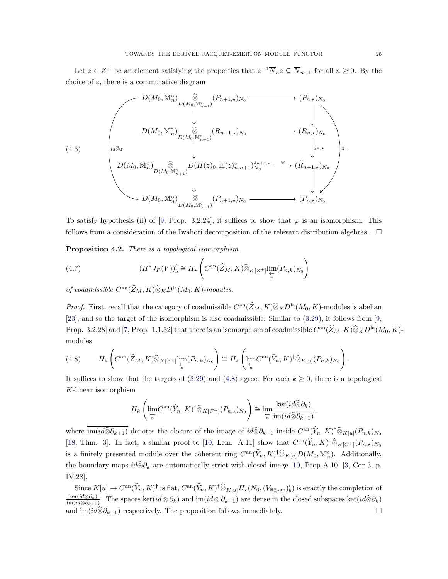Let  $z \in Z^+$  be an element satisfying the properties that  $z^{-1} \overline{N}_n z \subseteq \overline{N}_{n+1}$  for all  $n \geq 0$ . By the choice of  $z$ , there is a commutative diagram

$$
(4.6)
$$
\n
$$
D(M_0, M_n^{\circ})\underset{D(M_0, M_{n+1}^{\circ})}{\overset{\widehat{\otimes}}{\otimes}}(P_{n+1, \star})_{N_0}
$$
\n
$$
+ (H_{n, \star})_{N_0}
$$
\n
$$
(4.6)
$$
\n
$$
U(M_0, M_n^{\circ})\underset{D(M_0, M_{n+1}^{\circ})}{\overset{\widehat{\otimes}}{\otimes}}(P_{n+1, \star})_{N_0}
$$
\n
$$
+ (H_{n, \star})_{N_0}
$$
\n
$$
+ (H_{n, \star})_{N_0}
$$
\n
$$
+ (H_{n, \star})_{N_0}
$$
\n
$$
+ (H_{n, \star})_{N_0}
$$
\n
$$
+ (H_{n, \star})_{N_0}
$$
\n
$$
+ (H_{n, \star})_{N_0}
$$
\n
$$
+ (H_{n, \star})_{N_0}
$$
\n
$$
+ (H_{n, \star})_{N_0}
$$
\n
$$
+ (H_{n, \star})_{N_0}
$$
\n
$$
+ (H_{n, \star})_{N_0}
$$
\n
$$
+ (H_{n, \star})_{N_0}
$$
\n
$$
+ (H_{n, \star})_{N_0}
$$

To satisfy hypothesis (ii) of [\[9,](#page-34-0) Prop. 3.2.24], it suffices to show that  $\varphi$  is an isomorphism. This follows from a consideration of the Iwahori decomposition of the relevant distribution algebras.  $\Box$ 

<span id="page-24-2"></span>Proposition 4.2. There is a topological isomorphism

<span id="page-24-1"></span>(4.7) 
$$
(H^{\star}J_P(V))_b' \cong H_{\star} \left( C^{\mathrm{an}}(\widehat{Z}_M, K) \widehat{\otimes}_{K[Z^+]}\lim_{\substack{\leftarrow \\ n}} (P_{n,k})_{N_0} \right)
$$

of coadmissible  $C^{an}(\widehat{Z}_M, K)\widehat{\otimes}_K D^{\text{la}}(M_0, K)$ -modules.

*Proof.* First, recall that the category of coadmissible  $C^{an}(\tilde{Z}_M, K)\widehat{\otimes}_K D^{\text{la}}(M_0, K)$ -modules is abelian [\[23\]](#page-35-0), and so the target of the isomorphism is also coadmissible. Similar to [\(3.29\)](#page-18-0), it follows from [\[9,](#page-34-0) Prop. 3.2.28] and [\[7,](#page-34-4) Prop. 1.1.32] that there is an isomorphism of coadmissible  $C^{an}(\widehat{Z}_M, K)\widehat{\otimes}_K D^{\text{la}}(M_0, K)$ modules

<span id="page-24-0"></span>
$$
(4.8) \t\t H_{\star}\left(C^{\mathrm{an}}(\widehat{Z}_{M},K)\widehat{\otimes}_{K[Z^{+}]} \varprojlim_{n}(P_{n,k})_{N_{0}}\right) \cong H_{\star}\left(\lim_{\substack{\leftarrow\\n}} C^{\mathrm{an}}(\widehat{Y}_{n},K)^{\dagger}\widehat{\otimes}_{K[u]}(P_{n,k})_{N_{0}}\right).
$$

It suffices to show that the targets of [\(3.29\)](#page-18-0) and [\(4.8\)](#page-24-0) agree. For each  $k \geq 0$ , there is a topological K-linear isomorphism

$$
H_k\left(\underset{\underset{n}{*}}{\lim}C^{\rm an}(\widehat{Y}_n, K)^{\dagger}\widehat{\otimes}_{K[C^+]}(P_{n,*})_{N_0}\right) \cong \underset{\underset{n}{*}}{\lim}\frac{\ker(id\widehat{\otimes}\partial_k)}{\lim(id\widehat{\otimes}\partial_{k+1})}
$$

,

where  $\text{im}(id\widehat{\otimes} \partial_{k+1})$  denotes the closure of the image of  $id\widehat{\otimes} \partial_{k+1}$  inside  $C^{\text{an}}(\widehat{Y}_n, K)^{\dagger} \widehat{\otimes}_{K[u]}(P_{n,k})_{N_0}$ [\[18,](#page-34-15) Thm. 3]. In fact, a similar proof to [\[10,](#page-34-2) Lem. A.11] show that  $C^{an}(\widehat{Y}_n, K)^{\dagger} \widehat{\otimes}_{K[C^+]} (P_{n,*})_{N_0}$ is a finitely presented module over the coherent ring  $C^{an}(\widehat{Y}_n, K)^{\dagger} \widehat{\otimes}_{K[u]} D(M_0, \mathbb{M}_n^{\circ})$ . Additionally, the boundary maps  $id\widehat{\otimes} \partial_k$  are automatically strict with closed image [\[10,](#page-34-2) Prop A.10] [\[3,](#page-34-16) Cor 3, p. IV.28].

 $\text{Since } K[u] \to C^{\text{an}}(\hat{Y}_n, K)^{\dagger} \text{ is flat, } C^{\text{an}}(\hat{Y}_n, K)^{\dagger} \widehat{\otimes}_{K[u]} H_{\star}(N_0, (V_{\mathbb{H}_n^{\circ} \text{-an}})_b') \text{ is exactly the completion of }$  $\ker(id{\otimes}\partial_k)$  $\frac{\text{ker}(id\otimes \partial_k)}{\text{im}(id\otimes \partial_{k+1})}$ . The spaces ker $(id\otimes \partial_k)$  and  $\text{im}(id\otimes \partial_{k+1})$  are dense in the closed subspaces ker $(id\otimes \partial_k)$ and im( $id\hat{\otimes} \partial_{k+1}$ ) respectively. The proposition follows immediately.  $\Box$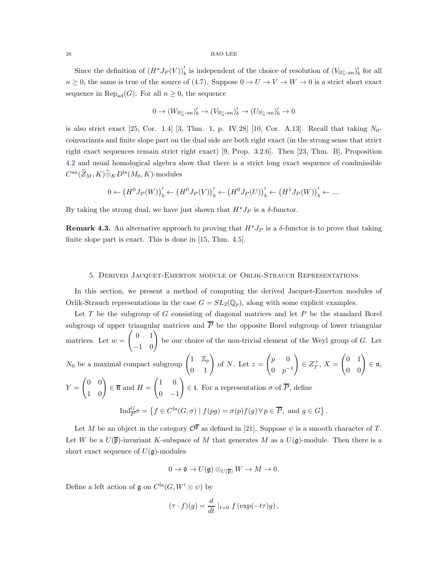Since the definition of  $(H^*J_P(V))'_b$  is independent of the choice of resolution of  $(V_{\mathbb{H}^\circ_n\text{-an}})'_b$  for all  $n \geq 0$ , the same is true of the source of [\(4.7\)](#page-24-1). Suppose  $0 \to U \to V \to W \to 0$  is a strict short exact sequence in Rep<sub>ad</sub> $(G)$ . For all  $n \geq 0$ , the sequence

$$
0 \to (W_{\mathbb{H}_n^\circ \text{-an}})'_b \to (V_{\mathbb{H}_n^\circ \text{-an}})'_b \to (U_{\mathbb{H}_n^\circ \text{-an}})'_b \to 0
$$

is also strict exact [\[25,](#page-35-2) Cor. 1.4] [\[3,](#page-34-16) Thm. 1, p. IV.28] [\[10,](#page-34-2) Cor. A.13]. Recall that taking  $N_0$ coinvariants and finite slope part on the dual side are both right exact (in the strong sense that strict right exact sequences remain strict right exact) [\[9,](#page-34-0) Prop. 3.2.6]. Then [\[23,](#page-35-0) Thm. B], Proposition [4.2](#page-24-2) and usual homological algebra show that there is a strict long exact sequence of coadmissible  $C^{\rm an}(\widehat{Z}_M,K) \widehat{\otimes}_K D^{\rm la}(M_0,K)$ -modules

$$
0 \leftarrow (H^0 J_P(W))_b' \leftarrow (H^0 J_P(V))_b' \leftarrow (H^0 J_P(U))_b' \leftarrow (H^1 J_P(W))_b' \leftarrow \dots
$$

By taking the strong dual, we have just shown that  $H^{\star}J_P$  is a  $\delta$ -functor.

Remark 4.3. An alternative approach to proving that  $H^{\star}J_P$  is a  $\delta$ -functor is to prove that taking finite slope part is exact. This is done in [\[15,](#page-34-17) Thm. 4.5].

### <span id="page-25-0"></span>5. Derived Jacquet-Emerton module of Orlik-Strauch Representations

In this section, we present a method of computing the derived Jacquet-Emerton modules of Orlik-Strauch representations in the case  $G = SL_2(\mathbb{Q}_p)$ , along with some explicit examples.

Let  $T$  be the subgroup of  $G$  consisting of diagonal matrices and let  $P$  be the standard Borel subgroup of upper triangular matrices and  $\overline{P}$  be the opposite Borel subgroup of lower triangular matrices. Let  $w =$  $\begin{pmatrix} 0 & 1 \\ -1 & 0 \end{pmatrix}$ be our choice of the non-trivial element of the Weyl group of G. Let  $N_0$  be a maximal compact subgroup  $\begin{pmatrix} 1 & \mathbb{Z}_p \\ 0 & 1 \end{pmatrix}$ of N. Let  $z =$  $\int p \, 0$ 0  $p^{-1}$ !  $\in Z_T^+, X =$  $\begin{pmatrix} 0 & 1 \\ 0 & 0 \end{pmatrix}$ ∈ n,  $Y =$  $\begin{pmatrix} 0 & 0 \\ 1 & 0 \end{pmatrix}$  $\in \overline{\mathfrak{n}}$  and  $H =$  $\begin{pmatrix} 1 & 0 \end{pmatrix}$  $0 -1$ !  $\in$  t. For a representation  $\sigma$  of P, define  $\text{Ind}_{\overline{P}}^G \sigma = \left\{ f \in C^{\text{la}}(G, \sigma) \mid f(pg) = \sigma(p)f(g) \,\forall \, p \in \overline{P}, \text{ and } g \in G \right\}.$ 

Let M be an object in the category  $\mathcal{O}^{\overline{p}}$  as defined in [\[21\]](#page-34-18). Suppose  $\psi$  is a smooth character of T. Let W be a  $U(\bar{\mathfrak{p}})$ -invariant K-subspace of M that generates M as a  $U(\mathfrak{g})$ -module. Then there is a short exact sequence of  $U(\mathfrak{g})$ -modules

$$
0 \to \mathfrak{d} \to U(\mathfrak{g}) \otimes_{U(\overline{\mathfrak{p}})} W \to M \to 0.
$$

Define a left action of  $\mathfrak g$  on  $C^{\text{la}}(G,W'\otimes\psi)$  by

$$
(\tau \cdot f)(g) = \frac{d}{dt} \mid_{t=0} f(\exp(-t\tau)g),
$$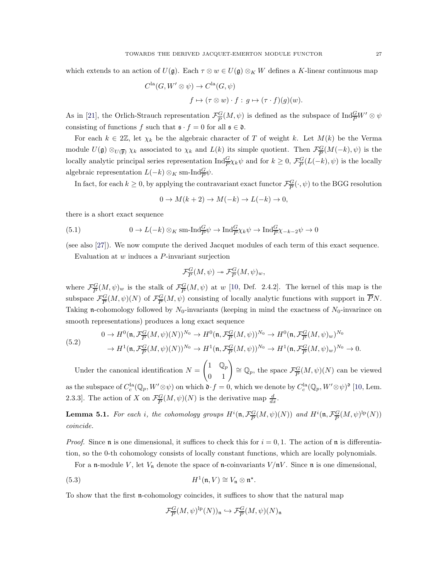which extends to an action of  $U(\mathfrak{g})$ . Each  $\tau \otimes w \in U(\mathfrak{g}) \otimes_K W$  defines a K-linear continuous map

$$
Cla(G, W' \otimes \psi) \to Cla(G, \psi)
$$
  

$$
f \mapsto (\tau \otimes w) \cdot f : g \mapsto (\tau \cdot f)(g)(w).
$$

As in [\[21\]](#page-34-18), the Orlich-Strauch representation  $\mathcal{F}_{\overline{P}}^G$  $\frac{G}{P}(M, \psi)$  is defined as the subspace of  $\text{Ind}_{\overline{P}}^{\overline{G}} W' \otimes \psi$ consisting of functions f such that  $\mathfrak{s} \cdot f = 0$  for all  $\mathfrak{s} \in \mathfrak{d}$ .

For each  $k \in 2\mathbb{Z}$ , let  $\chi_k$  be the algebraic character of T of weight k. Let  $M(k)$  be the Verma module  $U(\mathfrak{g}) \otimes_{U(\overline{\mathfrak{p}})} \chi_k$  associated to  $\chi_k$  and  $L(k)$  its simple quotient. Then  $\mathcal{F}^G_{\overline{P}}$  $\frac{G}{P}(M(-k), \psi)$  is the locally analytic principal series representation  $\text{Ind}_{\overline{P}}^G \chi_k \psi$  and for  $k \geq 0$ ,  $\mathcal{F}_{\overline{P}}^G$  $\frac{G}{P}(L(-k), \psi)$  is the locally algebraic representation  $L(-k) \otimes_K \text{sm-}\text{Ind}_{\overline{P}}^{\overline{G}} \psi$ .

In fact, for each  $k \geq 0$ , by applying the contravariant exact functor  $\mathcal{F}^{\{G\}}_{\overline{P}}$  $\frac{G}{P}(\cdot, \psi)$  to the BGG resolution

<span id="page-26-3"></span>
$$
0 \to M(k+2) \to M(-k) \to L(-k) \to 0,
$$

there is a short exact sequence

(5.1) 
$$
0 \to L(-k) \otimes_K \text{sm-Ind}_{\overline{P}}^G \psi \to \text{Ind}_{\overline{P}}^G \chi_k \psi \to \text{Ind}_{\overline{P}}^G \chi_{-k-2} \psi \to 0
$$

(see also [27]). We now compute the derived Jacquet modules of each term of this exact sequence.

Evaluation at  $w$  induces a  $P$ -invariant surjection

$$
\mathcal{F}_{\overline{P}}^G(M,\psi) \twoheadrightarrow \mathcal{F}_{\overline{P}}^G(M,\psi)_w,
$$

where  $\mathcal{F}^G_{\overline{P}}$  $\frac{G}{P}(M,\psi)_w$  is the stalk of  $\mathcal{F}_{\overline{P}}^G$  $\frac{G}{P}(M, \psi)$  at w [\[10,](#page-34-2) Def. 2.4.2]. The kernel of this map is the subspace  $\mathcal{F}_{\overline{P}}^G$  $\frac{G}{P}(M,\psi)(N)$  of  $\mathcal{F}_{\overline{P}}^G$  $\frac{G}{P}(M, \psi)$  consisting of locally analytic functions with support in PN. Taking n-cohomology followed by  $N_0$ -invariants (keeping in mind the exactness of  $N_0$ -invarince on smooth representations) produces a long exact sequence

<span id="page-26-2"></span>(5.2)  
\n
$$
0 \to H^0(\mathfrak{n}, \mathcal{F}_{\overline{P}}^G(M, \psi)(N))^{N_0} \to H^0(\mathfrak{n}, \mathcal{F}_{\overline{P}}^G(M, \psi))^{N_0} \to H^0(\mathfrak{n}, \mathcal{F}_{\overline{P}}^G(M, \psi)_w)^{N_0}
$$
\n
$$
\to H^1(\mathfrak{n}, \mathcal{F}_{\overline{P}}^G(M, \psi)(N))^{N_0} \to H^1(\mathfrak{n}, \mathcal{F}_{\overline{P}}^G(M, \psi))^{N_0} \to H^1(\mathfrak{n}, \mathcal{F}_{\overline{P}}^G(M, \psi)_w)^{N_0} \to 0.
$$

Under the canonical identification  $N =$  $\begin{pmatrix} 1 & \mathbb{Q}_p \\ 0 & 1 \end{pmatrix} \cong \mathbb{Q}_p$ , the space  $\mathcal{F}^G_{\overline{P}}$  $\frac{G}{P}(M,\psi)(N)$  can be viewed as the subspace of  $C_c^{1a}(\mathbb{Q}_p, W' \otimes \psi)$  on which  $\mathfrak{d} \cdot f = 0$ , which we denote by  $C_c^{1a}(\mathbb{Q}_p, W' \otimes \psi)$ <sup>o</sup> [\[10,](#page-34-2) Lem. 2.3.3. The action of X on  $\mathcal{F}_{\overline{P}}^G$  $\frac{G}{P}(M,\psi)(N)$  is the derivative map  $\frac{d}{dx}$ .

<span id="page-26-0"></span>**Lemma 5.1.** For each i, the cohomology groups  $H^{i}(\mathfrak{n}, \mathcal{F}_{\overline{P}}^G)$  $\frac{G}{P}(M,\psi)(N))$  and  $H^i(\mathfrak{n},\mathcal{F}_{\overline{P}}^G)$  $\frac{G}{P}(M,\psi)^{\text{lp}}(N))$ coincide.

*Proof.* Since **n** is one dimensional, it suffices to check this for  $i = 0, 1$ . The action of **n** is differentiation, so the 0-th cohomology consists of locally constant functions, which are locally polynomials.

For a n-module V, let  $V_n$  denote the space of n-coinvariants  $V/nV$ . Since n is one dimensional,

(5.3) 
$$
H^{1}(\mathfrak{n}, V) \cong V_{\mathfrak{n}} \otimes \mathfrak{n}^*.
$$

To show that the first n-cohomology coincides, it suffices to show that the natural map

<span id="page-26-1"></span>
$$
\mathcal{F}_{\overline{P}}^G(M,\psi)^{\mathrm{lp}}(N))_{\mathfrak{n}} \hookrightarrow \mathcal{F}_{\overline{P}}^G(M,\psi)(N)_{\mathfrak{n}}
$$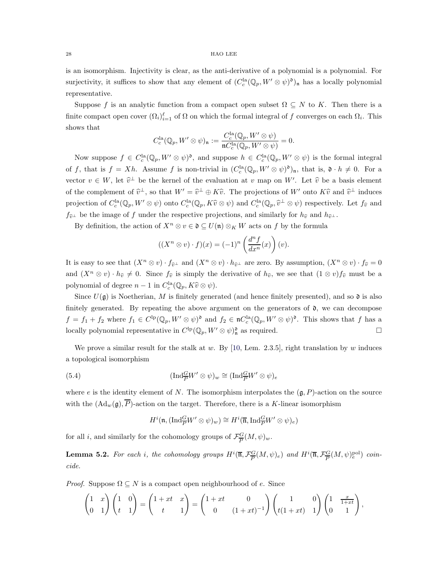is an isomorphism. Injectivity is clear, as the anti-derivative of a polynomial is a polynomial. For surjectivity, it suffices to show that any element of  $(C_c^{la}(\mathbb{Q}_p, W' \otimes \psi)^{\mathfrak{d}})_n$  has a locally polynomial representative.

Suppose f is an analytic function from a compact open subset  $\Omega \subseteq N$  to K. Then there is a finite compact open cover  $(\Omega_i)_{i=1}^{\ell}$  of  $\Omega$  on which the formal integral of f converges on each  $\Omega_i$ . This shows that

$$
C_c^{\text{la}}(\mathbb{Q}_p, W' \otimes \psi)_{\mathfrak{n}} := \frac{C_c^{\text{la}}(\mathbb{Q}_p, W' \otimes \psi)}{\mathfrak{n} C_c^{\text{la}}(\mathbb{Q}_p, W' \otimes \psi)} = 0.
$$

Now suppose  $f \in C_c^{\text{la}}(\mathbb{Q}_p, W' \otimes \psi)^{\mathfrak{d}}$ , and suppose  $h \in C_c^{\text{la}}(\mathbb{Q}_p, W' \otimes \psi)$  is the formal integral of f, that is  $f = Xh$ . Assume f is non-trivial in  $(C_c^{\text{la}}(\mathbb{Q}_p, W' \otimes \psi)^{\mathfrak{d}})_n$ , that is,  $\mathfrak{d} \cdot h \neq 0$ . For a vector  $v \in W$ , let  $\hat{v}^{\perp}$  be the kernel of the evaluation at v map on W'. Let  $\hat{v}$  be a basis element of the complement of  $\hat{v}^{\perp}$ , so that  $W' = \hat{v}^{\perp} \oplus K\hat{v}$ . The projections of W' onto  $K\hat{v}$  and  $\hat{v}^{\perp}$  induces projection of  $C_c^{\text{la}}(\mathbb{Q}_p, W' \otimes \psi)$  onto  $C_c^{\text{la}}(\mathbb{Q}_p, K\hat{v} \otimes \psi)$  and  $C_c^{\text{la}}(\mathbb{Q}_p, \hat{v}^{\perp} \otimes \psi)$  respectively. Let  $f_{\hat{v}}$  and  $f_{\hat{v}^{\perp}}$  be the image of f under the respective projections, and similarly for  $h_{\hat{v}}$  and  $h_{\hat{v}^{\perp}}$ .

By definition, the action of  $X^n \otimes v \in \mathfrak{d} \subseteq U(\mathfrak{n}) \otimes_K W$  acts on f by the formula

$$
((X^n \otimes v) \cdot f)(x) = (-1)^n \left(\frac{d^n f}{dx^n}(x)\right)(v).
$$

It is easy to see that  $(X^n \otimes v) \cdot f_{\hat{v}^{\perp}}$  and  $(X^n \otimes v) \cdot h_{\hat{v}^{\perp}}$  are zero. By assumption,  $(X^n \otimes v) \cdot f_{\hat{v}} = 0$ and  $(X^n \otimes v) \cdot h_{\widehat{v}} \neq 0$ . Since  $f_{\widehat{v}}$  is simply the derivative of  $h_{\widehat{v}}$ , we see that  $(1 \otimes v)f_{\widehat{v}}$  must be a polynomial of degree  $n-1$  in  $C_c^{\text{la}}(\mathbb{Q}_p, K\hat{v} \otimes \psi)$ .

Since  $U(\mathfrak{g})$  is Noetherian, M is finitely generated (and hence finitely presented), and so  $\mathfrak{d}$  is also finitely generated. By repeating the above argument on the generators of  $\mathfrak{d}$ , we can decompose  $f = f_1 + f_2$  where  $f_1 \in C^{\text{lp}}(\mathbb{Q}_p, W' \otimes \psi)^{\mathfrak{d}}$  and  $f_2 \in \mathfrak{n}C_c^{\text{la}}(\mathbb{Q}_p, W' \otimes \psi)^{\mathfrak{d}}$ . This shows that f has a locally polynomial representative in  $C^{\text{lp}}(\mathbb{Q}_p, W' \otimes \psi)_n^{\mathfrak{d}}$  as required.

We prove a similar result for the stalk at w. By  $[10, \text{ Lem. } 2.3.5]$ , right translation by w induces a topological isomorphism

(5.4) 
$$
(\text{Ind}_{\overline{P}}^{\overline{G}} W' \otimes \psi)_w \cong (\text{Ind}_{\overline{P}}^{\overline{G}} W' \otimes \psi)_e
$$

where e is the identity element of N. The isomorphism interpolates the  $(\mathfrak{g}, P)$ -action on the source with the  $(\mathrm{Ad}_w(\mathfrak{g}), \overline{P})$ -action on the target. Therefore, there is a K-linear isomorphism

<span id="page-27-0"></span>
$$
H^i(\mathfrak{n}, (\mathrm{Ind}_{\overline{P}}^G W' \otimes \psi)_w) \cong H^i(\overline{\mathfrak{n}}, \mathrm{Ind}_{\overline{P}}^G W' \otimes \psi)_e)
$$

for all i, and similarly for the cohomology groups of  $\mathcal{F}^G_{\overline{P}}$  $\frac{G}{P}(M,\psi)_w.$ 

**Lemma 5.2.** For each i, the cohomology groups  $H^i(\overline{\mathfrak{n}},\mathcal{F}_{\overline{P}}^G)$  $\frac{G}{P}(M,\psi)_e$ ) and  $H^i(\overline{\mathfrak{n}},\mathcal{F}_{\overline{P}}^G)$  $\frac{G}{P}(M,\psi)_e^{\text{pol}}$ ) coincide.

*Proof.* Suppose  $\Omega \subseteq N$  is a compact open neighbourhood of e. Since

$$
\begin{pmatrix} 1 & x \ 0 & 1 \end{pmatrix} \begin{pmatrix} 1 & 0 \ t & 1 \end{pmatrix} = \begin{pmatrix} 1+xt & x \ t & 1 \end{pmatrix} = \begin{pmatrix} 1+xt & 0 \ 0 & (1+xt)^{-1} \end{pmatrix} \begin{pmatrix} 1 & 0 \ t(1+xt) & 1 \end{pmatrix} \begin{pmatrix} 1 & \frac{x}{1+xt} \ 0 & 1 \end{pmatrix},
$$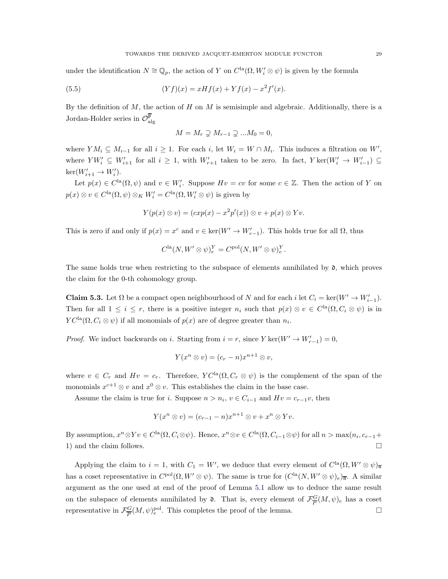under the identification  $N \cong \mathbb{Q}_p$ , the action of Y on  $C^{\text{la}}(\Omega, W_i' \otimes \psi)$  is given by the formula

(5.5) 
$$
(Yf)(x) = xHf(x) + Yf(x) - x^2f'(x).
$$

By the definition of  $M$ , the action of  $H$  on  $M$  is semisimple and algebraic. Additionally, there is a Jordan-Holder series in  $\mathcal{O}_{\mathrm{alg}}^{\overline{\mathfrak{p}}}$ 

$$
M = M_r \supsetneq M_{r-1} \supsetneq \dots M_0 = 0,
$$

where  $YM_i \subseteq M_{i-1}$  for all  $i \geq 1$ . For each i, let  $W_i = W \cap M_i$ . This induces a filtration on  $W'$ , where  $YW_i' \subseteq W_{i+1}'$  for all  $i \geq 1$ , with  $W_{r+1}'$  taken to be zero. In fact,  $Y \text{ker}(W_i' \rightarrow W_{i-1}') \subseteq$  $\ker(W'_{i+1} \to W'_i)$ .

Let  $p(x) \in C^{\text{la}}(\Omega, \psi)$  and  $v \in W'_i$ . Suppose  $Hv = cv$  for some  $c \in \mathbb{Z}$ . Then the action of Y on  $p(x) \otimes v \in C^{\text{la}}(\Omega, \psi) \otimes_K W_i' = C^{\text{la}}(\Omega, W_i' \otimes \psi)$  is given by

$$
Y(p(x) \otimes v) = (exp(x) - x^2 p'(x)) \otimes v + p(x) \otimes Yv.
$$

This is zero if and only if  $p(x) = x^c$  and  $v \in \text{ker}(W' \to W'_{r-1})$ . This holds true for all  $\Omega$ , thus

$$
C^{\text{la}}(N, W' \otimes \psi)_e^Y = C^{\text{pol}}(N, W' \otimes \psi)_e^Y.
$$

The same holds true when restricting to the subspace of elements annihilated by  $\mathfrak{d}$ , which proves the claim for the 0-th cohomology group.

**Claim 5.3.** Let  $\Omega$  be a compact open neighbourhood of N and for each i let  $C_i = \text{ker}(W' \to W'_{i-1})$ . Then for all  $1 \leq i \leq r$ , there is a positive integer  $n_i$  such that  $p(x) \otimes v \in C^{\text{la}}(\Omega, C_i \otimes \psi)$  is in  $YC<sup>la</sup>(\Omega, C_i \otimes \psi)$  if all monomials of  $p(x)$  are of degree greater than  $n_i$ .

*Proof.* We induct backwards on *i*. Starting from  $i = r$ , since  $Y \text{ ker}(W' \to W'_{r-1}) = 0$ ,

$$
Y(x^n \otimes v) = (c_r - n)x^{n+1} \otimes v,
$$

where  $v \in C_r$  and  $Hv = c_r$ . Therefore,  $YC^{\text{la}}(\Omega, C_r \otimes \psi)$  is the complement of the span of the monomials  $x^{c+1} \otimes v$  and  $x^0 \otimes v$ . This establishes the claim in the base case.

Assume the claim is true for *i*. Suppose  $n > n_i$ ,  $v \in C_{i-1}$  and  $Hv = c_{r-1}v$ , then

$$
Y(x^n \otimes v) = (c_{r-1} - n)x^{n+1} \otimes v + x^n \otimes Yv.
$$

By assumption,  $x^n \otimes Yv \in C^{\text{la}}(\Omega, C_i \otimes \psi)$ . Hence,  $x^n \otimes v \in C^{\text{la}}(\Omega, C_{i-1} \otimes \psi)$  for all  $n > \max(n_i, c_{r-1} +$ 1) and the claim follows.  $\hfill\Box$ 

Applying the claim to  $i = 1$ , with  $C_1 = W'$ , we deduce that every element of  $C^{la}(\Omega, W' \otimes \psi)_{\overline{n}}$ has a coset representative in  $C^{pol}(\Omega, W' \otimes \psi)$ . The same is true for  $(C^{la}(N, W' \otimes \psi)_e)_{\overline{n}}$ . A similar argument as the one used at end of the proof of Lemma [5.1](#page-26-0) allow us to deduce the same result on the subspace of elements annihilated by  $\mathfrak{d}$ . That is, every element of  $\mathcal{F}^{\mathcal{G}}_{\overline{P}}$  $\frac{G}{P}(M,\psi)_e$  has a coset representative in  $\mathcal{F}^G_{\overline{P}}$  $\frac{G}{P}(M,\psi)_e^{\text{pol}}$ . This completes the proof of the lemma.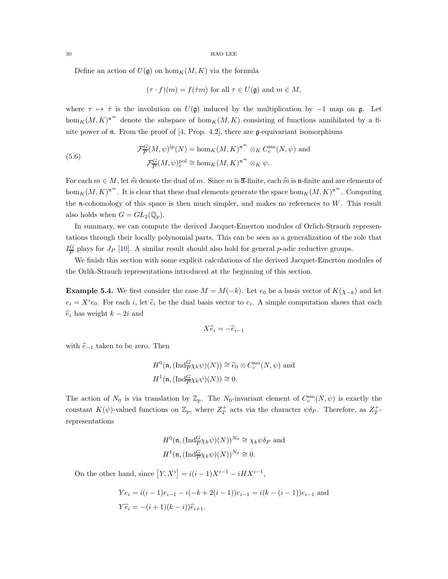Define an action of  $U(\mathfrak{g})$  on  $\hom_K(M, K)$  via the formula

$$
(\tau \cdot f)(m) = f(\dot{\tau}m)
$$
 for all  $\tau \in U(\mathfrak{g})$  and  $m \in M$ ,

where  $\tau \mapsto \dot{\tau}$  is the involution on  $U(\mathfrak{g})$  induced by the multiplication by  $-1$  map on  $\mathfrak{g}$ . Let  $\hom_K(M, K)^{\mathfrak{n}^{\infty}}$  denote the subspace of  $\hom_K(M, K)$  consisting of functions annihilated by a finite power of  $\mathfrak n$ . From the proof of [\[4,](#page-34-3) Prop. 4.2], there are  $\mathfrak g$ -equivariant isomorphisms

(5.6) 
$$
\mathcal{F}_{\overline{P}}^G(M,\psi)^{\text{lp}}(N) = \text{hom}_K(M,K)^{\mathfrak{n}^{\infty}} \otimes_K C_c^{\text{sm}}(N,\psi) \text{ and}
$$

$$
\mathcal{F}_{\overline{P}}^G(M,\psi)^{\text{pol}}_e \cong \text{hom}_K(M,K)^{\mathfrak{n}^{\infty}} \otimes_K \psi.
$$

For each  $m \in M$ , let  $\hat{m}$  denote the dual of m. Since m is  $\overline{n}$ -finite, each  $\hat{m}$  is n-finite and are elements of  $\hom_K(M, K)^{\mathfrak{n}^{\infty}}$ . It is clear that these dual elements generate the space  $\hom_K(M, K)^{\mathfrak{n}^{\infty}}$ . Computing the n-cohomology of this space is then much simpler, and makes no references to  $W$ . This result also holds when  $G = GL_2(\mathbb{Q}_p)$ .

In summary, we can compute the derived Jacquet-Emerton modules of Orlich-Strauch representations through their locally polynomial parts. This can be seen as a generalization of the role that  $I^G_{\overline{D}}$  $\frac{G}{P}$  plays for  $J_P$  [\[10\]](#page-34-2). A similar result should also hold for general p-adic reductive groups.

We finish this section with some explicit calculations of the derived Jacquet-Emerton modules of the Orlik-Strauch representations introduced at the beginning of this section.

<span id="page-29-0"></span>**Example 5.4.** We first consider the case  $M = M(-k)$ . Let  $e_0$  be a basis vector of  $K(\chi_{-k})$  and let  $e_i = X^i e_0$ . For each *i*, let  $\hat{e}_i$  be the dual basis vector to  $e_i$ . A simple computation shows that each  $\widehat{e}_i$  has weight  $k - 2i$  and

$$
X\widehat{e}_i = -\widehat{e}_{i-1}
$$

with  $\widehat{e}_{-1}$  taken to be zero. Then

$$
H^0(\mathfrak{n}, (\text{Ind}_{\overline{P}}^G \chi_k \psi)(N)) \cong \widehat{e}_0 \otimes C_c^{\text{sm}}(N, \psi) \text{ and}
$$
  

$$
H^1(\mathfrak{n}, (\text{Ind}_{\overline{P}}^G \chi_k \psi)(N)) \cong 0.
$$

The action of  $N_0$  is via translation by  $\mathbb{Z}_p$ . The  $N_0$ -invariant element of  $C_c^{\text{sm}}(N,\psi)$  is exactly the constant  $K(\psi)$ -valued functions on  $\mathbb{Z}_p$ , where  $Z_T^+$  acts via the character  $\psi \delta_P$ . Therefore, as  $Z_T^+$ representations

$$
H^{0}(\mathfrak{n}, (\text{Ind}_{\overline{P}}^{G}\chi_{k}\psi)(N))^{N_{0}} \cong \chi_{k}\psi\delta_{P} \text{ and}
$$
  

$$
H^{1}(\mathfrak{n}, (\text{Ind}_{\overline{P}}^{G}\chi_{k}\psi)(N))^{N_{0}} \cong 0.
$$

On the other hand, since  $[Y, X^i] = i(i-1)X^{i-1} - iH X^{i-1}$ ,

$$
Ye_i = i(i-1)e_{i-1} - i(-k+2(i-1))e_{i-1} = i(k-(i-1))e_{i-1}
$$
 and  
 $Y\hat{e}_i = -(i+1)(k-i))\hat{e}_{i+1}.$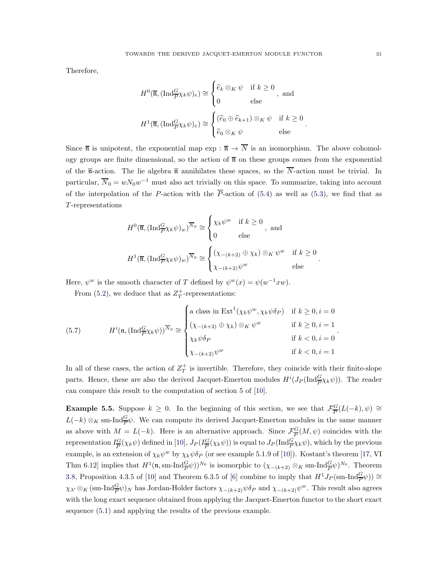Therefore,

$$
H^{0}(\overline{\mathfrak{n}}, (\operatorname{Ind}_{P}^{G}\chi_{k}\psi)_{e}) \cong \begin{cases} \widehat{e}_{k} \otimes_{K} \psi & \text{if } k \geq 0 \\ 0 & \text{else} \end{cases}, \text{ and}
$$

$$
H^{1}(\overline{\mathfrak{n}}, (\operatorname{Ind}_{P}^{G}\chi_{k}\psi)_{e}) \cong \begin{cases} (\widehat{e}_{0} \oplus \widehat{e}_{k+1}) \otimes_{K} \psi & \text{if } k \geq 0 \\ \widehat{e}_{0} \otimes_{K} \psi & \text{else} \end{cases}
$$

Since  $\bar{\mathfrak{n}}$  is unipotent, the exponential map exp :  $\bar{\mathfrak{n}} \to \bar{N}$  is an isomorphism. The above cohomology groups are finite dimensional, so the action of  $\overline{n}$  on these groups comes from the exponential of the  $\overline{n}$ -action. The lie algebra  $\overline{n}$  annihilates these spaces, so the  $\overline{N}$ -action must be trivial. In particular,  $\overline{N}_0 = wN_0w^{-1}$  must also act trivially on this space. To summarize, taking into account of the interpolation of the P-action with the  $\overline{P}$ -action of [\(5.4\)](#page-27-0) as well as [\(5.3\)](#page-26-1), we find that as T -representations

$$
H^{0}(\overline{\mathfrak{n}}, (\operatorname{Ind}_{P}^{G}\chi_{k}\psi)_{w})^{\overline{N}_{0}} \cong \begin{cases} \chi_{k}\psi^{w} & \text{if } k \geq 0 \\ 0 & \text{else} \end{cases}, \text{ and} \\ H^{1}(\overline{\mathfrak{n}}, (\operatorname{Ind}_{P}^{G}\chi_{k}\psi)_{w})^{\overline{N}_{0}} \cong \begin{cases} (\chi_{-(k+2)} \oplus \chi_{k}) \otimes_{K} \psi^{w} & \text{if } k \geq 0 \\ \chi_{-(k+2)}\psi^{w} & \text{else} \end{cases}.
$$

Here,  $\psi^w$  is the smooth character of T defined by  $\psi^w(x) = \psi(w^{-1}xw)$ .

From [\(5.2\)](#page-26-2), we deduce that as  $Z_T^+$ -representations:

(5.7) 
$$
H^{i}(\mathfrak{n}, (\text{Ind}_{P}^{G}\chi_{k}\psi))^{N_{0}} \cong \begin{cases} \text{a class in } \text{Ext}^{1}(\chi_{k}\psi^{w}, \chi_{k}\psi\delta_{P}) & \text{if } k \geq 0, i = 0 \\ (\chi_{-(k+2)} \oplus \chi_{k}) \otimes_{K} \psi^{w} & \text{if } k \geq 0, i = 1 \\ \chi_{k}\psi\delta_{P} & \text{if } k < 0, i = 0 \\ \chi_{-(k+2)}\psi^{w} & \text{if } k < 0, i = 1 \end{cases}.
$$

In all of these cases, the action of  $Z_T^+$  is invertible. Therefore, they coincide with their finite-slope parts. Hence, these are also the derived Jacquet-Emerton modules  $H^{i}(J_{P}(\text{Ind}_{\overline{P}}^{G}\chi_{k}\psi))$ . The reader can compare this result to the computation of section 5 of [\[10\]](#page-34-2).

<span id="page-30-0"></span>**Example 5.5.** Suppose  $k \geq 0$ . In the beginning of this section, we see that  $\mathcal{F}^{\mathcal{G}}_{\overline{P}}$  $\frac{G}{P}(L(-k), \psi) \cong$  $L(-k) \otimes_K \text{sm-}\text{Ind}_{\overline{P}}^{\mathcal{G}} \psi$ . We can compute its derived Jacquet-Emerton modules in the same manner as above with  $M = L(-k)$ . Here is an alternative approach. Since  $\mathcal{F}^{\mathbb{G}}_{\overline{P}}$  $\frac{G}{P}(M,\psi)$  coincides with the representation  $I_{\overline{P}}^G$  $\frac{G}{P}(\chi_k \psi)$  defined in [\[10\]](#page-34-2),  $J_P(I^G_{\overline{P}})$  $\frac{G}{P}(\chi_k \psi)$  is equal to  $J_P(\text{Ind}_{P}^{G}\chi_k \psi)$ , which by the previous example, is an extension of  $\chi_k \psi^w$  by  $\chi_k \psi \delta_P$  (or see example 5.1.9 of [\[10\]](#page-34-2)). Kostant's theorem [\[17,](#page-34-13) VI] Thm 6.12] implies that  $H^1(\mathfrak{n}, \text{sm-Ind}_{\overline{P}}^{\mathbb{G}} \psi)$ <sup>N<sub>0</sub></sup> is isomorphic to  $(\chi_{-(k+2)} \otimes_K \text{sm-Ind}_{\overline{P}}^{\mathbb{G}} \psi)$ <sup>N<sub>0</sub></sup>. Theorem [3.8,](#page-13-0) Proposition 4.3.5 of [\[10\]](#page-34-2) and Theorem 6.3.5 of [\[6\]](#page-34-12) combine to imply that  $H^1J_P(\text{sm-Ind}_{\overline{P}}^G\psi) \cong$  $\chi_{\lambda'} \otimes_K (\text{sm-Ind}_{\overline{P}}^{\overline{G}} \psi)_N$  has Jordan-Holder factors  $\chi_{-(k+2)} \psi \delta_P$  and  $\chi_{-(k+2)} \psi^w$ . This result also agrees with the long exact sequence obtained from applying the Jacquet-Emerton functor to the short exact sequence [\(5.1\)](#page-26-3) and applying the results of the previous example.

.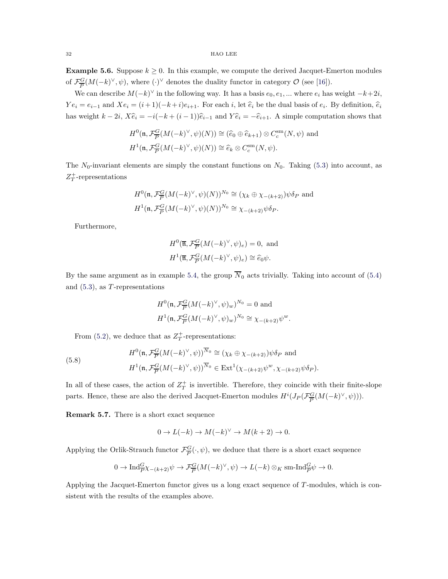**Example 5.6.** Suppose  $k \geq 0$ . In this example, we compute the derived Jacquet-Emerton modules of  $\mathcal{F}_{\overline{P}}^G$  $\frac{G}{P}(M(-k)^{\vee}, \psi)$ , where  $(\cdot)^{\vee}$  denotes the duality functor in category  $\mathcal{O}$  (see [\[16\]](#page-34-19)).

We can describe  $M(-k)^\vee$  in the following way. It has a basis  $e_0, e_1, ...$  where  $e_i$  has weight  $-k+2i$ ,  $Ye_i = e_{i-1}$  and  $Xe_i = (i+1)(-k+i)e_{i+1}$ . For each i, let  $\hat{e}_i$  be the dual basis of  $e_i$ . By definition,  $\hat{e}_i$ has weight  $k - 2i$ ,  $X\hat{e}_i = -i(-k + (i-1))\hat{e}_{i-1}$  and  $Y\hat{e}_i = -\hat{e}_{i+1}$ . A simple computation shows that

$$
H^0(\mathfrak{n}, \mathcal{F}_{\overline{P}}^G(M(-k)^\vee, \psi)(N)) \cong (\widehat{e}_0 \oplus \widehat{e}_{k+1}) \otimes C_c^{\text{sm}}(N, \psi) \text{ and}
$$
  

$$
H^1(\mathfrak{n}, \mathcal{F}_{\overline{P}}^G(M(-k)^\vee, \psi)(N)) \cong \widehat{e}_k \otimes C_c^{\text{sm}}(N, \psi).
$$

The  $N_0$ -invariant elements are simply the constant functions on  $N_0$ . Taking [\(5.3\)](#page-26-1) into account, as  $Z_T^+$ -representations

$$
H^0(\mathfrak{n}, \mathcal{F}_{\overline{P}}^G(M(-k)^\vee, \psi)(N))^{N_0} \cong (\chi_k \oplus \chi_{-(k+2)})\psi \delta_P \text{ and}
$$
  

$$
H^1(\mathfrak{n}, \mathcal{F}_{\overline{P}}^G(M(-k)^\vee, \psi)(N))^{N_0} \cong \chi_{-(k+2)}\psi \delta_P.
$$

Furthermore,

$$
H^{0}(\overline{\mathfrak{n}}, \mathcal{F}_{\overline{P}}^{G}(M(-k)^{\vee}, \psi)_{e}) = 0, \text{ and}
$$

$$
H^{1}(\overline{\mathfrak{n}}, \mathcal{F}_{\overline{P}}^{G}(M(-k)^{\vee}, \psi)_{e}) \cong \widehat{e}_{0}\psi.
$$

By the same argument as in example [5.4,](#page-29-0) the group  $\overline{N}_0$  acts trivially. Taking into account of [\(5.4\)](#page-27-0) and  $(5.3)$ , as T-representations

$$
H^0(\mathfrak{n}, \mathcal{F}_{\overline{P}}^G (M(-k)^{\vee}, \psi)_w)^{N_0} = 0 \text{ and}
$$
  

$$
H^1(\mathfrak{n}, \mathcal{F}_{\overline{P}}^G (M(-k)^{\vee}, \psi)_w)^{N_0} \cong \chi_{-(k+2)} \psi^w.
$$

From [\(5.2\)](#page-26-2), we deduce that as  $Z_T^+$ -representations:

(5.8)  

$$
H^{0}(\mathfrak{n}, \mathcal{F}_{\overline{P}}^{G}(M(-k)^{\vee}, \psi))^{\overline{N}_{0}} \cong (\chi_{k} \oplus \chi_{-(k+2)})\psi\delta_{P} \text{ and}
$$

$$
H^{1}(\mathfrak{n}, \mathcal{F}_{\overline{P}}^{G}(M(-k)^{\vee}, \psi))^{\overline{N}_{0}} \in \operatorname{Ext}^{1}(\chi_{-(k+2)}\psi^{w}, \chi_{-(k+2)}\psi\delta_{P}).
$$

In all of these cases, the action of  $Z_T^+$  is invertible. Therefore, they coincide with their finite-slope parts. Hence, these are also the derived Jacquet-Emerton modules  $H^{i}(J_P(\mathcal{F}_{\overline{P}}^G))$  $\frac{G}{P}(M(-k)^{\vee}, \psi)).$ 

Remark 5.7. There is a short exact sequence

$$
0 \to L(-k) \to M(-k)^{\vee} \to M(k+2) \to 0.
$$

Applying the Orlik-Strauch functor  $\mathcal{F}^{\mathcal{G}}_{\overline{P}}$  $\frac{G}{P}(\cdot, \psi)$ , we deduce that there is a short exact sequence

$$
0 \to \operatorname{Ind}_{P}^{G} \chi_{-(k+2)} \psi \to \mathcal{F}_{P}^{G} (M(-k)^{\vee}, \psi) \to L(-k) \otimes_{K} \operatorname{sm-Ind}_{P}^{G} \psi \to 0.
$$

Applying the Jacquet-Emerton functor gives us a long exact sequence of  $T$ -modules, which is consistent with the results of the examples above.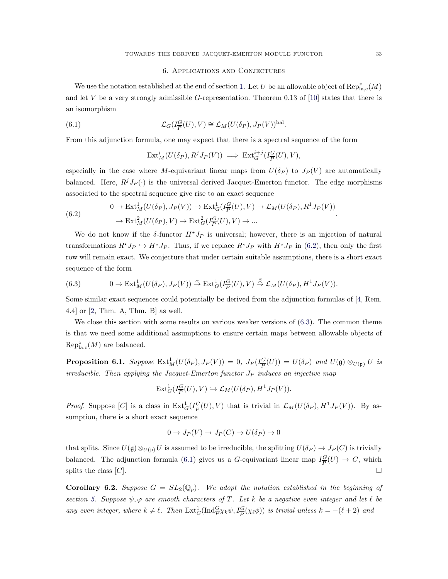### 6. Applications and Conjectures

<span id="page-32-0"></span>We use the notation established at the end of section [1.](#page-0-0) Let U be an allowable object of  $\mathrm{Rep}^z_{\mathrm{la,c}}(M)$ and let V be a very strongly admissible G-representation. Theorem 0.13 of [\[10\]](#page-34-2) states that there is an isomorphism

(6.1) 
$$
\mathcal{L}_G(I_{\overline{P}}^G(U), V) \cong \mathcal{L}_M(U(\delta_P), J_P(V))^{\text{bal}}.
$$

From this adjunction formula, one may expect that there is a spectral sequence of the form

<span id="page-32-3"></span>
$$
\text{Ext}^i_M(U(\delta_P), R^j J_P(V)) \implies \text{Ext}^{i+j}_G(I_P^G(U), V),
$$

especially in the case where M-equivariant linear maps from  $U(\delta_P)$  to  $J_P(V)$  are automatically balanced. Here,  $R^jJ_P(\cdot)$  is the universal derived Jacquet-Emerton functor. The edge morphisms associated to the spectral sequence give rise to an exact sequence

<span id="page-32-1"></span>(6.2) 
$$
0 \to \text{Ext}^1_M(U(\delta_P), J_P(V)) \to \text{Ext}^1_G(I_{\overline{P}}^G(U), V) \to \mathcal{L}_M(U(\delta_P), R^1 J_P(V))
$$

$$
\to \text{Ext}^2_M(U(\delta_P), V) \to \text{Ext}^2_G(I_{\overline{P}}^G(U), V) \to ...
$$

We do not know if the  $\delta$ -functor  $H^*J_P$  is universal; however, there is an injection of natural transformations  $R^*J_P \hookrightarrow H^*J_P$ . Thus, if we replace  $R^*J_P$  with  $H^*J_P$  in [\(6.2\)](#page-32-1), then only the first row will remain exact. We conjecture that under certain suitable assumptions, there is a short exact sequence of the form

<span id="page-32-2"></span>(6.3) 
$$
0 \to \text{Ext}^1_M(U(\delta_P), J_P(V)) \xrightarrow{\alpha} \text{Ext}^1_G(I_{\overline{P}}^G(U), V) \xrightarrow{\beta} \mathcal{L}_M(U(\delta_P), H^1 J_P(V)).
$$

Some similar exact sequences could potentially be derived from the adjunction formulas of [\[4,](#page-34-3) Rem. 4.4] or [\[2,](#page-34-8) Thm. A, Thm. B] as well.

We close this section with some results on various weaker versions of  $(6.3)$ . The common theme is that we need some additional assumptions to ensure certain maps between allowable objects of  $\operatorname{Rep}^z_{\mathrm{la,c}}(M)$  are balanced.

<span id="page-32-4"></span>**Proposition 6.1.** Suppose  $\text{Ext}^1_M(U(\delta_P), J_P(V)) = 0$ ,  $J_P(I_P^G)$  $\frac{G}{P}(U)$  =  $U(\delta_P)$  and  $U(\mathfrak{g}) \otimes_{U(\mathfrak{p})} U$  is irreducible. Then applying the Jacquet-Emerton functor  $J_P$  induces an injective map

$$
\mathrm{Ext}^1_G(I_{\overline{P}}^G(U), V) \hookrightarrow \mathcal{L}_M(U(\delta_P), H^1J_P(V)).
$$

*Proof.* Suppose [C] is a class in  $\text{Ext}_G^1(I_{\overline{P}}^G)$  $\frac{G}{P}(U), V$  that is trivial in  $\mathcal{L}_M(U(\delta_P), H^1J_P(V))$ . By assumption, there is a short exact sequence

$$
0 \to J_P(V) \to J_P(C) \to U(\delta_P) \to 0
$$

that splits. Since  $U(\mathfrak{g})\otimes_{U(\mathfrak{p})}U$  is assumed to be irreducible, the splitting  $U(\delta_P) \to J_P(C)$  is trivially balanced. The adjunction formula [\(6.1\)](#page-32-3) gives us a G-equivariant linear map  $I_{\overline{P}}^G$  $\frac{G}{P}(U) \rightarrow C$ , which splits the class  $[C]$ .

**Corollary 6.2.** Suppose  $G = SL_2(\mathbb{Q}_p)$ . We adopt the notation established in the beginning of section [5.](#page-25-0) Suppose  $\psi, \varphi$  are smooth characters of T. Let k be a negative even integer and let  $\ell$  be any even integer, where  $k \neq \ell$ . Then  $\text{Ext}_G^1(\text{Ind}_{\overline{P}}^G \chi_k \psi, I_{\overline{P}}^G(\chi_{\ell} \phi))$  is trivial unless  $k = -(\ell + 2)$  and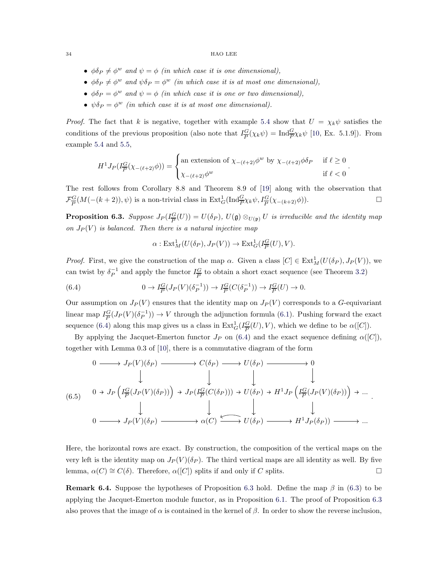- $\phi \delta_P \neq \phi^w$  and  $\psi = \phi$  (in which case it is one dimensional),
- $\phi \delta_P \neq \phi^w$  and  $\psi \delta_P = \phi^w$  (in which case it is at most one dimensional),
- $\phi \delta_P = \phi^w$  and  $\psi = \phi$  (in which case it is one or two dimensional),
- $\psi \delta_P = \phi^w$  (in which case it is at most one dimensional).

*Proof.* The fact that k is negative, together with example [5.4](#page-29-0) show that  $U = \chi_k \psi$  satisfies the conditions of the previous proposition (also note that  $I_{\overline{P}}^G$  $\frac{G}{P}(\chi_k \psi) = \text{Ind}_{\overline{P}}^G \chi_k \psi$  [\[10,](#page-34-2) Ex. 5.1.9]). From example [5.4](#page-29-0) and [5.5,](#page-30-0)

$$
H^1 J_P(I_P^G(\chi_{-(\ell+2)}\phi)) = \begin{cases} \text{an extension of } \chi_{-(\ell+2)}\phi^w \text{ by } \chi_{-(\ell+2)}\phi\delta_P & \text{if } \ell \ge 0 \\ \chi_{-(\ell+2)}\phi^w & \text{if } \ell < 0 \end{cases}.
$$

The rest follows from Corollary 8.8 and Theorem 8.9 of [\[19\]](#page-34-11) along with the observation that  $\mathcal{F}^G_{\overline{D}}$  $\mathcal{L}_{\overline{P}}(M(-(k+2)), \psi)$  is a non-trivial class in  $\text{Ext}_{G}^{1}(\text{Ind}_{\overline{P}}^{G}\chi_{k}\psi, I_{\overline{P}}^{G}(\chi_{-(k+2)}\phi)).$ 

<span id="page-33-1"></span>Proposition 6.3. Suppose  $J_P (I_{\overline{P}}^G)$  $\mathcal{L}(U^{G}_{P})=U(\delta_{P}), U(\mathfrak{g})\otimes_{U(\mathfrak{p})}U$  is irreducible and the identity map on  $J_P(V)$  is balanced. Then there is a natural injective map

<span id="page-33-0"></span>
$$
\alpha: \mathrm{Ext}^1_M(U(\delta_P), J_P(V)) \to \mathrm{Ext}^1_G(I_{\overline{P}}^G(U), V).
$$

*Proof.* First, we give the construction of the map  $\alpha$ . Given a class  $[C] \in \text{Ext}^1_M(U(\delta_P), J_P(V))$ , we can twist by  $\delta_P^{-1}$  and apply the functor  $I_{\overline{P}}^G$  $\frac{G}{P}$  to obtain a short exact sequence (see Theorem [3.2\)](#page-10-2)

(6.4) 
$$
0 \to I_{\overline{P}}^G(J_P(V)(\delta_P^{-1})) \to I_{\overline{P}}^G(C(\delta_P^{-1})) \to I_{\overline{P}}^G(U) \to 0.
$$

Our assumption on  $J_P(V)$  ensures that the identity map on  $J_P(V)$  corresponds to a G-equivariant linear map  $I_{\overline{P}}^G$  $\frac{G}{P}(J_P(V)(\delta_P^{-1})) \to V$  through the adjunction formula [\(6.1\)](#page-32-3). Pushing forward the exact sequence [\(6.4\)](#page-33-0) along this map gives us a class in  $\text{Ext}_G^1(I_{\overline{P}}^G)$  $\frac{G}{P}(U), V$ , which we define to be  $\alpha([C]).$ 

By applying the Jacquet-Emerton functor  $J_P$  on [\(6.4\)](#page-33-0) and the exact sequence defining  $\alpha([C]),$ together with Lemma 0.3 of [\[10\]](#page-34-2), there is a commutative diagram of the form

(6.5) 0 J<sup>P</sup> (V )(δ<sup>P</sup> ) C(δ<sup>P</sup> ) U(δ<sup>P</sup> ) 0 0 J<sup>P</sup> I G P (J<sup>P</sup> (<sup>V</sup> )(δ<sup>P</sup> )) J<sup>P</sup> (I G P (C(δ<sup>P</sup> ))) U(δ<sup>P</sup> ) H1J<sup>P</sup> I G P (J<sup>P</sup> (<sup>V</sup> )(δ<sup>P</sup> )) ... 0 J<sup>P</sup> (V )(δ<sup>P</sup> ) α(C) U(δ<sup>P</sup> ) H1J<sup>P</sup> (δ<sup>P</sup> )) ... .

Here, the horizontal rows are exact. By construction, the composition of the vertical maps on the very left is the identity map on  $J_P(V)(\delta_P)$ . The third vertical maps are all identity as well. By five lemma,  $\alpha(C) \cong C(\delta)$ . Therefore,  $\alpha([C])$  splits if and only if C splits.

**Remark 6.4.** Suppose the hypotheses of Proposition [6.3](#page-33-1) hold. Define the map  $\beta$  in [\(6.3\)](#page-32-2) to be applying the Jacquet-Emerton module functor, as in Proposition [6.1.](#page-32-4) The proof of Proposition [6.3](#page-33-1) also proves that the image of  $\alpha$  is contained in the kernel of  $\beta$ . In order to show the reverse inclusion,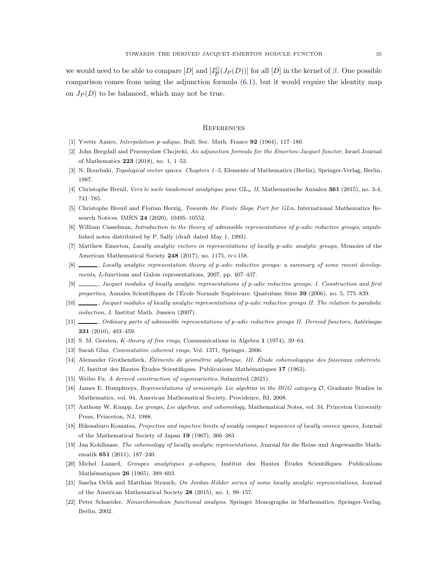we would need to be able to compare  $[D]$  and  $[I_{\overline{P}}^G]$  $\frac{G}{P}(J_P(D))]$  for all  $[D]$  in the kernel of  $\beta$ . One possible comparison comes from using the adjunction formula [\(6.1\)](#page-32-3), but it would require the identity map on  $J_P(D)$  to be balanced, which may not be true.

## <span id="page-34-1"></span>**REFERENCES**

- <span id="page-34-6"></span>[1] Yvette Amice, *Interpolation* p*-adique*, Bull. Soc. Math. France 92 (1964), 117–180.
- <span id="page-34-8"></span>[2] John Bergdall and Przemyslaw Chojecki, *An adjunction formula for the Emerton-Jacquet functor*, Israel Journal of Mathematics 223 (2018), no. 1, 1–52.
- <span id="page-34-16"></span>[3] N. Bourbaki, *Topological vector spaces. Chapters 1–5*, Elements of Mathematics (Berlin), Springer-Verlag, Berlin, 1987.
- <span id="page-34-3"></span>[4] Christophe Breuil, *Vers le socle localement analytique pour* GL<sup>n</sup> *II*, Mathematische Annalen 361 (2015), no. 3-4, 741–785.
- [5] Christophe Breuil and Florian Herzig, *Towards the Finite Slope Part for GLn*, International Mathematics Research Notices. IMRN 24 (2020), 10495–10552.
- <span id="page-34-12"></span>[6] William Casselman, *Introduction to the theory of admissible representations of* p*-adic reductive groups*, unpublished notes distributed by P. Sally (draft dated May 1, 1993).
- <span id="page-34-4"></span>[7] Matthew Emerton, *Locally analytic vectors in representations of locally* p*-adic analytic groups*, Memoirs of the American Mathematical Society 248 (2017), no. 1175, iv+158.
- <span id="page-34-7"></span>[8] , *Locally analytic representation theory of* p*-adic reductive groups: a summary of some recent developments*, L-functions and Galois representations, 2007, pp. 407–437.
- <span id="page-34-0"></span>[9] , *Jacquet modules of locally analytic representations of* p*-adic reductive groups. I. Construction and first properties*, Annales Scientifiques de l'École Normale Supérieure. Quatrième Série 39 (2006), no. 5, 775–839.
- <span id="page-34-2"></span>[10] , *Jacquet modules of locally analytic representations of p-adic reductive groups II. The relation to parabolic induction*, J. Institut Math. Jussieu (2007).
- [11] , *Ordinary parts of admissible representations of p-adic reductive groups II. Derived functors*, Astérisque 331 (2010), 403–459.
- <span id="page-34-10"></span>[12] S. M. Gersten, K*-theory of free rings*, Communications in Algebra 1 (1974), 39–64.
- <span id="page-34-9"></span>[13] Sarah Glaz, *Commutative coherent rings*, Vol. 1371, Springer, 2006.
- [14] Alexander Grothendieck, *El´ements de g´eom´etrie alg´ebrique. III. ´ Etude cohomologique des faisceaux coh´erents. ´ II*, Institut des Hautes Études Scientifiques. Publications Mathématiques 17 (1963).
- <span id="page-34-17"></span>[15] Weibo Fu, *A derived construction of eigenvarieties*, Submitted (2021).
- <span id="page-34-19"></span>[16] James E. Humphreys, *Representations of semisimple Lie algebras in the BGG category* O, Graduate Studies in Mathematics, vol. 94, American Mathematical Society, Providence, RI, 2008.
- <span id="page-34-13"></span>[17] Anthony W. Knapp, *Lie groups, Lie algebras, and cohomology*, Mathematical Notes, vol. 34, Princeton University Press, Princeton, NJ, 1988.
- <span id="page-34-15"></span>[18] Hikosaburo Komatsu, *Projective and injective limits of weakly compact sequences of locally convex spaces*, Journal of the Mathematical Society of Japan 19 (1967), 366–383.
- <span id="page-34-11"></span>[19] Jan Kohlhaase, *The cohomology of locally analytic representations*, Journal für die Reine und Angewandte Mathematik 651 (2011), 187–240.
- <span id="page-34-5"></span>[20] Michel Lazard, *Groupes analytiques* p*-adiques*, Institut des Hautes Etudes Scientifiques. Publications ´ Mathématiques 26 (1965), 389-603.
- <span id="page-34-18"></span>[21] Sascha Orlik and Matthias Strauch, *On Jordan-Hölder series of some locally analytic representations*, Journal of the American Mathematical Society 28 (2015), no. 1, 99–157.
- <span id="page-34-14"></span>[22] Peter Schneider, *Nonarchimedean functional analysis*, Springer Monographs in Mathematics, Springer-Verlag, Berlin, 2002.